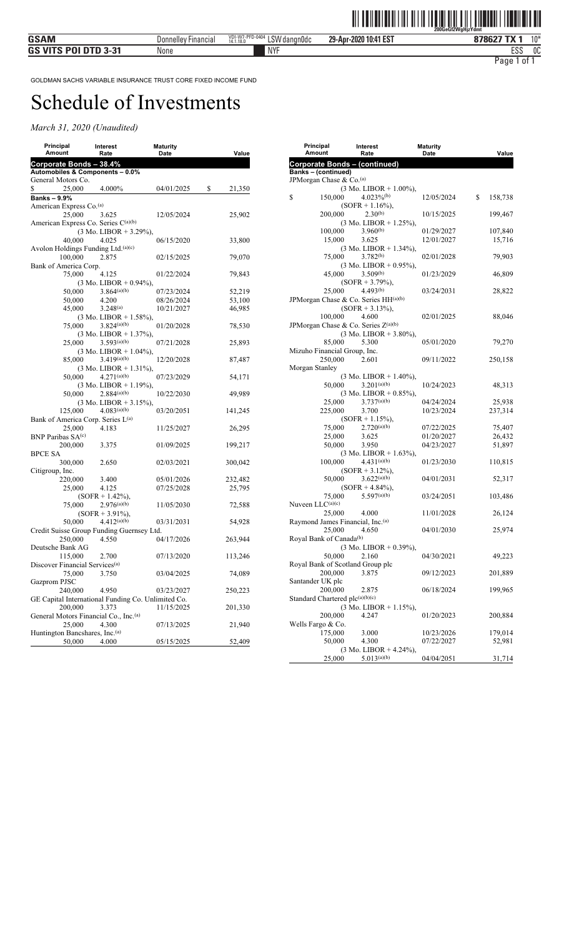| Principal                                          | Interest                                              | <b>Maturity</b> |              |
|----------------------------------------------------|-------------------------------------------------------|-----------------|--------------|
| Amount                                             | Rate                                                  | <b>Date</b>     | Value        |
| Corporate Bonds – 38.4%                            |                                                       |                 |              |
| Automobiles & Components - 0.0%                    |                                                       |                 |              |
| General Motors Co.                                 |                                                       |                 |              |
| \$<br>25,000                                       | 4.000%                                                | 04/01/2025      | \$<br>21,350 |
| <b>Banks – 9.9%</b>                                |                                                       |                 |              |
| American Express Co. <sup>(a)</sup>                |                                                       |                 |              |
| 25,000                                             | 3.625                                                 | 12/05/2024      | 25,902       |
| American Express Co. Series C(a)(b)                |                                                       |                 |              |
|                                                    | $(3 \text{ Mo. LIBOR} + 3.29\%),$                     |                 |              |
| 40,000                                             | 4.025                                                 | 06/15/2020      | 33,800       |
| Avolon Holdings Funding Ltd. <sup>(a)(c)</sup>     |                                                       |                 |              |
| 100,000                                            | 2.875                                                 | 02/15/2025      | 79,070       |
| Bank of America Corp.                              |                                                       |                 |              |
| 75,000                                             | 4.125                                                 | 01/22/2024      | 79,843       |
|                                                    | $(3 \text{ Mo. LIBOR} + 0.94\%),$                     |                 |              |
| 50,000                                             | 3.864(a)(b)                                           | 07/23/2024      | 52,219       |
| 50,000                                             | 4.200                                                 | 08/26/2024      | 53,100       |
| 45,000                                             | $3.248^{(a)}$                                         | 10/21/2027      | 46,985       |
|                                                    | $(3 \text{ Mo. LIBOR} + 1.58\%),$                     |                 |              |
| 75,000                                             | 3.824(a)(b)                                           | 01/20/2028      | 78,530       |
|                                                    | $(3 \text{ Mo. LIBOR} + 1.37\%)$ ,                    |                 |              |
| 25,000                                             | 3.593(a)(b)                                           | 07/21/2028      | 25,893       |
|                                                    | $(3 \text{ Mo. LIBOR} + 1.04\%),$                     |                 |              |
| 85,000                                             | 3.419(a)(b)                                           | 12/20/2028      | 87,487       |
|                                                    | $(3 \text{ Mo. LIBOR} + 1.31\%)$                      |                 |              |
| 50,000                                             | $4.271^{(a)(b)}$                                      | 07/23/2029      | 54,171       |
|                                                    | $(3 \text{ Mo. LIBOR} + 1.19\%),$                     |                 |              |
| 50,000                                             | 2.884(a)(b)                                           | 10/22/2030      | 49,989       |
|                                                    |                                                       |                 |              |
|                                                    | $(3 \text{ Mo. LIBOR} + 3.15\%),$<br>$4.083^{(a)(b)}$ |                 |              |
| 125,000                                            |                                                       | 03/20/2051      | 141,245      |
| Bank of America Corp. Series L <sup>(a)</sup>      |                                                       |                 |              |
| 25,000                                             | 4.183                                                 | 11/25/2027      | 26,295       |
| BNP Paribas SA <sup>(c)</sup>                      |                                                       |                 |              |
| 200,000                                            | 3.375                                                 | 01/09/2025      | 199,217      |
| <b>BPCE SA</b>                                     |                                                       |                 |              |
| 300,000                                            | 2.650                                                 | 02/03/2021      | 300,042      |
| Citigroup, Inc.                                    |                                                       |                 |              |
| 220,000                                            | 3.400                                                 | 05/01/2026      | 232,482      |
| 25,000                                             | 4.125                                                 | 07/25/2028      | 25,795       |
|                                                    | $(SOFR + 1.42\%),$                                    |                 |              |
| 75,000                                             | $2.976^{(a)(b)}$                                      | 11/05/2030      | 72,588       |
|                                                    | $(SOFR + 3.91\%),$                                    |                 |              |
| 50,000                                             | 4.412(a)(b)                                           | 03/31/2031      | 54,928       |
| Credit Suisse Group Funding Guernsey Ltd.          |                                                       |                 |              |
| 250,000                                            | 4.550                                                 | 04/17/2026      | 263,944      |
| Deutsche Bank AG                                   |                                                       |                 |              |
| 115,000                                            | 2.700                                                 | 07/13/2020      | 113,246      |
| Discover Financial Services <sup>(a)</sup>         |                                                       |                 |              |
| 75,000                                             | 3.750                                                 | 03/04/2025      | 74,089       |
| Gazprom PJSC                                       |                                                       |                 |              |
| 240,000                                            | 4.950                                                 | 03/23/2027      | 250,223      |
| GE Capital International Funding Co. Unlimited Co. |                                                       |                 |              |
| 200,000                                            | 3.373                                                 | 11/15/2025      | 201,330      |
| General Motors Financial Co., Inc. <sup>(a)</sup>  |                                                       |                 |              |
| 25,000                                             | 4.300                                                 | 07/13/2025      | 21,940       |
| Huntington Bancshares, Inc.(a)                     |                                                       |                 |              |
| 50,000                                             | 4.000                                                 | 05/15/2025      | 52,409       |
|                                                    |                                                       |                 |              |

| Principal<br>Amount                    | Interest<br>Rate                                 | <b>Maturity</b><br>Date  | Value            |
|----------------------------------------|--------------------------------------------------|--------------------------|------------------|
| <b>Corporate Bonds - (continued)</b>   |                                                  |                          |                  |
| Banks - (continued)                    |                                                  |                          |                  |
| JPMorgan Chase & Co. <sup>(a)</sup>    |                                                  |                          |                  |
|                                        | $(3 \text{ Mo. LIBOR} + 1.00\%)$ ,               |                          |                  |
| \$<br>150,000                          | $4.023\%$ <sup>(b)</sup>                         | 12/05/2024               | \$<br>158,738    |
|                                        | $(SOFR + 1.16\%),$                               |                          |                  |
| 200,000                                | $2.30^{(b)}$                                     | 10/15/2025               | 199,467          |
|                                        | $(3 \text{ Mo. LIBOR} + 1.25\%),$                |                          |                  |
| 100,000                                | $3.960^{(b)}$                                    | 01/29/2027               | 107,840          |
| 15,000                                 | 3.625                                            | 12/01/2027               | 15,716           |
|                                        | $(3 \text{ Mo. LIBOR} + 1.34\%).$                |                          |                  |
| 75,000                                 | $3.782^{(b)}$                                    | 02/01/2028               | 79,903           |
|                                        | $(3 \text{ Mo. LIBOR} + 0.95\%),$                |                          |                  |
| 45,000                                 | 3.509(b)                                         | 01/23/2029               | 46,809           |
|                                        | $(SOFR + 3.79\%),$                               |                          |                  |
| 25,000                                 | 4.493(b)                                         | 03/24/2031               | 28,822           |
| JPMorgan Chase & Co. Series $HH(a)(b)$ |                                                  |                          |                  |
|                                        | $(SOFR + 3.13\%),$                               |                          |                  |
| 100,000                                | 4.600                                            | 02/01/2025               | 88,046           |
| JPMorgan Chase & Co. Series Z(a)(b)    |                                                  |                          |                  |
|                                        | $(3 \text{ Mo. LIBOR} + 3.80\%),$                |                          |                  |
| 85,000                                 | 5.300                                            | 05/01/2020               | 79,270           |
| Mizuho Financial Group, Inc.           |                                                  |                          |                  |
| 250,000                                | 2.601                                            | 09/11/2022               | 250,158          |
| Morgan Stanley                         |                                                  |                          |                  |
|                                        | $(3 \text{ Mo. LIBOR} + 1.40\%).$<br>3.201(a)(b) |                          |                  |
| 50,000                                 |                                                  | 10/24/2023               | 48,313           |
|                                        | $(3 \text{ Mo. LIBOR} + 0.85\%),$<br>3.737(a)(b) | 04/24/2024               |                  |
| 25,000                                 |                                                  |                          | 25,938           |
| 225,000                                | 3.700                                            | 10/23/2024               | 237,314          |
|                                        | $(SOFR + 1.15\%),$                               |                          |                  |
| 75,000<br>25,000                       | $2.720^{(a)(b)}$                                 | 07/22/2025               | 75,407           |
| 50,000                                 | 3.625                                            | 01/20/2027<br>04/23/2027 | 26,432<br>51,897 |
|                                        | 3.950<br>$(3 \text{ Mo. LIBOR} + 1.63\%),$       |                          |                  |
|                                        | $4.431^{(a)(b)}$                                 |                          |                  |
| 100,000                                |                                                  | 01/23/2030               | 110,815          |
| 50,000                                 | $(SOFR + 3.12\%),$<br>$3.622^{(a)(b)}$           | 04/01/2031               | 52,317           |
|                                        | $(SOFR + 4.84\%),$                               |                          |                  |
| 75,000                                 | 5.597(a)(b)                                      | 03/24/2051               | 103,486          |
| Nuveen LLC(a)(c)                       |                                                  |                          |                  |
| 25,000                                 | 4.000                                            | 11/01/2028               | 26,124           |
| Raymond James Financial, Inc. (a)      |                                                  |                          |                  |
| 25,000                                 | 4.650                                            | 04/01/2030               | 25,974           |
| Royal Bank of Canada(b)                |                                                  |                          |                  |
|                                        | $(3 \text{ Mo. LIBOR} + 0.39\%)$ ,               |                          |                  |
|                                        | 50,000 2.160                                     | 04/30/2021               | 49,223           |
| Royal Bank of Scotland Group plc       |                                                  |                          |                  |
| 200,000                                | 3.875                                            | 09/12/2023               | 201,889          |
| Santander UK plc                       |                                                  |                          |                  |
| 200,000                                | 2.875                                            | 06/18/2024               | 199,965          |
| Standard Chartered plc(a)(b)(c)        |                                                  |                          |                  |
|                                        | (3 Mo. LIBOR + 1.15%),                           |                          |                  |
| 200,000                                | 4.247                                            | 01/20/2023               | 200,884          |
| Wells Fargo & Co.                      |                                                  |                          |                  |
| 175,000                                | 3.000                                            | 10/23/2026               | 179,014          |
| 50,000                                 | 4.300                                            | 07/22/2027               | 52,981           |
|                                        | $(3 \text{ Mo. LIBOR} + 4.24\%).$                |                          |                  |
| 25,000                                 | $5.013^{(a)(b)}$                                 | 04/04/2051               | 31,714           |
|                                        |                                                  |                          |                  |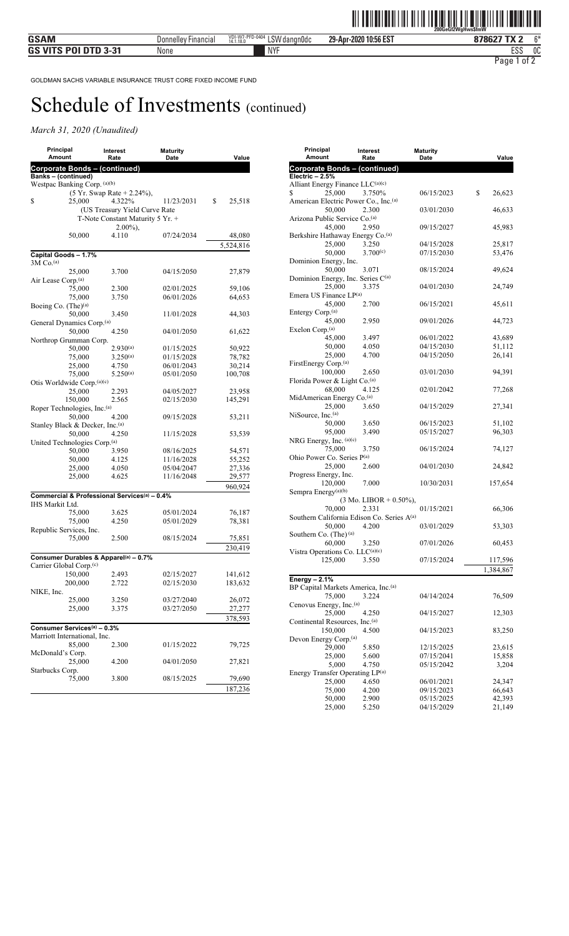| Principal<br>Amount                                      | Interest<br>Rate                 | <b>Maturity</b><br>Date | Value        |
|----------------------------------------------------------|----------------------------------|-------------------------|--------------|
| <b>Corporate Bonds - (continued)</b>                     |                                  |                         |              |
| Banks - (continued)                                      |                                  |                         |              |
| Westpac Banking Corp. (a)(b)                             |                                  |                         |              |
|                                                          | (5 Yr. Swap Rate + 2.24%),       |                         |              |
| \$<br>25,000                                             | 4.322%                           | 11/23/2031              | \$<br>25,518 |
|                                                          | (US Treasury Yield Curve Rate    |                         |              |
|                                                          | T-Note Constant Maturity 5 Yr. + |                         |              |
|                                                          | $2.00\%$ ),                      |                         |              |
| 50,000                                                   | 4.110                            | 07/24/2034              | 48,080       |
|                                                          |                                  |                         | 5,524,816    |
| Capital Goods - 1.7%                                     |                                  |                         |              |
| $3M$ Co. <sup>(a)</sup>                                  |                                  |                         |              |
| 25,000                                                   | 3.700                            | 04/15/2050              | 27,879       |
| Air Lease Corp.(a)                                       |                                  |                         |              |
| 75,000                                                   | 2.300                            | 02/01/2025              | 59,106       |
| 75,000                                                   | 3.750                            | 06/01/2026              | 64,653       |
| Boeing Co. $(The)^{(a)}$                                 |                                  |                         |              |
| 50,000                                                   | 3.450                            | 11/01/2028              | 44,303       |
| General Dynamics Corp. <sup>(a)</sup><br>50,000          | 4.250                            | 04/01/2050              |              |
| Northrop Grumman Corp.                                   |                                  |                         | 61,622       |
| 50,000                                                   | $2.930^{(a)}$                    | 01/15/2025              | 50,922       |
| 75,000                                                   | $3.250^{(a)}$                    | 01/15/2028              | 78,782       |
| 25,000                                                   | 4.750                            | 06/01/2043              | 30,214       |
| 75,000                                                   | $5.250^{(a)}$                    | 05/01/2050              | 100,708      |
| Otis Worldwide Corp. <sup>(a)(c)</sup>                   |                                  |                         |              |
| 25,000                                                   | 2.293                            | 04/05/2027              | 23,958       |
| 150,000                                                  | 2.565                            | 02/15/2030              | 145,291      |
| Roper Technologies, Inc. (a)                             |                                  |                         |              |
| 50,000                                                   | 4.200                            | 09/15/2028              | 53,211       |
| Stanley Black & Decker, Inc. (a)                         |                                  |                         |              |
| 50,000                                                   | 4.250                            | 11/15/2028              | 53,539       |
| United Technologies Corp. <sup>(a)</sup>                 |                                  |                         |              |
| 50,000                                                   | 3.950                            | 08/16/2025              | 54,571       |
| 50,000                                                   | 4.125                            | 11/16/2028              | 55,252       |
| 25,000                                                   | 4.050                            | 05/04/2047              | 27,336       |
| 25,000                                                   | 4.625                            | 11/16/2048              | 29,577       |
|                                                          |                                  |                         | 960,924      |
| Commercial & Professional Services <sup>(a)</sup> - 0.4% |                                  |                         |              |
| IHS Markit Ltd.                                          |                                  |                         |              |
| 75,000                                                   | 3.625                            | 05/01/2024              | 76,187       |
| 75,000                                                   | 4.250                            | 05/01/2029              | 78,381       |
| Republic Services, Inc.                                  |                                  |                         |              |
| 75,000                                                   | 2.500                            | 08/15/2024              | 75,851       |
|                                                          |                                  |                         | 230,419      |
| Consumer Durables & Apparel <sup>(a)</sup> – 0.7%        |                                  |                         |              |
| Carrier Global Corp.(c)                                  |                                  |                         |              |
| 150,000                                                  | 2.493                            | 02/15/2027              | 141,612      |
| 200,000                                                  | 2.722                            | 02/15/2030              | 183,632      |
| NIKE, Inc.                                               |                                  |                         |              |
| 25,000                                                   | 3.250                            | 03/27/2040              | 26,072       |
| 25,000                                                   | 3.375                            | 03/27/2050              | 27,277       |
|                                                          |                                  |                         | 378,593      |
| Consumer Services <sup>(a)</sup> - 0.3%                  |                                  |                         |              |
| Marriott International, Inc.                             |                                  |                         |              |
| 85,000                                                   | 2.300                            | 01/15/2022              | 79,725       |
| McDonald's Corp.                                         |                                  |                         |              |
| 25,000                                                   | 4.200                            | 04/01/2050              | 27,821       |
| Starbucks Corp.                                          |                                  |                         |              |
| 75,000                                                   | 3.800                            | 08/15/2025              | 79,690       |
|                                                          |                                  |                         | 187,236      |
|                                                          |                                  |                         |              |

| Principal                                               | Interest                          | <b>Maturity</b>          |                  |
|---------------------------------------------------------|-----------------------------------|--------------------------|------------------|
| Amount                                                  | Rate                              | Date                     | Value            |
| <b>Corporate Bonds - (continued)</b><br>Electric - 2.5% |                                   |                          |                  |
| Alliant Energy Finance LLC(a)(c)                        |                                   |                          |                  |
| 25,000<br>\$                                            | 3.750%                            | 06/15/2023               | \$<br>26,623     |
| American Electric Power Co., Inc. <sup>(a)</sup>        |                                   |                          |                  |
| 50,000<br>Arizona Public Service Co.(a)                 | 2.300                             | 03/01/2030               | 46,633           |
| 45,000                                                  | 2.950                             | 09/15/2027               | 45,983           |
| Berkshire Hathaway Energy Co. <sup>(a)</sup>            |                                   |                          |                  |
| 25,000                                                  | 3.250                             | 04/15/2028               | 25,817           |
| 50,000<br>Dominion Energy, Inc.                         | 3.700(c)                          | 07/15/2030               | 53,476           |
| 50,000                                                  | 3.071                             | 08/15/2024               | 49,624           |
| Dominion Energy, Inc. Series C(a)                       |                                   |                          |                  |
| 25,000                                                  | 3.375                             | 04/01/2030               | 24,749           |
| Emera US Finance LP(a)<br>45,000                        | 2.700                             | 06/15/2021               | 45,611           |
| Entergy Corp. <sup>(a)</sup>                            |                                   |                          |                  |
| 45,000                                                  | 2.950                             | 09/01/2026               | 44,723           |
| Exelon Corp. <sup>(a)</sup>                             |                                   |                          |                  |
| 45,000                                                  | 3.497                             | 06/01/2022               | 43,689           |
| 50,000                                                  | 4.050                             | 04/15/2030               | 51,112           |
| 25,000                                                  | 4.700                             | 04/15/2050               | 26,141           |
| FirstEnergy Corp. <sup>(a)</sup>                        | 2.650                             |                          |                  |
| 100,000<br>Florida Power & Light Co.(a)                 |                                   | 03/01/2030               | 94,391           |
| 68,000                                                  | 4.125                             | 02/01/2042               | 77,268           |
| MidAmerican Energy Co.(a)                               |                                   |                          |                  |
| 25,000                                                  | 3.650                             | 04/15/2029               | 27,341           |
| NiSource, Inc. <sup>(a)</sup>                           |                                   |                          |                  |
| 50,000                                                  | 3.650                             | 06/15/2023               | 51,102           |
| 95,000                                                  | 3.490                             | 05/15/2027               | 96,303           |
| NRG Energy, Inc. (a)(c)<br>75,000                       | 3.750                             | 06/15/2024               | 74,127           |
| Ohio Power Co. Series P(a)                              |                                   |                          |                  |
| 25,000                                                  | 2.600                             | 04/01/2030               | 24,842           |
| Progress Energy, Inc.                                   |                                   |                          |                  |
| 120,000                                                 | 7.000                             | 10/30/2031               | 157,654          |
| Sempra Energy <sup>(a)(b)</sup>                         |                                   |                          |                  |
|                                                         | $(3 \text{ Mo. LIBOR} + 0.50\%),$ |                          |                  |
| 70,000<br>Southern California Edison Co. Series A(a)    | 2.331                             | 01/15/2021               | 66,306           |
| 50,000                                                  | 4.200                             | 03/01/2029               | 53,303           |
| Southern Co. (The) (a)                                  |                                   |                          |                  |
| 60,000                                                  | 3.250                             | 07/01/2026               | 60,453           |
| Vistra Operations Co. LLC(a)(c)                         |                                   |                          |                  |
| 125,000 3.550                                           |                                   | 07/15/2024               | 117,596          |
|                                                         |                                   |                          | 1,384,867        |
| Energy $-2.1%$                                          |                                   |                          |                  |
| BP Capital Markets America, Inc.(a)                     |                                   |                          |                  |
| 75,000                                                  | 3.224                             | 04/14/2024               | 76,509           |
| Cenovus Energy, Inc. <sup>(a)</sup><br>25,000           | 4.250                             | 04/15/2027               | 12,303           |
| Continental Resources, Inc. <sup>(a)</sup>              |                                   |                          |                  |
| 150,000                                                 | 4.500                             | 04/15/2023               | 83,250           |
| Devon Energy Corp. <sup>(a)</sup>                       |                                   |                          |                  |
| 29,000                                                  | 5.850                             | 12/15/2025               | 23,615           |
| 25,000                                                  | 5.600                             | 07/15/2041               | 15,858           |
| 5,000                                                   | 4.750                             | 05/15/2042               | 3,204            |
| Energy Transfer Operating LP(a)                         |                                   |                          |                  |
| 25,000                                                  | 4.650                             | 06/01/2021               | 24,347           |
| 75,000                                                  | 4.200                             | 09/15/2023               | 66,643           |
| 50,000<br>25,000                                        | 2.900<br>5.250                    | 05/15/2025<br>04/15/2029 | 42,393<br>21,149 |
|                                                         |                                   |                          |                  |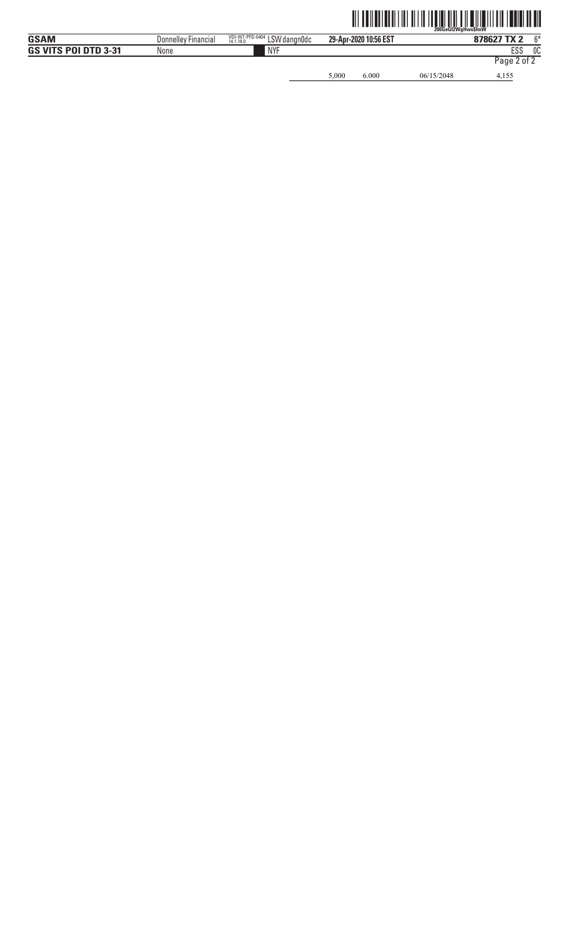5,000 6.000 06/15/2048 4,155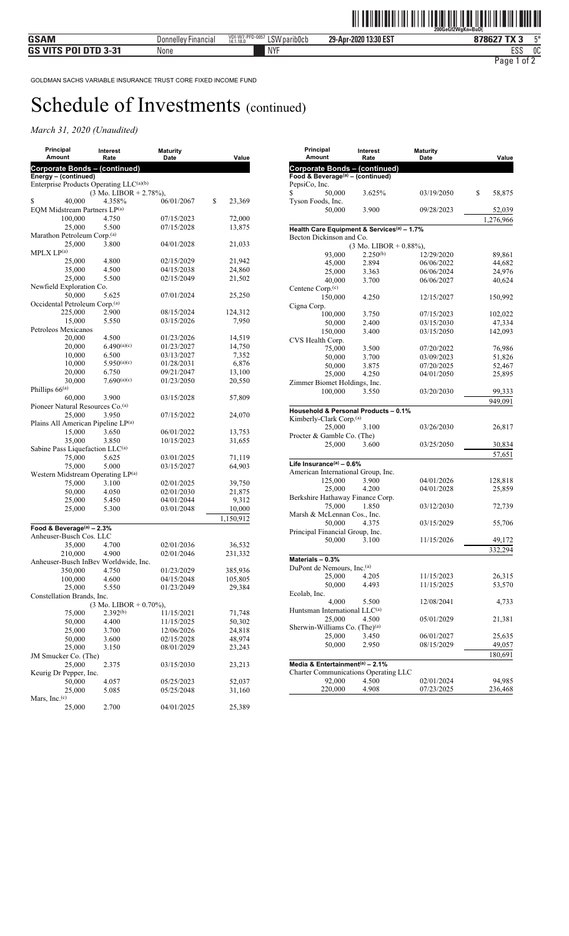| Principal<br>Amount                           | Interest<br>Rate                   | <b>Maturity</b><br>Date  | Value             |
|-----------------------------------------------|------------------------------------|--------------------------|-------------------|
| <b>Corporate Bonds - (continued)</b>          |                                    |                          |                   |
| Energy - (continued)                          |                                    |                          |                   |
| Enterprise Products Operating LLC(a)(b)       |                                    |                          |                   |
|                                               | $(3 \text{ Mo. LIBOR} + 2.78\%),$  |                          |                   |
| \$<br>40.000                                  | 4.358%                             | 06/01/2067               | \$<br>23,369      |
| EQM Midstream Partners LP(a)<br>100,000       | 4.750                              | 07/15/2023               | 72,000            |
| 25,000                                        | 5.500                              | 07/15/2028               | 13,875            |
| Marathon Petroleum Corp.(a)                   |                                    |                          |                   |
| 25,000                                        | 3.800                              | 04/01/2028               | 21,033            |
| MPLX LP <sup>(a)</sup>                        |                                    |                          |                   |
| 25,000                                        | 4.800                              | 02/15/2029               | 21,942            |
| 35,000                                        | 4.500                              | 04/15/2038               | 24,860            |
| 25,000<br>Newfield Exploration Co.            | 5.500                              | 02/15/2049               | 21,502            |
| 50,000                                        | 5.625                              | 07/01/2024               | 25,250            |
| Occidental Petroleum Corp.(a)                 |                                    |                          |                   |
| 225,000                                       | 2.900                              | 08/15/2024               | 124,312           |
| 15,000                                        | 5.550                              | 03/15/2026               | 7,950             |
| Petroleos Mexicanos                           |                                    |                          |                   |
| 20,000                                        | 4.500                              | 01/23/2026               | 14,519            |
| 20,000                                        | 6.490(a)(c)                        | 01/23/2027               | 14,750            |
| 10,000                                        | 6.500                              | 03/13/2027               | 7,352             |
| 10,000<br>20,000                              | 5.950(a)(c)<br>6.750               | 01/28/2031<br>09/21/2047 | 6,876<br>13,100   |
| 30,000                                        | 7.690(a)(c)                        | 01/23/2050               | 20,550            |
| Phillips 66(a)                                |                                    |                          |                   |
| 60,000                                        | 3.900                              | 03/15/2028               | 57,809            |
| Pioneer Natural Resources Co. <sup>(a)</sup>  |                                    |                          |                   |
| 25,000                                        | 3.950                              | 07/15/2022               | 24,070            |
| Plains All American Pipeline LP(a)            |                                    |                          |                   |
| 15,000                                        | 3.650                              | 06/01/2022               | 13,753            |
| 35,000                                        | 3.850                              | 10/15/2023               | 31,655            |
| Sabine Pass Liquefaction LLC(a)<br>75,000     | 5.625                              | 03/01/2025               |                   |
| 75,000                                        | 5.000                              | 03/15/2027               | 71,119<br>64,903  |
| Western Midstream Operating LP <sup>(a)</sup> |                                    |                          |                   |
| 75,000                                        | 3.100                              | 02/01/2025               | 39,750            |
| 50,000                                        | 4.050                              | 02/01/2030               | 21,875            |
| 25,000                                        | 5.450                              | 04/01/2044               | 9,312             |
| 25,000                                        | 5.300                              | 03/01/2048               | 10,000            |
|                                               |                                    |                          | 1,150,912         |
| Food & Beverage(a) - 2.3%                     |                                    |                          |                   |
| Anheuser-Busch Cos. LLC                       |                                    |                          |                   |
| 35,000<br>210,000                             | 4.700<br>4.900                     | 02/01/2036<br>02/01/2046 | 36,532<br>231,332 |
| Anheuser-Busch InBev Worldwide, Inc.          |                                    |                          |                   |
| 350,000                                       | 4.750                              | 01/23/2029               | 385,936           |
| 100,000                                       | 4.600                              | 04/15/2048               | 105,805           |
| 25,000                                        | 5.550                              | 01/23/2049               | 29,384            |
| Constellation Brands, Inc.                    |                                    |                          |                   |
|                                               | $(3 \text{ Mo. LIBOR} + 0.70\%)$ , |                          |                   |
| 75,000                                        | $2.392^{(b)}$                      | 11/15/2021               | 71,748            |
| 50,000                                        | 4.400                              | 11/15/2025               | 50,302            |
| 25,000                                        | 3.700                              | 12/06/2026               | 24,818            |
| 50,000<br>25,000                              | 3.600<br>3.150                     | 02/15/2028<br>08/01/2029 | 48,974<br>23,243  |
| JM Smucker Co. (The)                          |                                    |                          |                   |
| 25,000                                        | 2.375                              | 03/15/2030               | 23,213            |
| Keurig Dr Pepper, Inc.                        |                                    |                          |                   |
| 50,000                                        | 4.057                              | 05/25/2023               | 52,037            |
| 25,000                                        | 5.085                              | 05/25/2048               | 31,160            |
| Mars, Inc. $(c)$                              |                                    |                          |                   |
| 25,000                                        | 2.700                              | 04/01/2025               | 25,389            |

| Principal<br>Amount                                    | Interest<br>Rate                  | <b>Maturity</b><br>Date | Value        |
|--------------------------------------------------------|-----------------------------------|-------------------------|--------------|
| <b>Corporate Bonds - (continued)</b>                   |                                   |                         |              |
| Food & Beverage <sup>(a)</sup> - (continued)           |                                   |                         |              |
| PepsiCo, Inc.                                          |                                   |                         |              |
| 50,000<br>S                                            | 3.625%                            | 03/19/2050              | \$<br>58,875 |
| Tyson Foods, Inc.                                      |                                   |                         |              |
| 50,000                                                 | 3.900                             | 09/28/2023              | 52,039       |
|                                                        |                                   |                         | 1,276,966    |
|                                                        |                                   |                         |              |
| Health Care Equipment & Services <sup>(a)</sup> - 1.7% |                                   |                         |              |
| Becton Dickinson and Co.                               |                                   |                         |              |
|                                                        | $(3 \text{ Mo. LIBOR} + 0.88\%),$ |                         |              |
| 93,000                                                 | $2.250^{(b)}$                     | 12/29/2020              | 89,861       |
| 45,000                                                 | 2.894                             | 06/06/2022              | 44,682       |
| 25,000                                                 | 3.363                             | 06/06/2024              | 24,976       |
| 40,000                                                 | 3.700                             | 06/06/2027              | 40,624       |
| Centene Corp. <sup>(c)</sup>                           |                                   |                         |              |
| 150,000                                                | 4.250                             | 12/15/2027              | 150,992      |
| Cigna Corp.                                            |                                   |                         |              |
| 100,000                                                | 3.750                             | 07/15/2023              | 102,022      |
| 50,000                                                 | 2.400                             | 03/15/2030              | 47,334       |
| 150,000                                                | 3.400                             | 03/15/2050              | 142,093      |
| CVS Health Corp.                                       |                                   |                         |              |
| 75,000                                                 | 3.500                             | 07/20/2022              | 76,986       |
|                                                        |                                   | 03/09/2023              |              |
| 50,000                                                 | 3.700                             |                         | 51,826       |
| 50,000                                                 | 3.875                             | 07/20/2025              | 52,467       |
| 25,000                                                 | 4.250                             | 04/01/2050              | 25,895       |
| Zimmer Biomet Holdings, Inc.                           |                                   |                         |              |
| 100,000                                                | 3.550                             | 03/20/2030              | 99,333       |
|                                                        |                                   |                         | 949,091      |
| Household & Personal Products - 0.1%                   |                                   |                         |              |
| Kimberly-Clark Corp. <sup>(a)</sup>                    |                                   |                         |              |
| 25,000                                                 | 3.100                             | 03/26/2030              | 26,817       |
| Procter & Gamble Co. (The)                             |                                   |                         |              |
| 25,000                                                 | 3.600                             | 03/25/2050              | 30,834       |
|                                                        |                                   |                         |              |
|                                                        |                                   |                         | 57,651       |
| Life Insurance(a) $-0.6\%$                             |                                   |                         |              |
| American International Group, Inc.                     |                                   |                         |              |
| 125,000                                                | 3.900                             | 04/01/2026              | 128,818      |
| 25,000                                                 | 4.200                             | 04/01/2028              | 25,859       |
| Berkshire Hathaway Finance Corp.                       |                                   |                         |              |
| 75,000                                                 | 1.850                             | 03/12/2030              | 72,739       |
| Marsh & McLennan Cos., Inc.                            |                                   |                         |              |
| 50,000                                                 | 4.375                             | 03/15/2029              | 55,706       |
| Principal Financial Group, Inc.                        |                                   |                         |              |
| 50,000                                                 | 3.100                             | 11/15/2026              | 49,172       |
|                                                        |                                   |                         |              |
|                                                        |                                   |                         | 332,294      |
| Materials - 0.3%                                       |                                   |                         |              |
| DuPont de Nemours, Inc.(a)                             |                                   |                         |              |
| 25,000                                                 | 4.205                             | 11/15/2023              | 26,315       |
| 50,000                                                 | 4.493                             | 11/15/2025              | 53,570       |
| Ecolab, Inc.                                           |                                   |                         |              |
| 4,000                                                  | 5.500                             | 12/08/2041              | 4,733        |
| Huntsman International LLC <sup>(a)</sup>              |                                   |                         |              |
| 25,000                                                 | 4.500                             | 05/01/2029              | 21,381       |
| Sherwin-Williams Co. (The) <sup>(a)</sup>              |                                   |                         |              |
| 25,000                                                 | 3.450                             | 06/01/2027              | 25,635       |
| 50,000                                                 | 2.950                             | 08/15/2029              | 49,057       |
|                                                        |                                   |                         |              |
|                                                        |                                   |                         | 180,691      |
| Media & Entertainment <sup>(a)</sup> - 2.1%            |                                   |                         |              |
| Charter Communications Operating LLC                   |                                   |                         |              |
| 92,000                                                 | 4.500                             | 02/01/2024              | 94,985       |
| 220,000                                                | 4.908                             | 07/23/2025              | 236,468      |
|                                                        |                                   |                         |              |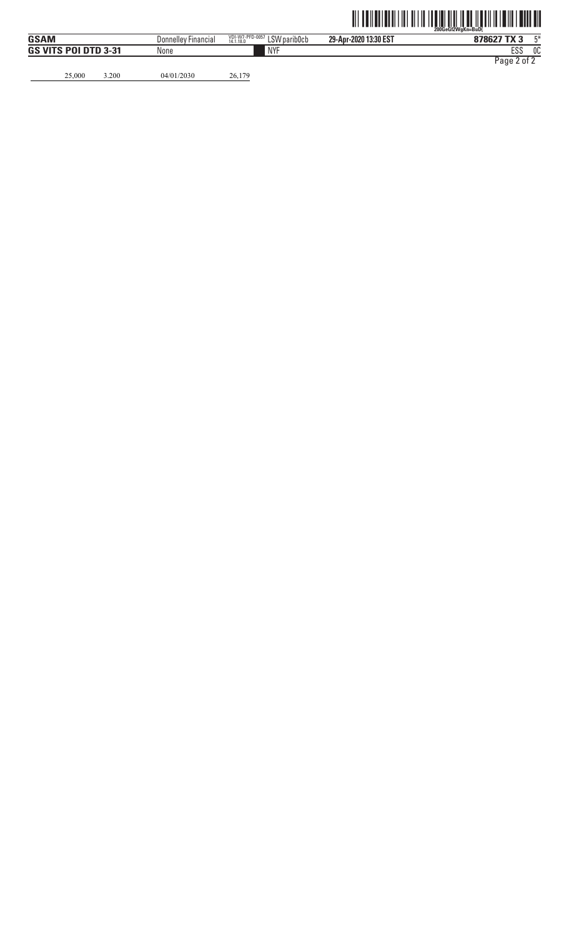25,000 3.200 04/01/2030 26,179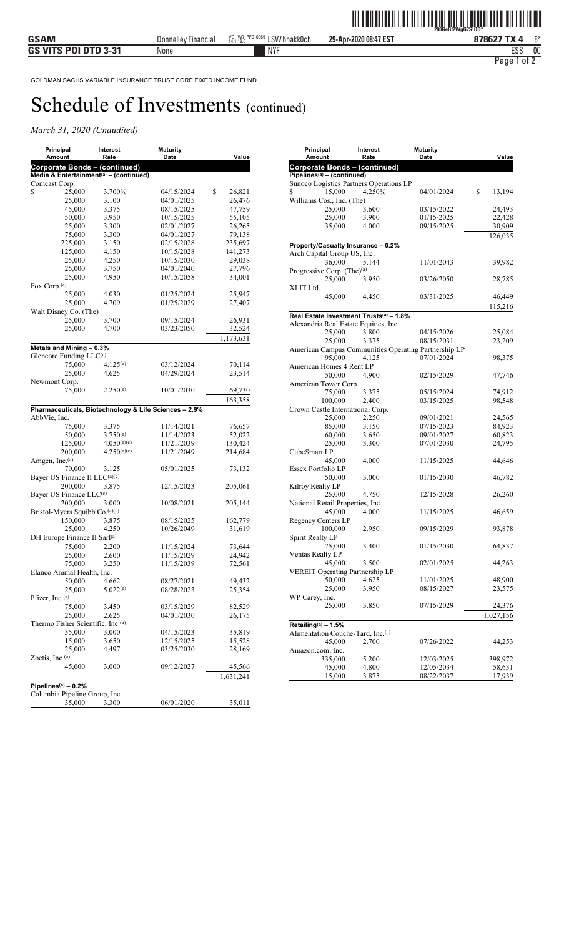| Principal<br><b>Amount</b>                              | Interest<br>Rate | <b>Maturity</b><br>Date                               | Value              |
|---------------------------------------------------------|------------------|-------------------------------------------------------|--------------------|
| Corporate Bonds - (continued)                           |                  |                                                       |                    |
| Media & Entertainment <sup>(a)</sup> - (continued)      |                  |                                                       |                    |
| Comcast Corp.                                           |                  |                                                       |                    |
| \$<br>25,000                                            | 3.700%           | 04/15/2024                                            | \$<br>26,821       |
| 25,000                                                  | 3.100            | 04/01/2025                                            | 26,476             |
| 45,000                                                  | 3.375            | 08/15/2025                                            | 47,759             |
| 50,000                                                  | 3.950            | 10/15/2025                                            | 55,105             |
| 25,000                                                  | 3.300            | 02/01/2027                                            | 26,265             |
| 75,000                                                  | 3.300            | 04/01/2027                                            | 79,138             |
| 225,000<br>125,000                                      | 3.150<br>4.150   | 02/15/2028<br>10/15/2028                              | 235,697<br>141,273 |
|                                                         | 4.250            | 10/15/2030                                            | 29,038             |
| 25,000<br>25,000                                        | 3.750            | 04/01/2040                                            | 27,796             |
| 25,000                                                  | 4.950            | 10/15/2058                                            | 34,001             |
| Fox Corp. <sup>(c)</sup>                                |                  |                                                       |                    |
| 25,000                                                  | 4.030            | 01/25/2024                                            | 25,947             |
| 25,000                                                  | 4.709            | 01/25/2029                                            | 27,407             |
| Walt Disney Co. (The)                                   |                  |                                                       |                    |
| 25,000                                                  | 3.700            | 09/15/2024                                            | 26,931             |
| 25,000                                                  | 4.700            | 03/23/2050                                            | 32,524             |
|                                                         |                  |                                                       |                    |
|                                                         |                  |                                                       | 1,173,631          |
| Metals and Mining - 0.3%                                |                  |                                                       |                    |
| Glencore Funding $LLC^{(c)}$                            |                  |                                                       |                    |
| 75,000                                                  | $4.125^{(a)}$    | 03/12/2024                                            | 70,114             |
| 25,000                                                  | 4.625            | 04/29/2024                                            | 23,514             |
| Newmont Corp.                                           | $2.250^{(a)}$    |                                                       |                    |
| 75,000                                                  |                  | 10/01/2030                                            | 69,730             |
|                                                         |                  |                                                       | 163,358            |
|                                                         |                  | Pharmaceuticals, Biotechnology & Life Sciences - 2.9% |                    |
| AbbVie, Inc.                                            |                  |                                                       |                    |
| 75,000                                                  | 3.375            | 11/14/2021                                            | 76,657             |
| 50,000                                                  | $3.750^{(a)}$    | 11/14/2023                                            | 52,022             |
| 125,000                                                 | 4.050(a)(c)      | 11/21/2039                                            | 130,424            |
| 200,000                                                 | 4.250(a)(c)      | 11/21/2049                                            | 214,684            |
| Amgen, Inc.(a)                                          |                  |                                                       |                    |
| 70,000<br>Bayer US Finance II LLC(a)(c)                 | 3.125            | 05/01/2025                                            | 73,132             |
|                                                         |                  |                                                       |                    |
| 200,000<br>Bayer US Finance LLC <sup>(c)</sup>          | 3.875            | 12/15/2023                                            | 205,061            |
| 200,000                                                 |                  | 10/08/2021                                            |                    |
| Bristol-Myers Squibb Co.(a)(c)                          | 3.000            |                                                       | 205,144            |
| 150,000                                                 | 3.875            | 08/15/2025                                            | 162,779            |
| 25,000                                                  | 4.250            | 10/26/2049                                            | 31,619             |
| DH Europe Finance II Sarl <sup>(a)</sup>                |                  |                                                       |                    |
|                                                         |                  | 11/15/2024                                            |                    |
| 75,000<br>25,000                                        | 2.200<br>2.600   | 11/15/2029                                            | 73,644<br>24,942   |
| 75,000                                                  |                  | 11/15/2039                                            | 72,561             |
| Elanco Animal Health, Inc.                              | 3.250            |                                                       |                    |
| 50,000                                                  | 4.662            | 08/27/2021                                            | 49,432             |
| 25,000                                                  | $5.022^{(a)}$    | 08/28/2023                                            | 25,354             |
| Pfizer, Inc.(a)                                         |                  |                                                       |                    |
| 75,000                                                  | 3.450            | 03/15/2029                                            | 82,529             |
| 25,000                                                  | 2.625            | 04/01/2030                                            | 26,175             |
| Thermo Fisher Scientific, Inc. <sup>(a)</sup>           |                  |                                                       |                    |
| 35,000                                                  | 3.000            | 04/15/2023                                            | 35,819             |
| 15,000                                                  | 3.650            | 12/15/2025                                            | 15,528             |
| 25,000                                                  | 4.497            | 03/25/2030                                            | 28,169             |
| Zoetis, Inc. $(a)$                                      |                  |                                                       |                    |
| 45,000                                                  | 3.000            | 09/12/2027                                            | 45,566             |
|                                                         |                  |                                                       | 1,631,241          |
|                                                         |                  |                                                       |                    |
| Pipelines $(a)$ – 0.2%<br>Columbia Pipeline Group, Inc. |                  |                                                       |                    |
| 35,000                                                  | 3.300            | 06/01/2020                                            | 35,011             |
|                                                         |                  |                                                       |                    |

| Principal<br>Amount                           | Interest<br>Rate | <b>Maturity</b><br>Date                              | Value        |
|-----------------------------------------------|------------------|------------------------------------------------------|--------------|
| <b>Corporate Bonds - (continued)</b>          |                  |                                                      |              |
| $Pipelines(a) - (continued)$                  |                  |                                                      |              |
| Sunoco Logistics Partners Operations LP       |                  |                                                      |              |
| 15,000<br>\$                                  | 4.250%           | 04/01/2024                                           | \$<br>13,194 |
| Williams Cos., Inc. (The)                     |                  |                                                      |              |
| 25,000                                        | 3.600            | 03/15/2022                                           | 24,493       |
| 25,000                                        | 3.900            | 01/15/2025                                           | 22,428       |
| 35,000                                        | 4.000            | 09/15/2025                                           | 30,909       |
|                                               |                  |                                                      | 126,035      |
| Property/Casualty Insurance - 0.2%            |                  |                                                      |              |
| Arch Capital Group US, Inc.                   |                  |                                                      |              |
| 36,000                                        | 5.144            | 11/01/2043                                           | 39,982       |
| Progressive Corp. (The) <sup>(a)</sup>        |                  |                                                      |              |
| 25,000                                        | 3.950            | 03/26/2050                                           | 28,785       |
| XLIT Ltd.                                     |                  |                                                      |              |
| 45,000                                        | 4.450            | 03/31/2025                                           | 46,449       |
|                                               |                  |                                                      | 115,216      |
| Real Estate Investment Trusts(a) - 1.8%       |                  |                                                      |              |
| Alexandria Real Estate Equities, Inc.         |                  |                                                      |              |
| 25,000                                        | 3.800            | 04/15/2026                                           | 25,084       |
| 25,000                                        | 3.375            | 08/15/2031                                           | 23,209       |
|                                               |                  | American Campus Communities Operating Partnership LP |              |
| 95,000                                        | 4.125            | 07/01/2024                                           | 98,375       |
| American Homes 4 Rent LP                      |                  |                                                      |              |
| 50,000                                        | 4.900            | 02/15/2029                                           | 47,746       |
| American Tower Corp.                          |                  |                                                      |              |
| 75,000                                        | 3.375            | 05/15/2024                                           | 74,912       |
| 100,000                                       | 2.400            | 03/15/2025                                           | 98,548       |
| Crown Castle International Corp.              |                  |                                                      |              |
| 25,000                                        | 2.250            | 09/01/2021                                           | 24,565       |
| 85,000                                        | 3.150            | 07/15/2023                                           | 84,923       |
| 60,000                                        | 3.650            | 09/01/2027                                           | 60,823       |
| 25,000<br>CubeSmart LP                        | 3.300            | 07/01/2030                                           | 24,795       |
| 45,000                                        | 4.000            | 11/15/2025                                           | 44,646       |
| Essex Portfolio LP                            |                  |                                                      |              |
| 50,000                                        | 3.000            | 01/15/2030                                           | 46,782       |
| Kilroy Realty LP                              |                  |                                                      |              |
| 25,000                                        | 4.750            | 12/15/2028                                           | 26,260       |
| National Retail Properties, Inc.              |                  |                                                      |              |
| 45,000                                        | 4.000            | 11/15/2025                                           | 46,659       |
| Regency Centers LP                            |                  |                                                      |              |
| 100,000                                       | 2.950            | 09/15/2029                                           | 93,878       |
| Spirit Realty LP                              |                  |                                                      |              |
| 75,000                                        | 3.400            | 01/15/2030                                           | 64,837       |
| <b>Ventas Realty LP</b>                       |                  |                                                      |              |
| 45,000                                        | 3.500            | 02/01/2025                                           | 44,263       |
| <b>VEREIT Operating Partnership LP</b>        |                  |                                                      |              |
| 50,000                                        | 4.625            | 11/01/2025                                           | 48,900       |
| 25,000                                        | 3.950            | 08/15/2027                                           | 23,575       |
| WP Carey, Inc.                                |                  |                                                      |              |
| 25,000                                        | 3.850            | 07/15/2029                                           | 24,376       |
|                                               |                  |                                                      | 1,027,156    |
| Retailing(a) $- 1.5%$                         |                  |                                                      |              |
| Alimentation Couche-Tard, Inc. <sup>(c)</sup> |                  |                                                      |              |
| 45,000                                        | 2.700            | 07/26/2022                                           | 44,253       |
| Amazon.com, Inc.                              |                  |                                                      |              |
| 335,000                                       | 5.200            | 12/03/2025                                           | 398,972      |
| 45,000                                        | 4.800            | 12/05/2034                                           | 58,631       |
| 15,000                                        | 3.875            | 08/22/2037                                           | 17,939       |
|                                               |                  |                                                      |              |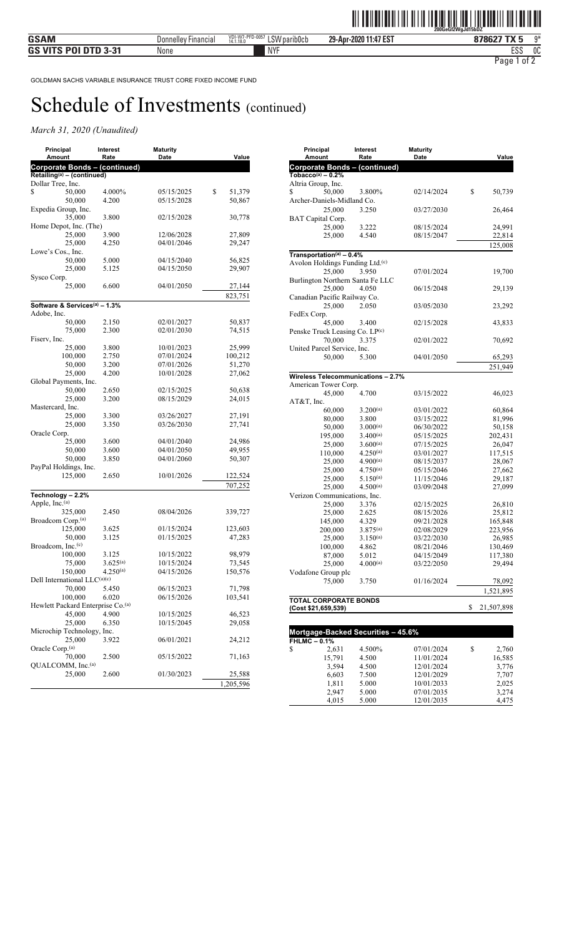| Principal<br>Amount                           | Interest<br>Rate | <b>Maturity</b><br>Date | Value        |
|-----------------------------------------------|------------------|-------------------------|--------------|
| Corporate Bonds - (continued)                 |                  |                         |              |
| $Retailing(a) - (continued)$                  |                  |                         |              |
| Dollar Tree, Inc.                             |                  |                         |              |
| \$<br>50,000                                  | 4.000%           | 05/15/2025              | \$<br>51,379 |
| 50,000                                        | 4.200            | 05/15/2028              | 50,867       |
| Expedia Group, Inc.                           |                  |                         |              |
| 35,000                                        | 3.800            | 02/15/2028              | 30,778       |
| Home Depot, Inc. (The)                        |                  |                         |              |
| 25,000                                        | 3.900            | 12/06/2028              | 27,809       |
| 25,000                                        | 4.250            | 04/01/2046              | 29,247       |
| Lowe's Cos., Inc.                             |                  |                         |              |
| 50.000                                        | 5.000            | 04/15/2040              | 56,825       |
| 25,000                                        | 5.125            | 04/15/2050              | 29,907       |
| Sysco Corp.                                   |                  |                         |              |
| 25,000                                        | 6.600            | 04/01/2050              | 27,144       |
|                                               |                  |                         | 823,751      |
| Software & Services <sup>(a)</sup> - 1.3%     |                  |                         |              |
| Adobe, Inc.                                   |                  |                         |              |
| 50,000                                        | 2.150            | 02/01/2027              | 50,837       |
| 75,000                                        | 2.300            | 02/01/2030              | 74,515       |
| Fiserv, Inc.                                  |                  |                         |              |
| 25,000                                        | 3.800            | 10/01/2023              | 25,999       |
| 100,000                                       | 2.750            | 07/01/2024              | 100,212      |
| 50,000                                        | 3.200            | 07/01/2026              | 51,270       |
| 25,000                                        | 4.200            | 10/01/2028              | 27,062       |
| Global Payments, Inc.                         |                  |                         |              |
| 50,000                                        | 2.650            | 02/15/2025              | 50,638       |
| 25,000                                        | 3.200            | 08/15/2029              | 24,015       |
| Mastercard, Inc.                              |                  |                         |              |
| 25,000                                        | 3.300            | 03/26/2027              | 27,191       |
| 25,000                                        | 3.350            | 03/26/2030              | 27,741       |
| Oracle Corp.                                  |                  |                         |              |
| 25,000                                        | 3.600            | 04/01/2040              | 24,986       |
| 50,000                                        | 3.600            | 04/01/2050              | 49,955       |
| 50,000                                        | 3.850            | 04/01/2060              | 50,307       |
| PayPal Holdings, Inc.                         |                  |                         |              |
| 125,000                                       | 2.650            | 10/01/2026              |              |
|                                               |                  |                         | 122,524      |
|                                               |                  |                         | 707,252      |
| Technology - 2.2%                             |                  |                         |              |
| Apple, $Inc(a)$                               |                  |                         |              |
| 325,000                                       | 2.450            | 08/04/2026              | 339,727      |
| Broadcom Corp. <sup>(a)</sup>                 |                  |                         |              |
| 125,000                                       | 3.625            | 01/15/2024              | 123,603      |
| 50.000                                        | 3.125            | 01/15/2025              | 47,283       |
| Broadcom, Inc. <sup>(c)</sup>                 |                  |                         |              |
| 100,000                                       | 3.125            | 10/15/2022              | 98,979       |
| 75,000                                        | $3.625^{(a)}$    | 10/15/2024              | 73,545       |
| 150,000                                       | $4.250^{(a)}$    | 04/15/2026              | 150,576      |
| Dell International LLC(a)(c)                  |                  |                         |              |
| 70,000                                        | 5.450            | 06/15/2023              | 71,798       |
| 100,000                                       | 6.020            | 06/15/2026              | 103,541      |
| Hewlett Packard Enterprise Co. <sup>(a)</sup> |                  |                         |              |
| 45,000                                        | 4.900            | 10/15/2025              | 46,523       |
| 25,000                                        | 6.350            | 10/15/2045              | 29,058       |
| Microchip Technology, Inc.                    |                  |                         |              |
| 25,000                                        | 3.922            | 06/01/2021              | 24,212       |
| Oracle Corp. <sup>(a)</sup>                   |                  |                         |              |
| 70.000                                        | 2.500            | 05/15/2022              | 71,163       |
| QUALCOMM, Inc. <sup>(a)</sup>                 |                  |                         |              |
| 25,000                                        | 2.600            | 01/30/2023              | 25,588       |
|                                               |                  |                         | 1,205,596    |
|                                               |                  |                         |              |

| Principal<br>Amount                                        | Interest<br>Rate               | <b>Maturity</b><br>Date  | Value            |
|------------------------------------------------------------|--------------------------------|--------------------------|------------------|
| <b>Corporate Bonds - (continued)</b>                       |                                |                          |                  |
| Tobacco <sup>(a)</sup> $-0.2%$                             |                                |                          |                  |
| Altria Group, Inc.                                         |                                |                          |                  |
| \$<br>50,000                                               | 3.800%                         | 02/14/2024               | \$<br>50,739     |
| Archer-Daniels-Midland Co.                                 |                                |                          |                  |
| 25,000                                                     | 3.250                          | 03/27/2030               | 26,464           |
| BAT Capital Corp.                                          |                                |                          |                  |
| 25,000                                                     | 3.222                          | 08/15/2024               | 24,991           |
| 25,000                                                     | 4.540                          | 08/15/2047               | 22,814           |
|                                                            |                                |                          | 125,008          |
| Transportation(a) $-0.4%$                                  |                                |                          |                  |
| Avolon Holdings Funding Ltd. <sup>(c)</sup>                |                                |                          |                  |
| 25,000                                                     | 3.950                          | 07/01/2024               | 19,700           |
| Burlington Northern Santa Fe LLC                           |                                |                          |                  |
| 25,000                                                     | 4.050                          | 06/15/2048               | 29,139           |
| Canadian Pacific Railway Co.                               |                                |                          |                  |
| 25,000                                                     | 2.050                          | 03/05/2030               | 23,292           |
| FedEx Corp.                                                |                                |                          |                  |
| 45,000                                                     | 3.400                          | 02/15/2028               | 43,833           |
| Penske Truck Leasing Co. LP(c)                             |                                |                          |                  |
| 70,000                                                     | 3.375                          | 02/01/2022               | 70,692           |
| United Parcel Service, Inc.                                |                                |                          |                  |
| 50,000                                                     | 5.300                          | 04/01/2050               | 65,293           |
|                                                            |                                |                          | 251,949          |
|                                                            |                                |                          |                  |
| Wireless Telecommunications - 2.7%<br>American Tower Corp. |                                |                          |                  |
| 45,000                                                     |                                | 03/15/2022               | 46,023           |
| AT&T, Inc.                                                 | 4.700                          |                          |                  |
|                                                            |                                | 03/01/2022               |                  |
| 60,000                                                     | 3.200(a)                       |                          | 60,864           |
| 80,000                                                     | 3.800                          | 03/15/2022               | 81,996           |
| 50,000                                                     | 3.000(a)                       | 06/30/2022               | 50,158           |
| 195,000                                                    | $3.400^{(a)}$                  | 05/15/2025               | 202,431          |
| 25,000                                                     | $3.600^{(a)}$                  | 07/15/2025<br>03/01/2027 | 26,047           |
| 110,000                                                    | $4.250^{(a)}$                  |                          | 117,515          |
| 25,000                                                     | $4.900^{(a)}$                  | 08/15/2037               | 28,067           |
| 25,000                                                     | $4.750^{(a)}$<br>$5.150^{(a)}$ | 05/15/2046<br>11/15/2046 | 27,662           |
| 25,000<br>25,000                                           | 4.500(a)                       | 03/09/2048               | 29,187           |
| Verizon Communications, Inc.                               |                                |                          | 27,099           |
| 25,000                                                     | 3.376                          | 02/15/2025               | 26,810           |
| 25,000                                                     | 2.625                          | 08/15/2026               | 25,812           |
| 145,000                                                    | 4.329                          | 09/21/2028               | 165,848          |
| 200,000                                                    | $3.875^{(a)}$                  | 02/08/2029               | 223,956          |
| 25,000                                                     | $3.150^{(a)}$                  | 03/22/2030               | 26,985           |
| 100,000                                                    | 4.862                          | 08/21/2046               | 130,469          |
| 87,000                                                     | 5.012                          | 04/15/2049               | 117,380          |
| 25,000                                                     | $4.000^{(a)}$                  | 03/22/2050               | 29,494           |
| Vodafone Group plc                                         |                                |                          |                  |
| 75,000                                                     | 3.750                          | 01/16/2024               |                  |
|                                                            |                                |                          | 78,092           |
|                                                            |                                |                          | 1,521,895        |
| <b>TOTAL CORPORATE BONDS</b>                               |                                |                          |                  |
| (Cost \$21,659,539)                                        |                                |                          | \$<br>21,507,898 |
|                                                            |                                |                          |                  |
| Mortgage-Backed Securities - 45.6%                         |                                |                          |                  |
| <b>FHLMC-0.1%</b>                                          |                                |                          |                  |
| 2631                                                       | $A$ 5000/                      | 07/01/2024               | 2.760            |

|                   | <u>Mongage-Backed becumes</u> – 49.070 |            |   |        |
|-------------------|----------------------------------------|------------|---|--------|
| <b>FHLMC-0.1%</b> |                                        |            |   |        |
| \$<br>2,631       | 4.500%                                 | 07/01/2024 | S | 2,760  |
| 15,791            | 4.500                                  | 11/01/2024 |   | 16,585 |
| 3,594             | 4.500                                  | 12/01/2024 |   | 3,776  |
| 6.603             | 7.500                                  | 12/01/2029 |   | 7.707  |
| 1,811             | 5.000                                  | 10/01/2033 |   | 2,025  |
| 2.947             | 5.000                                  | 07/01/2035 |   | 3,274  |
| 4,015             | 5.000                                  | 12/01/2035 |   | 4.475  |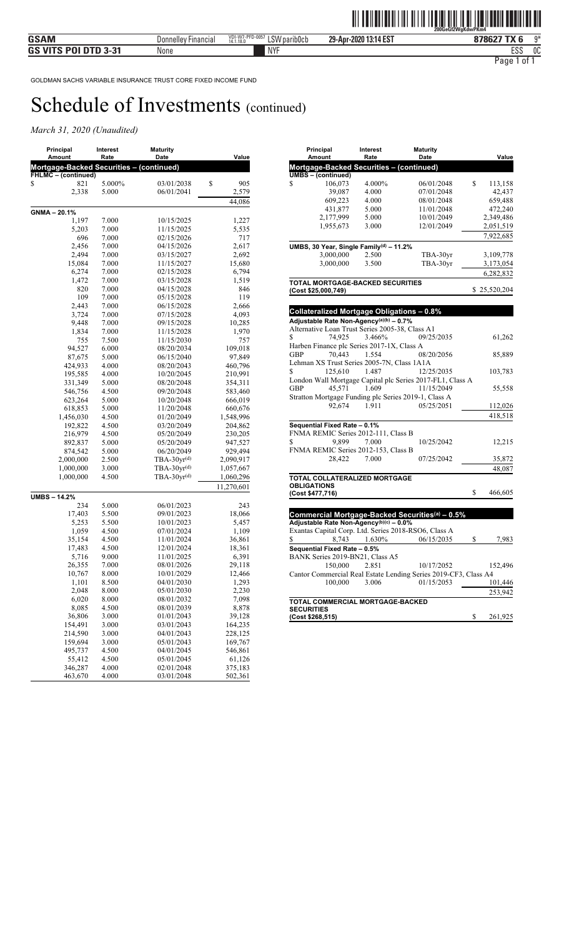### *March 31, 2020 (Unaudited)*

| Principal<br>Amount                      | Interest<br>Rate | <b>Maturity</b><br>Date  | Value           |
|------------------------------------------|------------------|--------------------------|-----------------|
| Mortgage-Backed Securities – (continued) |                  |                          |                 |
| <b>FHLMC</b> – (continued)               |                  |                          |                 |
| 821<br>\$                                | 5.000%           | 03/01/2038               | \$<br>905       |
| 2,338                                    | 5.000            | 06/01/2041               | 2,579           |
|                                          |                  |                          | 44,086          |
| GNMA-20.1%                               |                  |                          |                 |
| 1,197                                    | 7.000            | 10/15/2025               | 1,227           |
| 5,203                                    | 7.000            | 11/15/2025               | 5,535           |
| 696                                      | 7.000            | 02/15/2026               | 717             |
| 2,456                                    | 7.000            | 04/15/2026               | 2,617           |
| 2,494                                    | 7.000            | 03/15/2027               | 2,692           |
| 15,084                                   | 7.000            | 11/15/2027               | 15,680          |
| 6,274                                    | 7.000            | 02/15/2028               | 6,794           |
| 1,472                                    | 7.000            | 03/15/2028               | 1,519           |
| 820                                      | 7.000            | 04/15/2028               | 846             |
| 109<br>2,443                             | 7.000            | 05/15/2028               | 119             |
| 3,724                                    | 7.000<br>7.000   | 06/15/2028<br>07/15/2028 | 2,666<br>4,093  |
| 9,448                                    | 7.000            | 09/15/2028               | 10,285          |
| 1,834                                    | 7.000            | 11/15/2028               | 1,970           |
| 755                                      | 7.500            | 11/15/2030               | 757             |
| 94,527                                   | 6.000            | 08/20/2034               | 109,018         |
| 87,675                                   | 5.000            | 06/15/2040               | 97,849          |
| 424,933                                  | 4.000            | 08/20/2043               | 460,796         |
| 195,585                                  | 4.000            | 10/20/2045               | 210,991         |
| 331,349                                  | 5.000            | 08/20/2048               | 354,311         |
| 546,756                                  | 4.500            | 09/20/2048               | 583,460         |
| 623,264                                  | 5.000            | 10/20/2048               | 666,019         |
| 618,853                                  | 5.000            | 11/20/2048               | 660,676         |
| 1,456,030                                | 4.500            | 01/20/2049               | 1,548,996       |
| 192,822                                  | 4.500            | 03/20/2049               | 204,862         |
| 216,979                                  | 4.500            | 05/20/2049               | 230,205         |
| 892,837                                  | 5.000            | 05/20/2049               | 947,527         |
| 874,542                                  | 5.000            | 06/20/2049               | 929,494         |
| 2,000,000                                | 2.500            | $TBA-30yr^{(d)}$         | 2,090,917       |
| 1,000,000                                | 3.000            | $TBA-30yr^{(d)}$         | 1,057,667       |
| 1,000,000                                | 4.500            | $TBA-30yr^{(d)}$         | 1,060,296       |
|                                          |                  |                          | 11,270,601      |
| <b>UMBS-14.2%</b>                        |                  |                          |                 |
| 234                                      | 5.000            | 06/01/2023               | 243             |
| 17,403                                   | 5.500            | 09/01/2023               | 18,066          |
| 5,253                                    | 5.500            | 10/01/2023               | 5,457           |
| 1,059<br>35,154                          | 4.500<br>4.500   | 07/01/2024<br>11/01/2024 | 1,109<br>36,861 |
| 17,483                                   | 4.500            | 12/01/2024               | 18,361          |
| 5,716                                    | 9.000            | 11/01/2025               | 6,391           |
| 26,355                                   | 7.000            | 08/01/2026               | 29,118          |
| 10,767                                   | 8.000            | 10/01/2029               | 12,466          |
| 1,101                                    | 8.500            | 04/01/2030               | 1,293           |
| 2,048                                    | 8.000            | 05/01/2030               | 2,230           |
| 6,020                                    | 8.000            | 08/01/2032               | 7,098           |
| 8,085                                    | 4.500            | 08/01/2039               | 8,878           |
| 36,806                                   | 3.000            | 01/01/2043               | 39,128          |
| 154,491                                  | 3.000            | 03/01/2043               | 164,235         |
| 214,590                                  | 3.000            | 04/01/2043               | 228,125         |
| 159,694                                  | 3.000            | 05/01/2043               | 169,767         |
| 495,737                                  | 4.500            | 04/01/2045               | 546,861         |
| 55,412                                   | 4.500            | 05/01/2045               | 61,126          |
| 346,287                                  | 4.000            | 02/01/2048               | 375,183         |
| 463,670                                  | 4.000            | 03/01/2048               | 502,361         |

| Principal<br>Amount                                             | Interest<br>Rate | <b>Maturity</b><br>Date | Value         |
|-----------------------------------------------------------------|------------------|-------------------------|---------------|
| Mortgage-Backed Securities – (continued)                        |                  |                         |               |
| <b>UMBS</b> - (continued)                                       |                  |                         |               |
| \$<br>106,073                                                   | 4.000%           | 06/01/2048              | \$<br>113,158 |
| 39,087                                                          | 4.000            | 07/01/2048              | 42,437        |
| 609,223                                                         | 4.000            | 08/01/2048              | 659,488       |
| 431,877                                                         | 5.000            | 11/01/2048              | 472,240       |
| 2,177,999                                                       | 5.000            | 10/01/2049              | 2,349,486     |
| 1,955,673                                                       | 3.000            | 12/01/2049              | 2,051,519     |
|                                                                 |                  |                         |               |
|                                                                 |                  |                         | 7,922,685     |
| UMBS, 30 Year, Single Family <sup>(d)</sup> - 11.2%             |                  |                         |               |
| 3,000,000                                                       | 2.500            | TBA-30yr                | 3,109,778     |
| 3,000,000                                                       | 3.500            | TBA-30yr                | 3,173,054     |
|                                                                 |                  |                         | 6,282,832     |
| <b>TOTAL MORTGAGE-BACKED SECURITIES</b>                         |                  |                         |               |
| (Cost \$25,000,749)                                             |                  |                         | \$25,520,204  |
|                                                                 |                  |                         |               |
|                                                                 |                  |                         |               |
| <b>Collateralized Mortgage Obligations - 0.8%</b>               |                  |                         |               |
| Adjustable Rate Non-Agency <sup>(a)(b)</sup> - 0.7%             |                  |                         |               |
| Alternative Loan Trust Series 2005-38, Class A1                 |                  |                         |               |
| 74,925<br>\$                                                    | 3.466%           | 09/25/2035              | 61,262        |
| Harben Finance plc Series 2017-1X, Class A                      |                  |                         |               |
| 70,443<br><b>GBP</b>                                            | 1.554            | 08/20/2056              | 85,889        |
| Lehman XS Trust Series 2005-7N, Class 1A1A                      |                  |                         |               |
| \$<br>125,610                                                   | 1.487            | 12/25/2035              | 103,783       |
| London Wall Mortgage Capital plc Series 2017-FL1, Class A       |                  |                         |               |
| 45,571<br>GBP                                                   | 1.609            | 11/15/2049              | 55,558        |
| Stratton Mortgage Funding plc Series 2019-1, Class A            |                  |                         |               |
| 92.674                                                          | 1.911            | 05/25/2051              | 112,026       |
|                                                                 |                  |                         | 418,518       |
| Sequential Fixed Rate - 0.1%                                    |                  |                         |               |
| FNMA REMIC Series 2012-111, Class B                             |                  |                         |               |
| \$<br>9.899                                                     | 7.000            | 10/25/2042              | 12,215        |
| FNMA REMIC Series 2012-153, Class B                             |                  |                         |               |
| 28.422                                                          | 7.000            | 07/25/2042              | 35,872        |
|                                                                 |                  |                         | 48,087        |
|                                                                 |                  |                         |               |
| <b>TOTAL COLLATERALIZED MORTGAGE</b><br><b>OBLIGATIONS</b>      |                  |                         |               |
| (Cost \$477,716)                                                |                  |                         | \$<br>466,605 |
|                                                                 |                  |                         |               |
|                                                                 |                  |                         |               |
| Commercial Mortgage-Backed Securities <sup>(a)</sup> - 0.5%     |                  |                         |               |
| Adjustable Rate Non-Agency(b)(c) - 0.0%                         |                  |                         |               |
| Exantas Capital Corp. Ltd. Series 2018-RSO6, Class A            |                  |                         |               |
| 8,743<br>\$                                                     | 1.630%           | 06/15/2035              | \$<br>7,983   |
| Sequential Fixed Rate - 0.5%                                    |                  |                         |               |
| BANK Series 2019-BN21, Class A5                                 |                  |                         |               |
| 150,000                                                         | 2.851            | 10/17/2052              | 152,496       |
| Cantor Commercial Real Estate Lending Series 2019-CF3, Class A4 |                  |                         |               |
| 100,000                                                         | 3.006            | 01/15/2053              | 101,446       |
|                                                                 |                  |                         | 253,942       |
| TOTAL COMMERCIAL MORTGAGE-BACKED                                |                  |                         |               |

**SECURITIES (Cost \$268,515)** \$ 261,925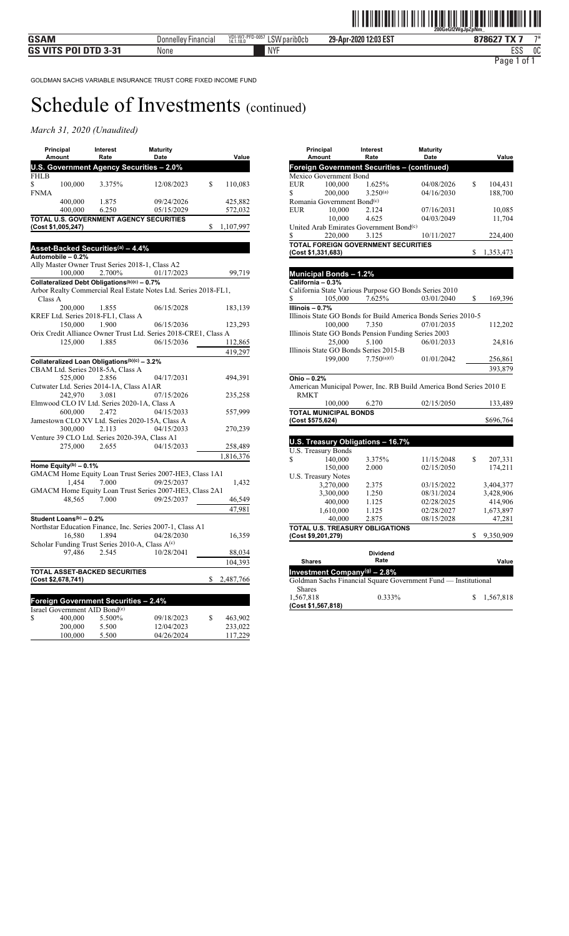### *March 31, 2020 (Unaudited)*

|            | Principal<br>Amount                 | Interest<br>Rate                                            | <b>Maturity</b><br>Date                                               | Value           |
|------------|-------------------------------------|-------------------------------------------------------------|-----------------------------------------------------------------------|-----------------|
|            |                                     |                                                             | U.S. Government Agency Securities - 2.0%                              |                 |
| FHLB       |                                     |                                                             |                                                                       |                 |
| \$<br>FNMA | 100,000                             | 3.375%                                                      | 12/08/2023                                                            | \$<br>110,083   |
|            | 400,000                             | 1.875                                                       | 09/24/2026                                                            | 425,882         |
|            | 400,000                             | 6.250                                                       | 05/15/2029                                                            | 572,032         |
|            |                                     |                                                             | TOTAL U.S. GOVERNMENT AGENCY SECURITIES                               |                 |
|            | (Cost \$1,005,247)                  |                                                             |                                                                       | \$<br>1,107,997 |
|            |                                     |                                                             |                                                                       |                 |
|            |                                     | Asset-Backed Securities <sup>(a)</sup> – 4.4%               |                                                                       |                 |
|            | Automobile - 0.2%                   |                                                             |                                                                       |                 |
|            |                                     |                                                             | Ally Master Owner Trust Series 2018-1, Class A2                       |                 |
|            |                                     | $100,000$ 2.700\%                                           | 01/17/2023                                                            | 99,719          |
|            |                                     | Collateralized Debt Obligations(b)(c) - 0.7%                | Arbor Realty Commercial Real Estate Notes Ltd. Series 2018-FL1,       |                 |
| Class A    |                                     |                                                             |                                                                       |                 |
|            | 200,000                             | 1.855                                                       | 06/15/2028                                                            | 183,139         |
|            |                                     | KREF Ltd. Series 2018-FL1, Class A                          |                                                                       |                 |
|            | 150,000                             | 1.900                                                       | 06/15/2036                                                            | 123,293         |
|            |                                     |                                                             | Orix Credit Alliance Owner Trust Ltd. Series 2018-CRE1, Class A       |                 |
|            | 125,000                             | 1.885                                                       | 06/15/2036                                                            | 112,865         |
|            |                                     |                                                             |                                                                       | 419,297         |
|            |                                     | Collateralized Loan Obligations(b)(c) - 3.2%                |                                                                       |                 |
|            |                                     | CBAM Ltd. Series 2018-5A, Class A                           |                                                                       |                 |
|            | 525,000                             | 2.856                                                       | 04/17/2031                                                            | 494,391         |
|            |                                     | Cutwater Ltd. Series 2014-1A, Class A1AR                    |                                                                       |                 |
|            | 242,970                             | 3.081                                                       | 07/15/2026<br>Elmwood CLO IV Ltd. Series 2020-1A, Class A             | 235,258         |
|            | 600,000 2.472                       |                                                             | 04/15/2033                                                            | 557,999         |
|            |                                     |                                                             | Jamestown CLO XV Ltd. Series 2020-15A, Class A                        |                 |
|            | 300,000                             | 2.113                                                       | 04/15/2033                                                            | 270,239         |
|            |                                     |                                                             | Venture 39 CLO Ltd. Series 2020-39A, Class A1                         |                 |
|            | 275,000                             | 2.655                                                       | 04/15/2033                                                            | 258,489         |
|            |                                     |                                                             |                                                                       | 1,816,376       |
|            | Home Equity <sup>(b)</sup> - 0.1%   |                                                             |                                                                       |                 |
|            | 1.454                               | 7.000                                                       | GMACM Home Equity Loan Trust Series 2007-HE3, Class 1A1<br>09/25/2037 | 1,432           |
|            |                                     |                                                             | GMACM Home Equity Loan Trust Series 2007-HE3, Class 2A1               |                 |
|            | 48,565                              | 7.000                                                       | 09/25/2037                                                            | 46,549          |
|            |                                     |                                                             |                                                                       | 47,981          |
|            | Student Loans <sup>(b)</sup> - 0.2% |                                                             |                                                                       |                 |
|            |                                     |                                                             | Northstar Education Finance, Inc. Series 2007-1, Class A1             |                 |
|            | 16,580                              | 1.894                                                       | 04/28/2030                                                            | 16,359          |
|            |                                     | Scholar Funding Trust Series 2010-A, Class A <sup>(c)</sup> |                                                                       |                 |
|            | 97,486                              | 2.545                                                       | 10/28/2041                                                            | 88,034          |
|            |                                     |                                                             |                                                                       | 104,393         |
|            |                                     | TOTAL ASSET-BACKED SECURITIES                               |                                                                       |                 |
|            | (Cost \$2,678,741)                  |                                                             |                                                                       | \$<br>2,487,766 |
|            |                                     |                                                             |                                                                       |                 |
|            |                                     | <b>Foreign Government Securities - 2.4%</b>                 |                                                                       |                 |
|            | Israel Government AID Bond(e)       |                                                             |                                                                       |                 |
| \$         | 400,000                             | 5.500%                                                      | 09/18/2023                                                            | \$<br>463,902   |
|            | 200,000                             | 5.500                                                       | 12/04/2023                                                            | 233,022         |
|            | 100,000                             | 5.500                                                       | 04/26/2024                                                            | 117,229         |

1,567,818

**(Cost \$1,567,818)**

| Principal<br>Amount                                 | Value                   |                                                                    |                 |
|-----------------------------------------------------|-------------------------|--------------------------------------------------------------------|-----------------|
|                                                     | Rate                    | Date                                                               |                 |
| Foreign Government Securities - (continued)         |                         |                                                                    |                 |
| Mexico Government Bond                              |                         |                                                                    |                 |
| EUR<br>100,000                                      | 1.625%                  | 04/08/2026                                                         | \$<br>104,431   |
| \$<br>200,000                                       | $3.250^{(a)}$           | 04/16/2030                                                         | 188,700         |
| Romania Government Bond <sup>(c)</sup>              |                         |                                                                    |                 |
| 10.000<br>EUR                                       | 2.124                   | 07/16/2031                                                         | 10,085          |
| 10,000                                              | 4.625                   | 04/03/2049                                                         | 11,704          |
| United Arab Emirates Government Bond <sup>(c)</sup> |                         |                                                                    |                 |
| 220,000<br>\$                                       | 3.125                   | 10/11/2027                                                         | 224,400         |
| TOTAL FOREIGN GOVERNMENT SECURITIES                 |                         |                                                                    |                 |
| (Cost \$1,331,683)                                  |                         |                                                                    | \$<br>1,353,473 |
|                                                     |                         |                                                                    |                 |
| Municipal Bonds - 1.2%                              |                         |                                                                    |                 |
| California - 0.3%                                   |                         |                                                                    |                 |
|                                                     |                         | California State Various Purpose GO Bonds Series 2010              |                 |
| \$<br>105,000                                       | 7.625%                  | 03/01/2040                                                         | \$<br>169,396   |
| Illinois - 0.7%                                     |                         |                                                                    |                 |
|                                                     |                         | Illinois State GO Bonds for Build America Bonds Series 2010-5      |                 |
| 100,000                                             | 7.350                   | 07/01/2035                                                         | 112,202         |
| Illinois State GO Bonds Pension Funding Series 2003 |                         |                                                                    |                 |
| 25,000                                              | 5.100                   | 06/01/2033                                                         | 24,816          |
|                                                     |                         |                                                                    |                 |
| Illinois State GO Bonds Series 2015-B<br>199,000    | 7.750(a)(f)             | 01/01/2042                                                         |                 |
|                                                     |                         |                                                                    | 256,861         |
|                                                     |                         |                                                                    | 393,879         |
| Ohio - 0.2%                                         |                         |                                                                    |                 |
|                                                     |                         | American Municipal Power, Inc. RB Build America Bond Series 2010 E |                 |
| <b>RMKT</b>                                         |                         |                                                                    |                 |
| 100,000                                             | 6.270                   | 02/15/2050                                                         | 133,489         |
| <b>TOTAL MUNICIPAL BONDS</b>                        |                         |                                                                    |                 |
| (Cost \$575,624)                                    |                         |                                                                    | \$696,764       |
|                                                     |                         |                                                                    |                 |
| U.S. Treasury Obligations - 16.7%                   |                         |                                                                    |                 |
| U.S. Treasury Bonds                                 |                         |                                                                    |                 |
| 140,000<br>\$                                       | 3.375%                  | 11/15/2048                                                         | \$<br>207,331   |
| 150,000                                             | 2.000                   | 02/15/2050                                                         | 174,211         |
| <b>U.S. Treasury Notes</b>                          |                         |                                                                    |                 |
| 3,270,000                                           | 2.375                   | 03/15/2022                                                         | 3,404,377       |
| 3,300,000                                           | 1.250                   | 08/31/2024                                                         | 3,428,906       |
| 400,000                                             | 1.125                   | 02/28/2025                                                         | 414,906         |
| 1,610,000                                           | 1.125                   | 02/28/2027                                                         | 1,673,897       |
| 40,000                                              | 2.875                   | 08/15/2028                                                         |                 |
|                                                     |                         |                                                                    | 47,281          |
| TOTAL U.S. TREASURY OBLIGATIONS                     |                         |                                                                    | \$              |
| (Cost \$9,201,279)                                  |                         |                                                                    | 9,350,909       |
|                                                     |                         |                                                                    |                 |
| <b>Shares</b>                                       | <b>Dividend</b><br>Rate |                                                                    | Value           |
|                                                     |                         |                                                                    |                 |
| Investment Company <sup>(g)</sup> - 2.8%            |                         |                                                                    |                 |
|                                                     |                         | Goldman Sachs Financial Square Government Fund - Institutional     |                 |
| <b>Shares</b>                                       |                         |                                                                    |                 |

1,567,818 0.333% \$ 1,567,818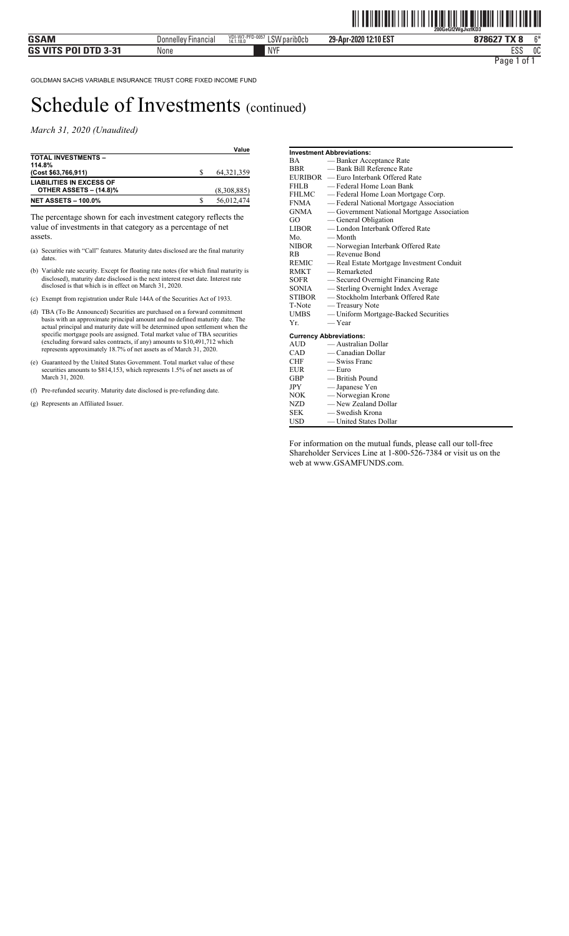*March 31, 2020 (Unaudited)* 

|                                                           |   | Value        |
|-----------------------------------------------------------|---|--------------|
| <b>TOTAL INVESTMENTS -</b><br>114.8%                      |   |              |
| (Cost \$63,766,911)                                       |   | 64, 321, 359 |
| <b>LIABILITIES IN EXCESS OF</b><br>OTHER ASSETS - (14.8)% |   | (8,308,885)  |
| <b>NET ASSETS - 100.0%</b>                                | S | 56,012,474   |

The percentage shown for each investment category reflects the value of investments in that category as a percentage of net assets.

- (a) Securities with "Call" features. Maturity dates disclosed are the final maturity dates.
- (b) Variable rate security. Except for floating rate notes (for which final maturity is disclosed), maturity date disclosed is the next interest reset date. Interest rate disclosed is that which is in effect on March 31, 2020.
- (c) Exempt from registration under Rule 144A of the Securities Act of 1933.
- (d) TBA (To Be Announced) Securities are purchased on a forward commitment basis with an approximate principal amount and no defined maturity date. The actual principal and maturity date will be determined upon settlement when the specific mortgage pools are assigned. Total market value of TBA securities (excluding forward sales contracts, if any) amounts to \$10,491,712 which represents approximately 18.7% of net assets as of March 31, 2020.
- (e) Guaranteed by the United States Government. Total market value of these securities amounts to \$814,153, which represents 1.5% of net assets as of March 31, 2020.
- (f) Pre-refunded security. Maturity date disclosed is pre-refunding date.
- (g) Represents an Affiliated Issuer.

|               | <b>Investment Abbreviations:</b>           |
|---------------|--------------------------------------------|
| <b>BA</b>     | — Banker Acceptance Rate                   |
| <b>BBR</b>    | — Bank Bill Reference Rate                 |
|               | EURIBOR — Euro Interbank Offered Rate      |
| <b>FHLB</b>   | — Federal Home Loan Bank                   |
| FHLMC         | — Federal Home Loan Mortgage Corp.         |
| <b>FNMA</b>   | - Federal National Mortgage Association    |
| GNMA          | — Government National Mortgage Association |
| GO            | — General Obligation                       |
| LIBOR         | -London Interbank Offered Rate             |
| Mo.           | — Month                                    |
| NIBOR         | — Norwegian Interbank Offered Rate         |
| RB            | — Revenue Bond                             |
| REMIC         | — Real Estate Mortgage Investment Conduit  |
| <b>RMKT</b>   | — Remarketed                               |
| SOFR          | — Secured Overnight Financing Rate         |
| SONIA         | -Sterling Overnight Index Average          |
| STIBOR        | -Stockholm Interbank Offered Rate          |
| T-Note        | — Treasury Note                            |
| UMBS          | — Uniform Mortgage-Backed Securities       |
| Yr.           | — Year                                     |
|               | <b>Currency Abbreviations:</b>             |
| AUD           | — Australian Dollar                        |
| CAD           | — Canadian Dollar                          |
| CHF           | — Swiss Franc                              |
| EUR           | $-$ Euro                                   |
| GBP           | — British Pound                            |
| JPY           | — Japanese Yen                             |
| NOK <b>NO</b> | -Norwegian Krone                           |
| NZD           | -New Zealand Dollar                        |
| <b>SEK</b>    | -Swedish Krona                             |
| USD           | — United States Dollar                     |

For information on the mutual funds, please call our toll-free Shareholder Services Line at 1-800-526-7384 or visit us on the web at www.GSAMFUNDS.com.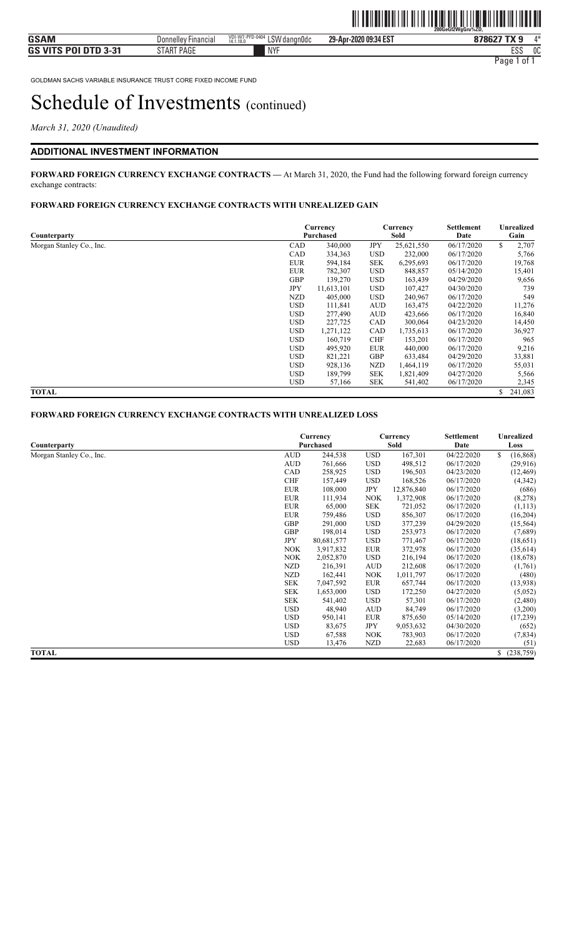*March 31, 2020 (Unaudited)* 

#### **ADDITIONAL INVESTMENT INFORMATION**

**FORWARD FOREIGN CURRENCY EXCHANGE CONTRACTS —** At March 31, 2020, the Fund had the following forward foreign currency exchange contracts:

#### **FORWARD FOREIGN CURRENCY EXCHANGE CONTRACTS WITH UNREALIZED GAIN**

| Counterparty             |            | Currency<br>Purchased |            | Currency<br>Sold | Settlement<br>Date | Unrealized<br>Gain |  |
|--------------------------|------------|-----------------------|------------|------------------|--------------------|--------------------|--|
| Morgan Stanley Co., Inc. | CAD        | 340,000               | <b>JPY</b> | 25,621,550       | 06/17/2020         | \$<br>2,707        |  |
|                          | CAD        | 334,363               | <b>USD</b> | 232,000          | 06/17/2020         | 5,766              |  |
|                          | <b>EUR</b> | 594,184               | <b>SEK</b> | 6,295,693        | 06/17/2020         | 19,768             |  |
|                          | <b>EUR</b> | 782,307               | <b>USD</b> | 848,857          | 05/14/2020         | 15,401             |  |
|                          | <b>GBP</b> | 139,270               | <b>USD</b> | 163,439          | 04/29/2020         | 9,656              |  |
|                          | JPY        | 11,613,101            | <b>USD</b> | 107,427          | 04/30/2020         | 739                |  |
|                          | NZD        | 405,000               | <b>USD</b> | 240,967          | 06/17/2020         | 549                |  |
|                          | <b>USD</b> | 111,841               | <b>AUD</b> | 163,475          | 04/22/2020         | 11,276             |  |
|                          | <b>USD</b> | 277,490               | <b>AUD</b> | 423,666          | 06/17/2020         | 16,840             |  |
|                          | <b>USD</b> | 227,725               | CAD        | 300,064          | 04/23/2020         | 14,450             |  |
|                          | <b>USD</b> | 1,271,122             | <b>CAD</b> | 1,735,613        | 06/17/2020         | 36,927             |  |
|                          | <b>USD</b> | 160,719               | <b>CHF</b> | 153,201          | 06/17/2020         | 965                |  |
|                          | <b>USD</b> | 495,920               | <b>EUR</b> | 440,000          | 06/17/2020         | 9,216              |  |
|                          | <b>USD</b> | 821,221               | <b>GBP</b> | 633,484          | 04/29/2020         | 33,881             |  |
|                          | <b>USD</b> | 928,136               | NZD        | 1,464,119        | 06/17/2020         | 55,031             |  |
|                          | <b>USD</b> | 189,799               | <b>SEK</b> | 1,821,409        | 04/27/2020         | 5,566              |  |
|                          | <b>USD</b> | 57,166                | <b>SEK</b> | 541,402          | 06/17/2020         | 2,345              |  |
| <b>TOTAL</b>             |            |                       |            |                  |                    | \$<br>241,083      |  |

#### **FORWARD FOREIGN CURRENCY EXCHANGE CONTRACTS WITH UNREALIZED LOSS**

|                          |            | Currency<br>Purchased |            |            | Settlement | Unrealized<br>Loss |  |
|--------------------------|------------|-----------------------|------------|------------|------------|--------------------|--|
| Counterparty             |            |                       |            |            | Date       |                    |  |
| Morgan Stanley Co., Inc. | <b>AUD</b> | 244,538               | <b>USD</b> | 167,301    | 04/22/2020 | \$<br>(16, 868)    |  |
|                          | <b>AUD</b> | 761,666               | <b>USD</b> | 498,512    | 06/17/2020 | (29,916)           |  |
|                          | CAD        | 258,925               | <b>USD</b> | 196,503    | 04/23/2020 | (12, 469)          |  |
|                          | <b>CHF</b> | 157,449               | <b>USD</b> | 168,526    | 06/17/2020 | (4,342)            |  |
|                          | <b>EUR</b> | 108,000               | <b>JPY</b> | 12,876,840 | 06/17/2020 | (686)              |  |
|                          | <b>EUR</b> | 111,934               | <b>NOK</b> | 1,372,908  | 06/17/2020 | (8,278)            |  |
|                          | <b>EUR</b> | 65,000                | <b>SEK</b> | 721,052    | 06/17/2020 | (1, 113)           |  |
|                          | <b>EUR</b> | 759,486               | <b>USD</b> | 856,307    | 06/17/2020 | (16,204)           |  |
|                          | <b>GBP</b> | 291,000               | <b>USD</b> | 377,239    | 04/29/2020 | (15, 564)          |  |
|                          | <b>GBP</b> | 198,014               | <b>USD</b> | 253,973    | 06/17/2020 | (7,689)            |  |
|                          | <b>JPY</b> | 80,681,577            | <b>USD</b> | 771,467    | 06/17/2020 | (18,651)           |  |
|                          | <b>NOK</b> | 3,917,832             | <b>EUR</b> | 372,978    | 06/17/2020 | (35,614)           |  |
|                          | NOK.       | 2,052,870             | <b>USD</b> | 216,194    | 06/17/2020 | (18,678)           |  |
|                          | <b>NZD</b> | 216,391               | <b>AUD</b> | 212,608    | 06/17/2020 | (1,761)            |  |
|                          | <b>NZD</b> | 162,441               | <b>NOK</b> | 1,011,797  | 06/17/2020 | (480)              |  |
|                          | <b>SEK</b> | 7,047,592             | <b>EUR</b> | 657,744    | 06/17/2020 | (13,938)           |  |
|                          | <b>SEK</b> | 1,653,000             | <b>USD</b> | 172,250    | 04/27/2020 | (5,052)            |  |
|                          | <b>SEK</b> | 541,402               | <b>USD</b> | 57,301     | 06/17/2020 | (2,480)            |  |
|                          | <b>USD</b> | 48,940                | <b>AUD</b> | 84,749     | 06/17/2020 | (3,200)            |  |
|                          | <b>USD</b> | 950,141               | <b>EUR</b> | 875,650    | 05/14/2020 | (17,239)           |  |
|                          | <b>USD</b> | 83,675                | JPY        | 9,053,632  | 04/30/2020 | (652)              |  |
|                          | <b>USD</b> | 67,588                | <b>NOK</b> | 783,903    | 06/17/2020 | (7,834)            |  |
|                          | <b>USD</b> | 13,476                | NZD        | 22,683     | 06/17/2020 | (51)               |  |
| <b>TOTAL</b>             |            |                       |            |            |            | \$ (238,759)       |  |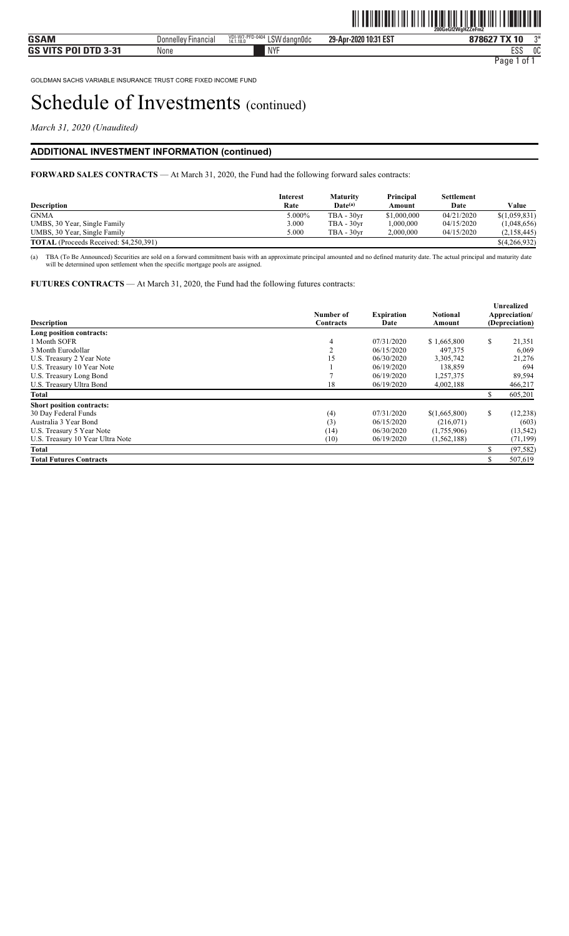*March 31, 2020 (Unaudited)* 

### **ADDITIONAL INVESTMENT INFORMATION (continued)**

**FORWARD SALES CONTRACTS** — At March 31, 2020, the Fund had the following forward sales contracts:

| <b>Description</b>                            | <b>Interest</b><br>Rate | Maturity<br>$Date^{(a)}$ | Principal<br>Amount | <b>Settlement</b><br>Date | Value         |
|-----------------------------------------------|-------------------------|--------------------------|---------------------|---------------------------|---------------|
| <b>GNMA</b>                                   | 5.000%                  | $TBA - 30yr$             | \$1,000,000         | 04/21/2020                | \$(1,059,831) |
| UMBS, 30 Year, Single Family                  | 3.000                   | $TBA - 30vr$             | 000,000.1           | 04/15/2020                | (1,048,656)   |
| UMBS, 30 Year, Single Family                  | 5.000                   | $TBA - 30vr$             | 2,000,000           | 04/15/2020                | (2,158,445)   |
| <b>TOTAL</b> (Proceeds Received: \$4,250,391) |                         |                          |                     |                           | \$(4,266,932) |

(a) TBA (To Be Announced) Securities are sold on a forward commitment basis with an approximate principal amounted and no defined maturity date. The actual principal and maturity date will be determined upon settlement when the specific mortgage pools are assigned.

**FUTURES CONTRACTS** — At March 31, 2020, the Fund had the following futures contracts:

| <b>Description</b>               | Number of<br><b>Contracts</b> | <b>Expiration</b><br>Date | <b>Notional</b><br>Amount |     | Unrealized<br>Appreciation/<br>(Depreciation) |
|----------------------------------|-------------------------------|---------------------------|---------------------------|-----|-----------------------------------------------|
| Long position contracts:         |                               |                           |                           |     |                                               |
| 1 Month SOFR                     | $\overline{4}$                | 07/31/2020                | \$1,665,800               | \$  | 21,351                                        |
| 3 Month Eurodollar               | $\overline{2}$                | 06/15/2020                | 497,375                   |     | 6,069                                         |
| U.S. Treasury 2 Year Note        | 15                            | 06/30/2020                | 3,305,742                 |     | 21,276                                        |
| U.S. Treasury 10 Year Note       |                               | 06/19/2020                | 138,859                   |     | 694                                           |
| U.S. Treasury Long Bond          |                               | 06/19/2020                | 1,257,375                 |     | 89,594                                        |
| U.S. Treasury Ultra Bond         | 18                            | 06/19/2020                | 4,002,188                 |     | 466,217                                       |
| Total                            |                               |                           |                           |     | 605,201                                       |
| <b>Short position contracts:</b> |                               |                           |                           |     |                                               |
| 30 Day Federal Funds             | (4)                           | 07/31/2020                | \$(1,665,800)             | \$  | (12, 238)                                     |
| Australia 3 Year Bond            | (3)                           | 06/15/2020                | (216,071)                 |     | (603)                                         |
| U.S. Treasury 5 Year Note        | (14)                          | 06/30/2020                | (1,755,906)               |     | (13, 542)                                     |
| U.S. Treasury 10 Year Ultra Note | (10)                          | 06/19/2020                | (1, 562, 188)             |     | (71, 199)                                     |
| <b>Total</b>                     |                               |                           |                           | \$. | (97, 582)                                     |
| <b>Total Futures Contracts</b>   |                               |                           |                           |     | 507,619                                       |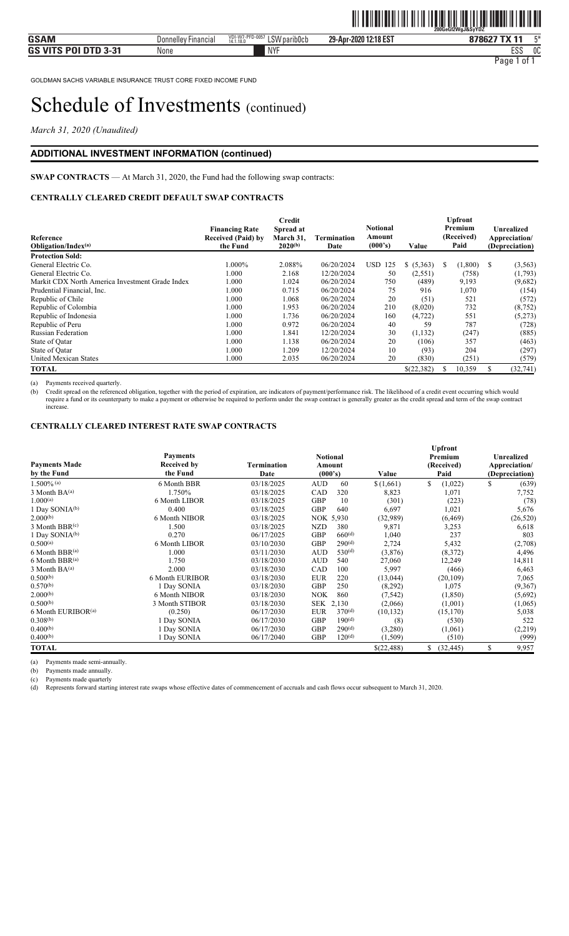*March 31, 2020 (Unaudited)* 

### **ADDITIONAL INVESTMENT INFORMATION (continued)**

**SWAP CONTRACTS** — At March 31, 2020, the Fund had the following swap contracts:

### **CENTRALLY CLEARED CREDIT DEFAULT SWAP CONTRACTS**

| Reference<br>Obligation/Index(a)                | <b>Financing Rate</b><br>Received (Paid) by<br>the Fund | Credit<br>Spread at<br>March 31.<br>Termination<br>$2020^{(b)}$ |            | <b>Notional</b><br>Amount<br>(000's) | Value      | <b>Upfront</b><br>Premium<br>(Received)<br>Paid | Unrealized<br>Appreciation/<br>(Depreciation) |
|-------------------------------------------------|---------------------------------------------------------|-----------------------------------------------------------------|------------|--------------------------------------|------------|-------------------------------------------------|-----------------------------------------------|
| <b>Protection Sold:</b>                         |                                                         |                                                                 |            |                                      |            |                                                 |                                               |
| General Electric Co.                            | $1.000\%$                                               | 2.088%                                                          | 06/20/2024 | USD.<br>125                          | \$ (5,363) | (1,800)<br>S                                    | <sup>\$</sup><br>(3,563)                      |
| General Electric Co.                            | 1.000                                                   | 2.168                                                           | 12/20/2024 | 50                                   | (2,551)    | (758)                                           | (1,793)                                       |
| Markit CDX North America Investment Grade Index | 1.000                                                   | 1.024                                                           | 06/20/2024 | 750                                  | (489)      | 9,193                                           | (9,682)                                       |
| Prudential Financial, Inc.                      | 1.000                                                   | 0.715                                                           | 06/20/2024 | 75                                   | 916        | 1,070                                           | (154)                                         |
| Republic of Chile                               | 1.000                                                   | 1.068                                                           | 06/20/2024 | 20                                   | (51)       | 521                                             | (572)                                         |
| Republic of Colombia                            | 1.000                                                   | 1.953                                                           | 06/20/2024 | 210                                  | (8,020)    | 732                                             | (8, 752)                                      |
| Republic of Indonesia                           | 1.000                                                   | 1.736                                                           | 06/20/2024 | 160                                  | (4, 722)   | 551                                             | (5,273)                                       |
| Republic of Peru                                | 1.000                                                   | 0.972                                                           | 06/20/2024 | 40                                   | 59         | 787                                             | (728)                                         |
| <b>Russian Federation</b>                       | 1.000                                                   | 1.841                                                           | 12/20/2024 | 30                                   | (1,132)    | (247)                                           | (885)                                         |
| State of Qatar                                  | 1.000                                                   | 1.138                                                           | 06/20/2024 | 20                                   | (106)      | 357                                             | (463)                                         |
| State of Oatar                                  | 1.000                                                   | 1.209                                                           | 12/20/2024 | 10                                   | (93)       | 204                                             | (297)                                         |
| <b>United Mexican States</b>                    | 1.000                                                   | 2.035                                                           | 06/20/2024 | 20                                   | (830)      | (251)                                           | (579)                                         |
| <b>TOTAL</b>                                    |                                                         |                                                                 |            |                                      | \$(22,382) | 10,359<br>ъ                                     | (32,741)                                      |

(a) Payments received quarterly.

(b) Credit spread on the referenced obligation, together with the period of expiration, are indicators of payment/performance risk. The likelihood of a credit event occurring which would require a fund or its counterparty to make a payment or otherwise be required to perform under the swap contract is generally greater as the credit spread and term of the swap contract increase.

#### **CENTRALLY CLEARED INTEREST RATE SWAP CONTRACTS**

| <b>Payments Made</b><br>by the Fund | <b>Payments</b><br><b>Received by</b><br>the Fund | <b>Termination</b><br>Date | <b>Notional</b><br>Amount<br>(000's)<br>Value |            | <b>Upfront</b><br>Premium<br>(Received)<br>Paid | Unrealized<br>Appreciation/<br>(Depreciation) |
|-------------------------------------|---------------------------------------------------|----------------------------|-----------------------------------------------|------------|-------------------------------------------------|-----------------------------------------------|
| $1.500\%$ (a)                       | 6 Month BBR                                       | 03/18/2025                 | 60<br><b>AUD</b>                              | \$(1,661)  | \$<br>(1,022)                                   | \$<br>(639)                                   |
| $3$ Month $BA^{(a)}$                | 1.750%                                            | 03/18/2025                 | 320<br>CAD                                    | 8,823      | 1,071                                           | 7,752                                         |
| $1.000^{(a)}$                       | 6 Month LIBOR                                     | 03/18/2025                 | <b>GBP</b><br>10                              | (301)      | (223)                                           | (78)                                          |
| 1 Day SONIA <sup>(b)</sup>          | 0.400                                             | 03/18/2025                 | <b>GBP</b><br>640                             | 6,697      | 1,021                                           | 5,676                                         |
| 2.000(b)                            | 6 Month NIBOR                                     | 03/18/2025                 | NOK 5,930                                     | (32,989)   | (6, 469)                                        | (26,520)                                      |
| $3$ Month BBR $(c)$                 | 1.500                                             | 03/18/2025                 | 380<br><b>NZD</b>                             | 9,871      | 3,253                                           | 6,618                                         |
| 1 Day SONIA(b)                      | 0.270                                             | 06/17/2025                 | 660 <sup>(d)</sup><br><b>GBP</b>              | 1,040      | 237                                             | 803                                           |
| $0.500^{(a)}$                       | 6 Month LIBOR                                     | 03/10/2030                 | 290 <sup>(d)</sup><br><b>GBP</b>              | 2,724      | 5,432                                           | (2,708)                                       |
| 6 Month BBR(a)                      | 1.000                                             | 03/11/2030                 | 530 <sup>(d)</sup><br><b>AUD</b>              | (3,876)    | (8,372)                                         | 4,496                                         |
| $6$ Month BBR $(a)$                 | 1.750                                             | 03/18/2030                 | <b>AUD</b><br>540                             | 27,060     | 12,249                                          | 14,811                                        |
| $3$ Month $BA^{(a)}$                | 2.000                                             | 03/18/2030                 | CAD<br>100                                    | 5,997      | (466)                                           | 6,463                                         |
| $0.500^{(b)}$                       | 6 Month EURIBOR                                   | 03/18/2030                 | <b>EUR</b><br>220                             | (13, 044)  | (20, 109)                                       | 7,065                                         |
| $0.570^{(b)}$                       | 1 Day SONIA                                       | 03/18/2030                 | <b>GBP</b><br>250                             | (8,292)    | 1,075                                           | (9,367)                                       |
| 2.000(b)                            | 6 Month NIBOR                                     | 03/18/2030                 | <b>NOK</b><br>860                             | (7, 542)   | (1, 850)                                        | (5,692)                                       |
| 0.500(b)                            | 3 Month STIBOR                                    | 03/18/2030                 | SEK 2,130                                     | (2,066)    | (1,001)                                         | (1,065)                                       |
| 6 Month EURIBOR <sup>(a)</sup>      | (0.250)                                           | 06/17/2030                 | 370 <sup>(d)</sup><br><b>EUR</b>              | (10, 132)  | (15, 170)                                       | 5,038                                         |
| 0.308(b)                            | 1 Day SONIA                                       | 06/17/2030                 | <b>GBP</b><br>190 <sup>(d)</sup>              | (8)        | (530)                                           | 522                                           |
| $0.400^{(b)}$                       | 1 Day SONIA                                       | 06/17/2030                 | 290 <sup>(d)</sup><br><b>GBP</b>              | (3,280)    | (1,061)                                         | (2,219)                                       |
| $0.400^{(b)}$                       | 1 Day SONIA                                       | 06/17/2040                 | 120 <sup>(d)</sup><br><b>GBP</b>              | (1,509)    | (510)                                           | (999)                                         |
| <b>TOTAL</b>                        |                                                   |                            |                                               | \$(22,488) | \$<br>(32, 445)                                 | \$<br>9,957                                   |

(a) Payments made semi-annually.

(b) Payments made annually.

(c) Payments made quarterly

(d) Represents forward starting interest rate swaps whose effective dates of commencement of accruals and cash flows occur subsequent to March 31, 2020.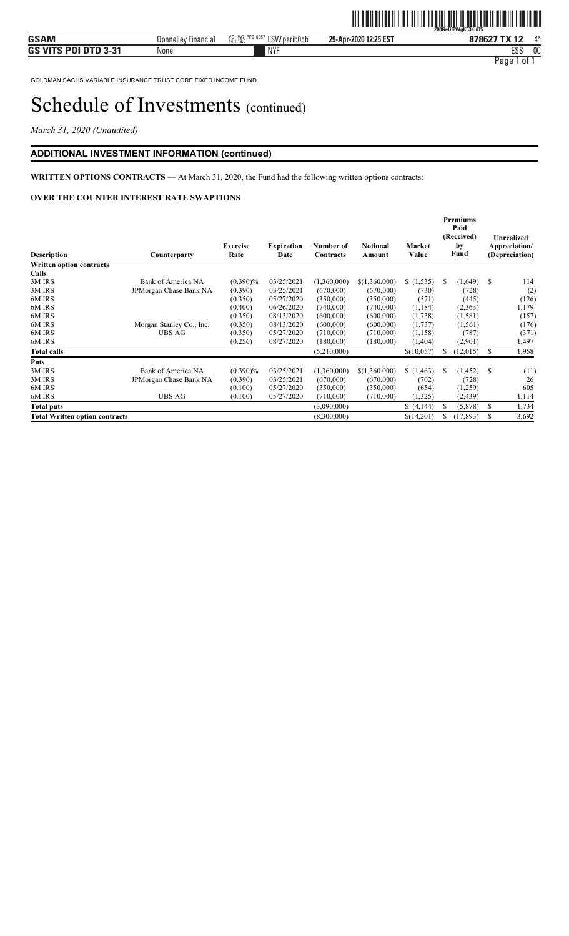*March 31, 2020 (Unaudited)* 

### **ADDITIONAL INVESTMENT INFORMATION (continued)**

### **WRITTEN OPTIONS CONTRACTS** — At March 31, 2020, the Fund had the following written options contracts:

#### **OVER THE COUNTER INTEREST RATE SWAPTIONS**

| <b>Description</b>                    | Counterparty             | Exercise<br>Rate | <b>Expiration</b><br>Date | Number of<br>Contracts | <b>Notional</b><br>Amount | Market<br>Value |    | <b>Premiums</b><br>Paid<br>(Received)<br>by<br>Fund |    | Unrealized<br>Appreciation/<br>(Depreciation) |
|---------------------------------------|--------------------------|------------------|---------------------------|------------------------|---------------------------|-----------------|----|-----------------------------------------------------|----|-----------------------------------------------|
| Written option contracts              |                          |                  |                           |                        |                           |                 |    |                                                     |    |                                               |
| Calls                                 |                          |                  |                           |                        |                           |                 |    |                                                     |    |                                               |
| 3M IRS                                | Bank of America NA       | $(0.390)\%$      | 03/25/2021                | (1,360,000)            | \$(1,360,000)             | (1,535)         | S  | (1,649)                                             | -S | 114                                           |
| 3M IRS                                | JPMorgan Chase Bank NA   | (0.390)          | 03/25/2021                | (670,000)              | (670,000)                 | (730)           |    | (728)                                               |    | (2)                                           |
| 6M IRS                                |                          | (0.350)          | 05/27/2020                | (350,000)              | (350,000)                 | (571)           |    | (445)                                               |    | (126)                                         |
| 6M IRS                                |                          | (0.400)          | 06/26/2020                | (740,000)              | (740,000)                 | (1, 184)        |    | (2,363)                                             |    | 1,179                                         |
| 6M IRS                                |                          | (0.350)          | 08/13/2020                | (600,000)              | (600,000)                 | (1,738)         |    | (1,581)                                             |    | (157)                                         |
| 6M IRS                                | Morgan Stanley Co., Inc. | (0.350)          | 08/13/2020                | (600,000)              | (600,000)                 | (1,737)         |    | (1, 561)                                            |    | (176)                                         |
| 6M IRS                                | UBS AG                   | (0.350)          | 05/27/2020                | (710,000)              | (710,000)                 | (1, 158)        |    | (787)                                               |    | (371)                                         |
| 6M IRS                                |                          | (0.256)          | 08/27/2020                | (180,000)              | (180,000)                 | (1, 404)        |    | (2,901)                                             |    | 1,497                                         |
| <b>Total calls</b>                    |                          |                  |                           | (5,210,000)            |                           | \$(10,057)      | S. | (12,015)                                            | \$ | 1,958                                         |
| Puts                                  |                          |                  |                           |                        |                           |                 |    |                                                     |    |                                               |
| 3M IRS                                | Bank of America NA       | $(0.390)\%$      | 03/25/2021                | (1,360,000)            | \$(1,360,000)             | (1, 463)        | S. | (1, 452)                                            | -S | (11)                                          |
| 3M IRS                                | JPMorgan Chase Bank NA   | (0.390)          | 03/25/2021                | (670,000)              | (670,000)                 | (702)           |    | (728)                                               |    | 26                                            |
| 6M IRS                                |                          | (0.100)          | 05/27/2020                | (350,000)              | (350,000)                 | (654)           |    | (1,259)                                             |    | 605                                           |
| 6M IRS                                | <b>UBS AG</b>            | (0.100)          | 05/27/2020                | (710,000)              | (710,000)                 | (1,325)         |    | (2, 439)                                            |    | 1,114                                         |
| <b>Total puts</b>                     |                          |                  |                           | (3,090,000)            |                           | \$(4,144)       | S. | (5,878)                                             | S  | 1,734                                         |
| <b>Total Written option contracts</b> |                          |                  |                           | (8,300,000)            |                           | \$(14,201)      | S  | (17, 893)                                           | S  | 3,692                                         |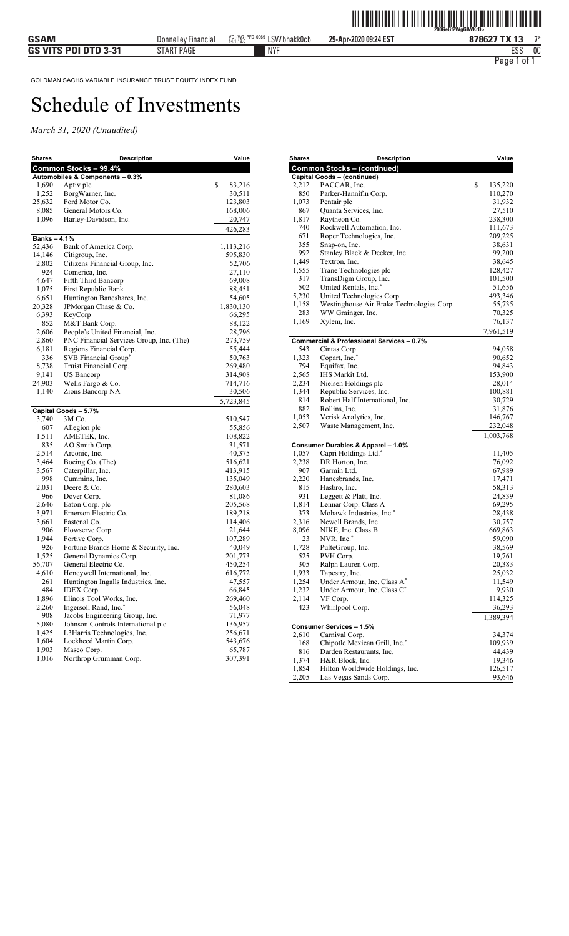| <b>Shares</b>     | Description                                           | Value                |
|-------------------|-------------------------------------------------------|----------------------|
|                   | Common Stocks - 99.4%                                 |                      |
|                   | Automobiles & Components - 0.3%                       |                      |
| 1,690             | Aptiv plc                                             | \$<br>83,216         |
| 1,252             | BorgWarner, Inc.                                      | 30,511               |
| 25,632            | Ford Motor Co.                                        | 123,803              |
| 8,085             | General Motors Co.                                    | 168,006              |
| 1,096             | Harley-Davidson, Inc.                                 | 20,747               |
|                   |                                                       | 426,283              |
| <b>Banks-4.1%</b> | Bank of America Corp.                                 |                      |
| 52,436<br>14,146  | Citigroup, Inc.                                       | 1,113,216<br>595,830 |
| 2,802             | Citizens Financial Group, Inc.                        | 52,706               |
| 924               | Comerica, Inc.                                        | 27,110               |
| 4,647             | Fifth Third Bancorp                                   | 69,008               |
| 1,075             | First Republic Bank                                   | 88,451               |
| 6,651             | Huntington Bancshares, Inc.                           | 54,605               |
| 20,328            | JPMorgan Chase & Co.                                  | 1,830,130            |
| 6,393             | KeyCorp                                               | 66,295               |
| 852               | M&T Bank Corp.                                        | 88,122               |
| 2,606             | People's United Financial, Inc.                       | 28,796               |
| 2,860             | PNC Financial Services Group, Inc. (The)              | 273,759              |
| 6,181             | Regions Financial Corp.                               | 55,444               |
| 336               | SVB Financial Group*                                  | 50,763               |
| 8,738             | Truist Financial Corp.                                | 269,480              |
| 9,141             | US Bancorp                                            | 314,908              |
| 24,903            | Wells Fargo & Co.                                     | 714,716              |
| 1,140             | Zions Bancorp NA                                      | 30,506               |
|                   |                                                       | 5,723,845            |
|                   | Capital Goods - 5.7%                                  |                      |
| 3,740             | 3M Co.                                                | 510,547              |
| 607               | Allegion plc                                          | 55,856               |
| 1,511             | AMETEK, Inc.                                          | 108,822              |
| 835               | AO Smith Corp.                                        | 31,571               |
| 2,514             | Arconic, Inc.                                         | 40,375               |
| 3,464             | Boeing Co. (The)                                      | 516,621              |
| 3,567             | Caterpillar, Inc.                                     | 413,915              |
| 998               | Cummins, Inc.                                         | 135,049              |
| 2,031             | Deere & Co.                                           | 280,603              |
| 966               | Dover Corp.                                           | 81,086               |
| 2,646             | Eaton Corp. plc                                       | 205,568              |
| 3,971             | Emerson Electric Co.                                  | 189,218              |
| 3,661             | Fastenal Co.                                          | 114,406              |
| 906               | Flowserve Corp.                                       | 21,644               |
| 1,944<br>926      | Fortive Corp.<br>Fortune Brands Home & Security, Inc. | 107,289<br>40,049    |
| 1,525             | General Dynamics Corp.                                | 201,773              |
| 56,707            | General Electric Co.                                  | 450,254              |
| 4,610             | Honeywell International, Inc.                         | 616,772              |
| 261               | Huntington Ingalls Industries, Inc.                   | 47,557               |
| 484               | IDEX Corp.                                            | 66,845               |
| 1,896             | Illinois Tool Works, Inc.                             | 269,460              |
| 2,260             | Ingersoll Rand, Inc.*                                 | 56,048               |
| 908               | Jacobs Engineering Group, Inc.                        | 71,977               |
| 5,080             | Johnson Controls International plc                    | 136,957              |
| 1,425             | L3Harris Technologies, Inc.                           | 256,671              |
| 1,604             | Lockheed Martin Corp.                                 | 543,676              |
| 1,903             | Masco Corp.                                           | 65,787               |
| 1,016             | Northrop Grumman Corp.                                | 307,391              |

| <b>Shares</b> | <b>Description</b>                        | Value         |
|---------------|-------------------------------------------|---------------|
|               | <b>Common Stocks - (continued)</b>        |               |
|               | <b>Capital Goods - (continued)</b>        |               |
| 2,212         | PACCAR, Inc.                              | \$<br>135,220 |
| 850           | Parker-Hannifin Corp.                     | 110,270       |
| 1,073         | Pentair plc                               | 31,932        |
| 867           | Quanta Services, Inc.                     | 27,510        |
| 1,817         | Raytheon Co.                              | 238,300       |
| 740           | Rockwell Automation, Inc.                 | 111,673       |
| 671           | Roper Technologies, Inc.                  | 209,225       |
| 355           | Snap-on, Inc.                             | 38,631        |
| 992           | Stanley Black & Decker, Inc.              | 99,200        |
| 1,449         | Textron, Inc.                             | 38,645        |
| 1,555         | Trane Technologies plc                    | 128,427       |
| 317           | TransDigm Group, Inc.                     | 101,500       |
| 502           | United Rentals, Inc.*                     | 51,656        |
| 5,230         | United Technologies Corp.                 | 493,346       |
| 1,158         | Westinghouse Air Brake Technologies Corp. | 55,735        |
| 283           | WW Grainger, Inc.                         | 70,325        |
| 1,169         | Xylem, Inc.                               | 76,137        |
|               |                                           |               |
|               |                                           | 7,961,519     |
|               | Commercial & Professional Services - 0.7% |               |
| 543           | Cintas Corp.                              | 94,058        |
| 1,323         | Copart, Inc.*                             | 90,652        |
| 794           | Equifax, Inc.                             | 94,843        |
| 2,565         | IHS Markit Ltd.                           | 153,900       |
| 2,234         | Nielsen Holdings plc                      | 28,014        |
| 1,344         | Republic Services, Inc.                   | 100,881       |
| 814           | Robert Half International, Inc.           | 30,729        |
| 882           | Rollins, Inc.                             | 31,876        |
| 1,053         | Verisk Analytics, Inc.                    | 146,767       |
| 2,507         | Waste Management, Inc.                    | 232,048       |
|               |                                           | 1,003,768     |
|               | Consumer Durables & Apparel - 1.0%        |               |
| 1,057         | Capri Holdings Ltd.*                      | 11,405        |
| 2,238         | DR Horton, Inc.                           | 76,092        |
| 907           | Garmin Ltd.                               | 67,989        |
| 2,220         | Hanesbrands, Inc.                         | 17,471        |
| 815           | Hasbro, Inc.                              | 58,313        |
| 931           | Leggett & Platt, Inc.                     | 24,839        |
| 1,814         | Lennar Corp. Class A                      | 69,295        |
| 373           | Mohawk Industries, Inc.*                  | 28,438        |
| 2,316         | Newell Brands, Inc.                       | 30,757        |
| 8,096         | NIKE, Inc. Class B                        | 669,863       |
| 23            | NVR, Inc.*                                | 59,090        |
| 1,728         | PulteGroup, Inc.                          | 38,569        |
| 525           | PVH Corp.                                 | 19,761        |
| 305           | Ralph Lauren Corp.                        | 20,383        |
| 1,933         | Tapestry, Inc.                            | 25,032        |
| 1,254         | Under Armour, Inc. Class A*               | 11,549        |
| 1,232         | Under Armour, Inc. Class C*               | 9,930         |
| 2,114         | VF Corp.                                  | 114,325       |
| 423           | Whirlpool Corp.                           |               |
|               |                                           | 36,293        |
|               |                                           | 1,389,394     |
|               | <b>Consumer Services - 1.5%</b>           |               |
| 2,610         | Carnival Corp.                            | 34,374        |
| 168           | Chipotle Mexican Grill, Inc.*             | 109,939       |
| 816           | Darden Restaurants, Inc.                  | 44,439        |
| 1,374         | H&R Block, Inc.                           | 19,346        |
| 1,854         | Hilton Worldwide Holdings, Inc.           | 126,517       |
| 2,205         | Las Vegas Sands Corp.                     | 93,646        |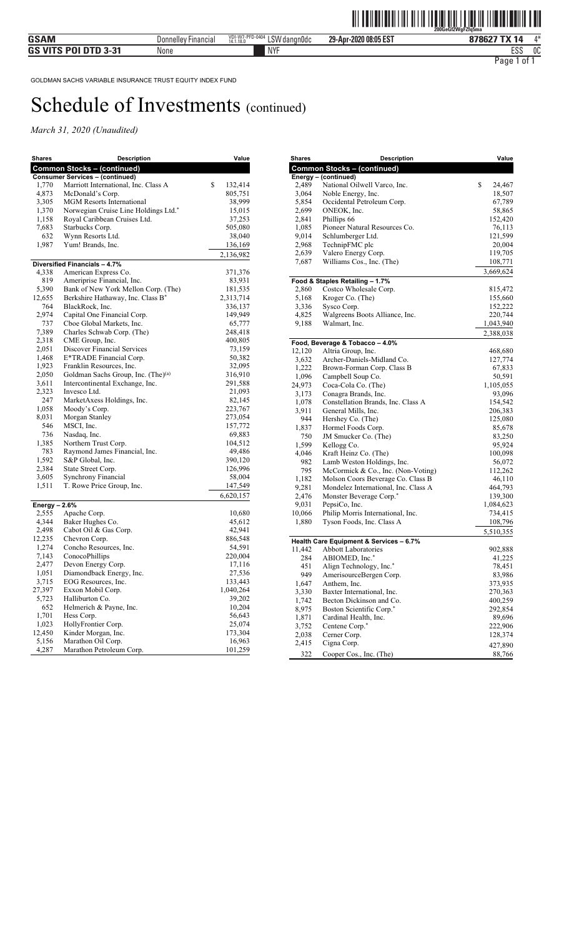| <b>Shares</b>  | <b>Description</b>                                    | Value         |
|----------------|-------------------------------------------------------|---------------|
|                | <b>Common Stocks - (continued)</b>                    |               |
|                | <b>Consumer Services - (continued)</b>                |               |
| 1,770          | Marriott International, Inc. Class A                  | \$<br>132,414 |
| 4,873          | McDonald's Corp.                                      | 805,751       |
| 3,305          | <b>MGM</b> Resorts International                      | 38,999        |
| 1,370          | Norwegian Cruise Line Holdings Ltd.*                  | 15,015        |
| 1,158          | Royal Caribbean Cruises Ltd.                          | 37,253        |
| 7,683          | Starbucks Corp.                                       | 505,080       |
| 632            | Wynn Resorts Ltd.                                     | 38,040        |
| 1,987          | Yum! Brands, Inc.                                     | 136,169       |
|                |                                                       | 2,136,982     |
|                | Diversified Financials - 4.7%<br>American Express Co. | 371,376       |
| 4,338<br>819   | Ameriprise Financial, Inc.                            | 83,931        |
| 5,390          | Bank of New York Mellon Corp. (The)                   | 181,535       |
| 12,655         | Berkshire Hathaway, Inc. Class B*                     | 2,313,714     |
| 764            | BlackRock, Inc.                                       | 336,137       |
| 2,974          | Capital One Financial Corp.                           | 149,949       |
| 737            | Cboe Global Markets, Inc.                             | 65,777        |
| 7,389          | Charles Schwab Corp. (The)                            | 248,418       |
| 2,318          | CME Group, Inc.                                       | 400,805       |
| 2,051          | Discover Financial Services                           | 73,159        |
| 1,468          | E*TRADE Financial Corp.                               | 50,382        |
| 1,923          | Franklin Resources, Inc.                              | 32,095        |
| 2,050          | Goldman Sachs Group, Inc. (The) <sup>(a)</sup>        | 316,910       |
| 3,611          | Intercontinental Exchange, Inc.                       | 291,588       |
| 2,323          | Invesco Ltd.                                          | 21,093        |
| 247            | MarketAxess Holdings, Inc.                            | 82,145        |
| 1,058          | Moody's Corp.                                         | 223,767       |
| 8,031          | Morgan Stanley                                        | 273,054       |
| 546            | MSCI, Inc.                                            | 157,772       |
| 736            | Nasdaq, Inc.                                          | 69,883        |
| 1,385          | Northern Trust Corp.                                  | 104,512       |
| 783            | Raymond James Financial, Inc.                         | 49,486        |
| 1,592          | S&P Global, Inc.                                      | 390,120       |
| 2,384          | State Street Corp.                                    | 126,996       |
| 3,605          | Synchrony Financial                                   | 58,004        |
| 1,511          | T. Rowe Price Group, Inc.                             | 147,549       |
|                |                                                       | 6,620,157     |
| Energy $-2.6%$ |                                                       |               |
| 2,555          | Apache Corp.                                          | 10,680        |
| 4,344          | Baker Hughes Co.                                      | 45,612        |
| 2,498          | Cabot Oil & Gas Corp.                                 | 42,941        |
| 12,235         | Chevron Corp.                                         | 886,548       |
| 1,274          | Concho Resources, Inc.                                | 54,591        |
| 7,143          | ConocoPhillips                                        | 220,004       |
| 2,477          | Devon Energy Corp.                                    | 17,116        |
| 1,051          | Diamondback Energy, Inc.                              | 27,536        |
| 3,715          | EOG Resources, Inc.                                   | 133,443       |
| 27,397         | Exxon Mobil Corp.                                     | 1,040,264     |
| 5,723          | Halliburton Co.                                       | 39,202        |
| 652            | Helmerich & Payne, Inc.                               | 10,204        |
| 1,701          | Hess Corp.                                            | 56,643        |
| 1,023          | HollyFrontier Corp.                                   | 25,074        |
| 12,450         | Kinder Morgan, Inc.                                   | 173,304       |
| 5,156          | Marathon Oil Corp.                                    | 16,963        |
| 4,287          | Marathon Petroleum Corp.                              | 101,259       |

| <b>Shares</b>  | <b>Description</b>                                         | Value             |
|----------------|------------------------------------------------------------|-------------------|
|                | <b>Common Stocks - (continued)</b>                         |                   |
|                | Energy - (continued)                                       |                   |
| 2,489          | National Oilwell Varco, Inc.                               | \$<br>24,467      |
| 3,064          | Noble Energy, Inc.                                         | 18,507            |
| 5,854          | Occidental Petroleum Corp.                                 | 67,789            |
| 2,699          | ONEOK, Inc.                                                | 58,865            |
| 2,841          | Phillips 66                                                | 152,420           |
| 1,085          | Pioneer Natural Resources Co.                              | 76,113            |
| 9,014          | Schlumberger Ltd.                                          | 121,599           |
| 2,968          | TechnipFMC plc                                             | 20,004            |
| 2,639          | Valero Energy Corp.                                        | 119,705           |
| 7,687          | Williams Cos., Inc. (The)                                  | 108,771           |
|                |                                                            | 3,669,624         |
|                | Food & Staples Retailing - 1.7%                            |                   |
| 2,860          | Costco Wholesale Corp.                                     | 815,472           |
| 5,168          | Kroger Co. (The)                                           | 155,660           |
| 3,336          | Sysco Corp.                                                | 152,222           |
| 4,825          | Walgreens Boots Alliance, Inc.                             | 220,744           |
| 9,188          | Walmart, Inc.                                              | 1,043,940         |
|                |                                                            | 2,388,038         |
|                | Food, Beverage & Tobacco - 4.0%                            |                   |
| 12,120         | Altria Group, Inc.                                         | 468,680           |
| 3,632          | Archer-Daniels-Midland Co.                                 | 127,774           |
| 1,222          | Brown-Forman Corp. Class B                                 | 67,833            |
| 1,096          | Campbell Soup Co.<br>Coca-Cola Co. (The)                   | 50,591            |
| 24,973         |                                                            | 1,105,055         |
| 3,173<br>1,078 | Conagra Brands, Inc.<br>Constellation Brands, Inc. Class A | 93,096<br>154,542 |
| 3,911          | General Mills, Inc.                                        | 206,383           |
| 944            | Hershey Co. (The)                                          | 125,080           |
| 1,837          | Hormel Foods Corp.                                         | 85,678            |
| 750            | JM Smucker Co. (The)                                       | 83,250            |
| 1,599          | Kellogg Co.                                                | 95,924            |
| 4,046          | Kraft Heinz Co. (The)                                      | 100,098           |
| 982            | Lamb Weston Holdings, Inc.                                 | 56,072            |
| 795            | McCormick & Co., Inc. (Non-Voting)                         | 112,262           |
| 1,182          | Molson Coors Beverage Co. Class B                          | 46,110            |
| 9,281          | Mondelez International, Inc. Class A                       | 464,793           |
| 2,476          | Monster Beverage Corp.*                                    | 139,300           |
| 9,031          | PepsiCo, Inc.                                              | 1,084,623         |
| 10,066         | Philip Morris International, Inc.                          | 734,415           |
| 1,880          | Tyson Foods, Inc. Class A                                  | 108,796           |
|                |                                                            | 5,510,355         |
|                | Health Care Equipment & Services - 6.7%                    |                   |
| 11,442         | <b>Abbott Laboratories</b>                                 | 902,888           |
| 284            | ABIOMED, Inc.*                                             | 41,225            |
| 451            | Align Technology, Inc.*                                    | 78,451            |
| 949            | AmerisourceBergen Corp.                                    | 83,986            |
| 1,647          | Anthem, Inc.                                               | 373,935           |
| 3,330          | Baxter International, Inc.                                 | 270,363           |
| 1,742          | Becton Dickinson and Co.                                   | 400,259           |
| 8,975          | Boston Scientific Corp.*                                   | 292,854           |
| 1,871          | Cardinal Health, Inc.                                      | 89,696            |
| 3,752          | Centene Corp.*                                             | 222,906           |
| 2,038          | Cerner Corp.                                               | 128,374           |
| 2,415          | Cigna Corp.                                                | 427,890           |
| 322            | Cooper Cos., Inc. (The)                                    | 88,766            |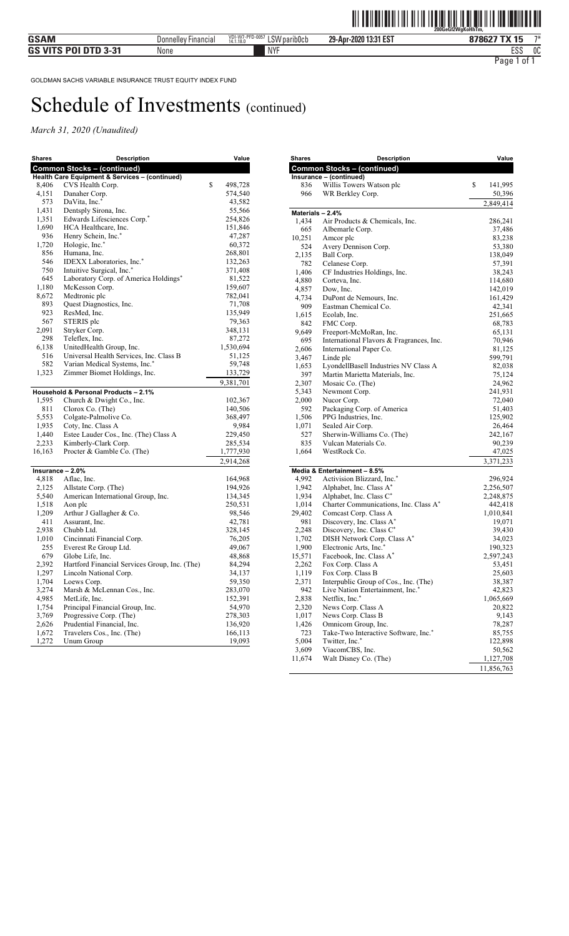| Shares | Description                                    | Value         |
|--------|------------------------------------------------|---------------|
|        | <b>Common Stocks - (continued)</b>             |               |
|        | Health Care Equipment & Services - (continued) |               |
| 8,406  | CVS Health Corp.                               | \$<br>498,728 |
| 4,151  | Danaher Corp.                                  | 574,540       |
| 573    | DaVita, Inc.*                                  | 43,582        |
| 1,431  | Dentsply Sirona, Inc.                          | 55,566        |
| 1,351  | Edwards Lifesciences Corp.*                    | 254,826       |
| 1,690  | HCA Healthcare, Inc.                           | 151,846       |
| 936    | Henry Schein, Inc.*                            | 47,287        |
| 1,720  | Hologic, Inc.*                                 | 60,372        |
| 856    | Humana, Inc.                                   | 268,801       |
| 546    | IDEXX Laboratories, Inc.*                      | 132,263       |
| 750    | Intuitive Surgical, Inc.*                      | 371,408       |
| 645    | Laboratory Corp. of America Holdings*          | 81,522        |
| 1,180  | McKesson Corp.                                 | 159,607       |
| 8,672  | Medtronic plc                                  | 782,041       |
| 893    | Quest Diagnostics, Inc.                        | 71,708        |
| 923    | ResMed, Inc.                                   | 135,949       |
| 567    | STERIS plc                                     | 79,363        |
| 2,091  | Stryker Corp.                                  | 348,131       |
| 298    | Teleflex, Inc.                                 | 87,272        |
| 6,138  | UnitedHealth Group, Inc.                       | 1,530,694     |
| 516    | Universal Health Services, Inc. Class B        | 51,125        |
| 582    | Varian Medical Systems, Inc.*                  | 59,748        |
| 1,323  | Zimmer Biomet Holdings, Inc.                   | 133,729       |
|        |                                                | 9,381,701     |
|        | Household & Personal Products - 2.1%           |               |
| 1,595  | Church & Dwight Co., Inc.                      | 102,367       |
| 811    | Clorox Co. (The)                               | 140,506       |
| 5,553  | Colgate-Palmolive Co.                          | 368,497       |
| 1,935  | Coty, Inc. Class A                             | 9,984         |
| 1,440  | Estee Lauder Cos., Inc. (The) Class A          | 229,450       |
| 2,233  | Kimberly-Clark Corp.                           | 285,534       |
| 16,163 | Procter & Gamble Co. (The)                     | 1,777,930     |
|        |                                                | 2,914,268     |
|        | Insurance - 2.0%                               |               |
| 4,818  | Aflac, Inc.                                    | 164,968       |
| 2,125  | Allstate Corp. (The)                           | 194,926       |
| 5,540  | American International Group, Inc.             | 134,345       |
| 1,518  | Aon plc                                        | 250,531       |
| 1,209  | Arthur J Gallagher & Co.                       | 98,546        |
| 411    | Assurant, Inc.                                 | 42,781        |
| 2,938  | Chubb Ltd.                                     | 328,145       |
| 1,010  | Cincinnati Financial Corp.                     | 76,205        |
| 255    | Everest Re Group Ltd.                          | 49,067        |
| 679    | Globe Life, Inc.                               | 48,868        |
| 2,392  | Hartford Financial Services Group, Inc. (The)  | 84,294        |
| 1,297  | Lincoln National Corp.                         | 34,137        |
| 1,704  | Loews Corp.                                    | 59,350        |
| 3,274  | Marsh & McLennan Cos., Inc.                    | 283,070       |
| 4,985  | MetLife, Inc.                                  | 152,391       |
| 1,754  | Principal Financial Group, Inc.                | 54,970        |
| 3,769  | Progressive Corp. (The)                        | 278,303       |
| 2,626  | Prudential Financial, Inc.                     | 136,920       |
| 1,672  | Travelers Cos., Inc. (The)                     | 166,113       |
| 1,272  | Unum Group                                     | 19,093        |

| <b>Shares</b>    | <b>Description</b>                       | Value         |
|------------------|------------------------------------------|---------------|
|                  | <b>Common Stocks - (continued)</b>       |               |
|                  | Insurance - (continued)                  |               |
| 836              | Willis Towers Watson plc                 | \$<br>141,995 |
| 966              | WR Berkley Corp.                         | 50,396        |
|                  |                                          | 2,849,414     |
| Materials - 2.4% |                                          |               |
| 1,434            | Air Products & Chemicals, Inc.           | 286,241       |
| 665              | Albemarle Corp.                          | 37,486        |
| 10,251           | Amcor plc                                | 83,238        |
| 524              | Avery Dennison Corp.                     | 53,380        |
| 2,135            | Ball Corp.                               | 138,049       |
| 782              | Celanese Corp.                           | 57,391        |
| 1,406            | CF Industries Holdings, Inc.             | 38,243        |
| 4,880            | Corteva, Inc.                            | 114,680       |
| 4,857            | Dow, Inc.                                | 142,019       |
| 4,734            | DuPont de Nemours, Inc.                  | 161,429       |
| 909              | Eastman Chemical Co.                     | 42,341        |
| 1,615            | Ecolab, Inc.                             | 251,665       |
| 842              | FMC Corp.                                | 68,783        |
| 9,649            | Freeport-McMoRan, Inc.                   | 65,131        |
| 695              | International Flavors & Fragrances, Inc. | 70,946        |
| 2,606            | International Paper Co.                  | 81,125        |
| 3,467            | Linde plc                                | 599,791       |
| 1,653            | LyondellBasell Industries NV Class A     | 82,038        |
| 397              | Martin Marietta Materials, Inc.          | 75,124        |
| 2,307            | Mosaic Co. (The)                         | 24,962        |
| 5,343            | Newmont Corp.                            | 241,931       |
| 2,000            | Nucor Corp.                              | 72,040        |
| 592              | Packaging Corp. of America               | 51,403        |
| 1,506            | PPG Industries, Inc.                     | 125,902       |
| 1,071            | Sealed Air Corp.                         | 26,464        |
| 527              | Sherwin-Williams Co. (The)               | 242,167       |
| 835              | Vulcan Materials Co.                     | 90,239        |
| 1,664            | WestRock Co.                             | 47,025        |
|                  |                                          | 3,371,233     |
|                  | Media & Entertainment - 8.5%             |               |
| 4,992            | Activision Blizzard, Inc.*               | 296,924       |
| 1,942            | Alphabet, Inc. Class A*                  | 2,256,507     |
| 1,934            | Alphabet, Inc. Class C*                  | 2,248,875     |
| 1,014            | Charter Communications, Inc. Class A*    | 442,418       |
| 29,402           | Comcast Corp. Class A                    | 1,010,841     |
| 981              | Discovery, Inc. Class A*                 | 19,071        |
| 2,248            | Discovery, Inc. Class C*                 | 39,430        |
| 1,702            | DISH Network Corp. Class A*              | 34,023        |
| 1,900            | Electronic Arts, Inc.*                   | 190,323       |
| 15,571           | Facebook, Inc. Class A*                  | 2,597,243     |
| 2,262            | Fox Corp. Class A                        | 53,451        |
| 1,119            | Fox Corp. Class B                        | 25,603        |
| 2,371            | Interpublic Group of Cos., Inc. (The)    | 38,387        |
| 942              | Live Nation Entertainment, Inc.*         | 42,823        |
| 2,838            | Netflix, Inc.*                           | 1,065,669     |
| 2,320            | News Corp. Class A                       | 20,822        |
| 1,017            | News Corp. Class B                       | 9,143         |
| 1,426            | Omnicom Group, Inc.                      | 78,287        |
| 723              | Take-Two Interactive Software, Inc.*     | 85,755        |
| 5,004            | Twitter, Inc.*                           | 122,898       |
| 3,609            | ViacomCBS, Inc.                          | 50,562        |
| 11,674           | Walt Disney Co. (The)                    | 1,127,708     |
|                  |                                          | 11,856,763    |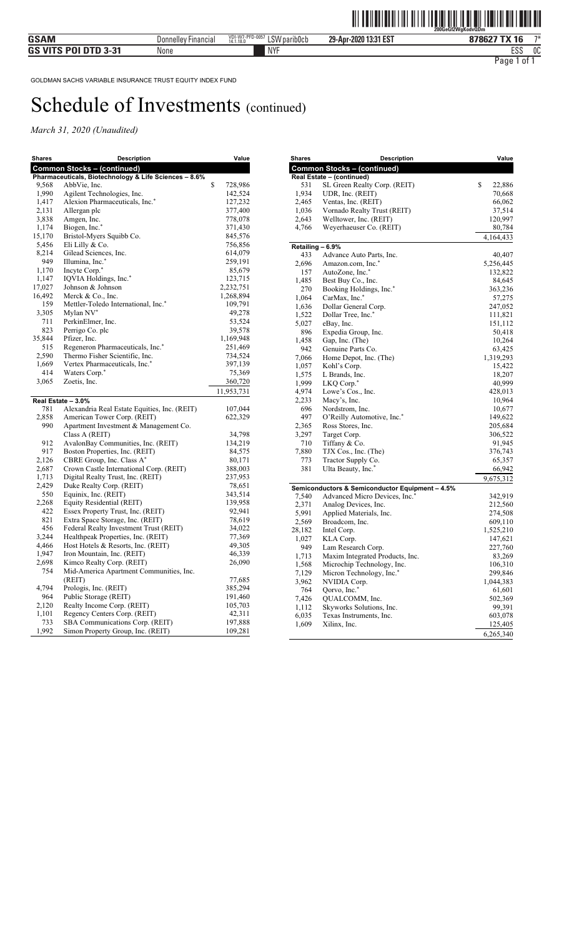| <b>Shares</b> | <b>Description</b>                                    | Value         |
|---------------|-------------------------------------------------------|---------------|
|               | <b>Common Stocks - (continued)</b>                    |               |
|               | Pharmaceuticals, Biotechnology & Life Sciences - 8.6% |               |
| 9,568         | AbbVie, Inc.                                          | \$<br>728,986 |
| 1,990         | Agilent Technologies, Inc.                            | 142,524       |
| 1,417         | Alexion Pharmaceuticals, Inc.*                        | 127,232       |
| 2,131         | Allergan plc                                          | 377,400       |
| 3,838         | Amgen, Inc.                                           | 778,078       |
| 1,174         | Biogen, Inc.*                                         | 371,430       |
| 15,170        | Bristol-Myers Squibb Co.                              | 845,576       |
| 5,456         | Eli Lilly & Co.                                       | 756,856       |
| 8,214         | Gilead Sciences, Inc.                                 | 614,079       |
| 949           | Illumina, Inc.*                                       | 259,191       |
| 1,170         | Incyte Corp. <sup>*</sup>                             | 85,679        |
| 1,147         | IQVIA Holdings, Inc.*                                 | 123,715       |
| 17,027        | Johnson & Johnson                                     | 2,232,751     |
| 16,492        | Merck & Co., Inc.                                     | 1,268,894     |
| 159           | Mettler-Toledo International, Inc.*                   | 109,791       |
| 3,305         | Mylan NV*                                             | 49,278        |
| 711           | PerkinElmer, Inc.                                     | 53,524        |
| 823           | Perrigo Co. plc                                       | 39,578        |
| 35,844        | Pfizer, Inc.                                          | 1,169,948     |
| 515           | Regeneron Pharmaceuticals, Inc.*                      | 251,469       |
| 2,590         | Thermo Fisher Scientific, Inc.                        | 734,524       |
| 1,669         | Vertex Pharmaceuticals, Inc.*                         | 397,139       |
| 414           | Waters Corp.*                                         | 75,369        |
| 3,065         | Zoetis, Inc.                                          | 360,720       |
|               |                                                       | 11,953,731    |
|               | Real Estate - 3.0%                                    |               |
| 781           | Alexandria Real Estate Equities, Inc. (REIT)          | 107,044       |
| 2,858         | American Tower Corp. (REIT)                           | 622,329       |
| 990           | Apartment Investment & Management Co.                 |               |
|               | Class A (REIT)                                        | 34,798        |
| 912           | AvalonBay Communities, Inc. (REIT)                    | 134,219       |
| 917           | Boston Properties, Inc. (REIT)                        | 84,575        |
| 2,126         | CBRE Group, Inc. Class A*                             | 80,171        |
| 2,687         | Crown Castle International Corp. (REIT)               | 388,003       |
| 1,713         | Digital Realty Trust, Inc. (REIT)                     | 237,953       |
| 2,429         | Duke Realty Corp. (REIT)                              | 78,651        |
| 550           | Equinix, Inc. (REIT)                                  | 343,514       |
| 2,268         | Equity Residential (REIT)                             | 139,958       |
| 422           | Essex Property Trust, Inc. (REIT)                     | 92,941        |
| 821           | Extra Space Storage, Inc. (REIT)                      | 78,619        |
| 456           | Federal Realty Investment Trust (REIT)                | 34,022        |
| 3,244         | Healthpeak Properties, Inc. (REIT)                    | 77,369        |
| 4,466         | Host Hotels & Resorts, Inc. (REIT)                    | 49,305        |
| 1,947         | Iron Mountain, Inc. (REIT)                            | 46,339        |
| 2,698         | Kimco Realty Corp. (REIT)                             | 26,090        |
| 754           | Mid-America Apartment Communities, Inc.               |               |
|               | (REIT)                                                | 77,685        |
| 4,794         |                                                       | 385,294       |
|               | Prologis, Inc. (REIT)                                 |               |
| 964           | Public Storage (REIT)                                 | 191,460       |
| 2,120         | Realty Income Corp. (REIT)                            | 105,703       |
| 1,101         | Regency Centers Corp. (REIT)                          | 42,311        |
| 733           | SBA Communications Corp. (REIT)                       | 197,888       |
| 1,992         | Simon Property Group, Inc. (REIT)                     | 109,281       |

| <b>Shares</b>    | <b>Description</b>                              | Value                |
|------------------|-------------------------------------------------|----------------------|
|                  | <b>Common Stocks - (continued)</b>              |                      |
|                  | Real Estate - (continued)                       |                      |
| 531              | SL Green Realty Corp. (REIT)                    | \$<br>22,886         |
| 1,934            | UDR, Inc. (REIT)                                | 70,668               |
| 2,465            | Ventas, Inc. (REIT)                             | 66,062               |
| 1,036            | Vornado Realty Trust (REIT)                     | 37,514               |
| 2,643            | Welltower, Inc. (REIT)                          | 120,997              |
| 4,766            | Weyerhaeuser Co. (REIT)                         | 80,784               |
|                  |                                                 | 4,164,433            |
| Retailing - 6.9% |                                                 |                      |
| 433              | Advance Auto Parts, Inc.                        | 40,407               |
| 2,696            | Amazon.com, Inc.*                               | 5,256,445            |
| 157              | AutoZone, Inc.*                                 | 132,822              |
| 1,485            | Best Buy Co., Inc.                              | 84,645               |
| 270              | Booking Holdings, Inc.*                         | 363,236              |
| 1,064            | CarMax, Inc.*                                   | 57,275               |
| 1,636            | Dollar General Corp.                            | 247,052              |
| 1,522            | Dollar Tree, Inc.*                              | 111,821              |
| 5,027            | eBay, Inc.                                      | 151,112              |
| 896              | Expedia Group, Inc.                             | 50,418               |
| 1,458            | Gap, Inc. (The)                                 | 10,264               |
| 942              | Genuine Parts Co.                               | 63,425               |
| 7,066            | Home Depot, Inc. (The)                          | 1,319,293            |
| 1,057            | Kohl's Corp.                                    | 15,422               |
| 1,575            | L Brands, Inc.                                  | 18,207               |
| 1,999            | LKQ Corp. <sup>*</sup>                          | 40,999               |
| 4,974            | Lowe's Cos., Inc.                               | 428,013              |
| 2,233            | Macy's, Inc.                                    | 10,964               |
| 696              | Nordstrom, Inc.                                 | 10,677               |
| 497              | O'Reilly Automotive, Inc.*<br>Ross Stores, Inc. | 149,622              |
| 2,365<br>3,297   |                                                 | 205,684              |
| 710              | Target Corp.<br>Tiffany & Co.                   | 306,522<br>91,945    |
| 7,880            | TJX Cos., Inc. (The)                            | 376,743              |
| 773              | Tractor Supply Co.                              | 65,357               |
| 381              | Ulta Beauty, Inc.*                              | 66,942               |
|                  |                                                 |                      |
|                  |                                                 | 9,675,312            |
|                  | Semiconductors & Semiconductor Equipment - 4.5% |                      |
| 7,540            | Advanced Micro Devices, Inc. <sup>*</sup>       | 342,919              |
| 2,371            | Analog Devices, Inc.                            | 212,560              |
| 5,991<br>2,569   | Applied Materials, Inc.<br>Broadcom, Inc.       | 274,508              |
| 28,182           | Intel Corp.                                     | 609,110<br>1,525,210 |
| 1,027            | KLA Corp.                                       | 147,621              |
| 949              | Lam Research Corp.                              | 227,760              |
| 1,713            | Maxim Integrated Products, Inc.                 | 83,269               |
| 1,568            | Microchip Technology, Inc.                      | 106,310              |
| 7,129            | Micron Technology, Inc.*                        | 299,846              |
| 3,962            | NVIDIA Corp.                                    | 1,044,383            |
| 764              | Qorvo, Inc.*                                    | 61,601               |
| 7,426            | QUALCOMM, Inc.                                  | 502,369              |
| 1,112            | Skyworks Solutions, Inc.                        | 99,391               |
| 6,035            | Texas Instruments, Inc.                         | 603,078              |
| 1,609            | Xilinx, Inc.                                    | 125,405              |
|                  |                                                 | 6,265,340            |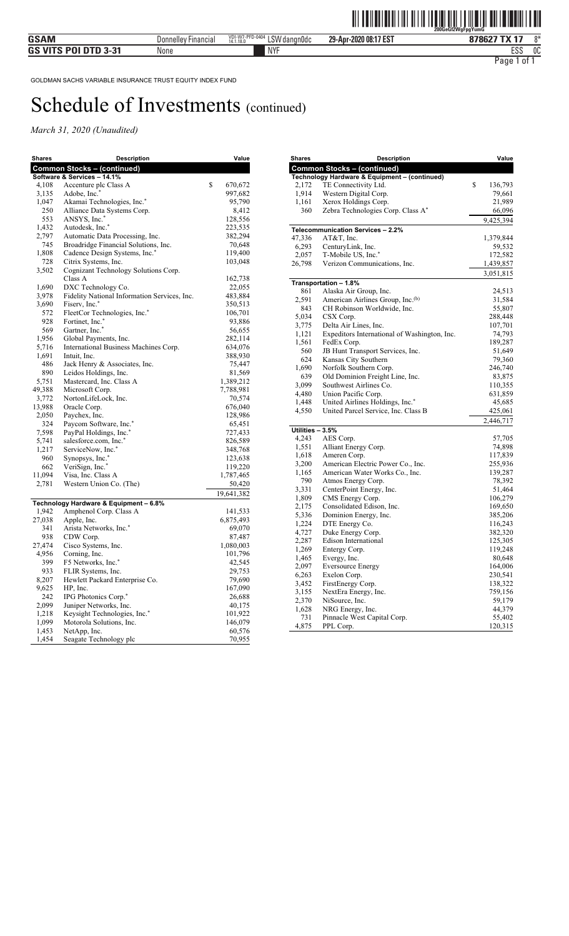| <b>Shares</b> | Description                                  | Value         |
|---------------|----------------------------------------------|---------------|
|               | <b>Common Stocks - (continued)</b>           |               |
|               | Software & Services - 14.1%                  |               |
| 4,108         | Accenture plc Class A                        | \$<br>670,672 |
| 3,135         | Adobe, Inc.*                                 | 997,682       |
| 1,047         | Akamai Technologies, Inc.*                   | 95,790        |
| 250           | Alliance Data Systems Corp.                  | 8,412         |
| 553           | ANSYS, Inc.*                                 | 128,556       |
| 1,432         | Autodesk, Inc.*                              | 223,535       |
| 2,797         | Automatic Data Processing, Inc.              | 382,294       |
| 745           | Broadridge Financial Solutions, Inc.         | 70,648        |
| 1,808         | Cadence Design Systems, Inc.*                | 119,400       |
| 728           | Citrix Systems, Inc.                         | 103,048       |
| 3,502         | Cognizant Technology Solutions Corp.         |               |
|               | Class A                                      | 162,738       |
| 1,690         | DXC Technology Co.                           | 22,055        |
| 3,978         | Fidelity National Information Services, Inc. | 483,884       |
| 3,690         | Fiserv, Inc.*                                | 350,513       |
| 572           | FleetCor Technologies, Inc.*                 | 106,701       |
| 928           | Fortinet, Inc.*                              | 93,886        |
| 569           | Gartner, Inc.*                               | 56,655        |
| 1,956         | Global Payments, Inc.                        | 282,114       |
| 5,716         | International Business Machines Corp.        | 634,076       |
| 1,691         | Intuit, Inc.                                 | 388,930       |
| 486           | Jack Henry & Associates, Inc.                | 75,447        |
| 890           | Leidos Holdings, Inc.                        | 81,569        |
| 5,751         | Mastercard, Inc. Class A                     | 1,389,212     |
| 49,388        | Microsoft Corp.                              | 7,788,981     |
| 3,772         | NortonLifeLock, Inc.                         | 70,574        |
| 13,988        | Oracle Corp.                                 | 676,040       |
| 2,050         | Paychex, Inc.                                | 128,986       |
| 324           | Paycom Software, Inc.*                       | 65,451        |
| 7,598         | PayPal Holdings, Inc.*                       | 727,433       |
| 5,741         | salesforce.com, Inc.*                        | 826,589       |
| 1,217         | ServiceNow, Inc.*                            | 348,768       |
| 960           | Synopsys, Inc.*                              | 123,638       |
| 662           | VeriSign, Inc.*                              | 119,220       |
| 11,094        | Visa, Inc. Class A                           | 1,787,465     |
| 2,781         | Western Union Co. (The)                      | 50,420        |
|               |                                              | 19,641,382    |
|               | Technology Hardware & Equipment - 6.8%       |               |
| 1,942         | Amphenol Corp. Class A                       | 141,533       |
| 27,038        | Apple, Inc.                                  | 6,875,493     |
| 341           | Arista Networks, Inc.*                       | 69,070        |
| 938           | CDW Corp.                                    | 87,487        |
| 27,474        | Cisco Systems, Inc.                          | 1,080,003     |
| 4,956         | Corning, Inc.                                | 101,796       |
| 399           | F5 Networks, Inc. <sup>*</sup>               | 42,545        |
| 933           | FLIR Systems, Inc.                           | 29,753        |
| 8,207         | Hewlett Packard Enterprise Co.               | 79,690        |
| 9,625         | HP, Inc.                                     | 167,090       |
| 242           | IPG Photonics Corp.*                         | 26,688        |
| 2,099         | Juniper Networks, Inc.                       | 40,175        |
| 1,218         | Keysight Technologies, Inc.*                 | 101,922       |
| 1,099         | Motorola Solutions, Inc.                     | 146,079       |
| 1,453         | NetApp, Inc.                                 | 60,576        |
| 1,454         | Seagate Technology plc                       | 70,955        |

| <b>Shares</b>    | <b>Description</b>                              | Value            |
|------------------|-------------------------------------------------|------------------|
|                  | <b>Common Stocks - (continued)</b>              |                  |
|                  | Technology Hardware & Equipment - (continued)   |                  |
| 2,172            | TE Connectivity Ltd.                            | \$<br>136,793    |
| 1,914            | Western Digital Corp.                           | 79,661           |
| 1,161            | Xerox Holdings Corp.                            | 21,989           |
| 360              | Zebra Technologies Corp. Class A*               | 66,096           |
|                  |                                                 | 9,425,394        |
| 47,336           | Telecommunication Services - 2.2%<br>AT&T, Inc. | 1,379,844        |
| 6,293            | CenturyLink, Inc.                               | 59,532           |
| 2,057            | T-Mobile US, Inc.*                              | 172,582          |
| 26,798           | Verizon Communications, Inc.                    | 1,439,857        |
|                  |                                                 | 3,051,815        |
|                  | Transportation - 1.8%                           |                  |
| 861              | Alaska Air Group, Inc.                          | 24,513           |
| 2,591            | American Airlines Group, Inc. <sup>(b)</sup>    | 31,584           |
| 843              | CH Robinson Worldwide, Inc.                     | 55,807           |
| 5,034            | CSX Corp.                                       | 288,448          |
| 3,775            | Delta Air Lines, Inc.                           | 107,701          |
| 1,121            | Expeditors International of Washington, Inc.    | 74,793           |
| 1,561            | FedEx Corp.                                     | 189,287          |
| 560              | JB Hunt Transport Services, Inc.                | 51,649           |
| 624              | Kansas City Southern                            | 79,360           |
| 1,690            | Norfolk Southern Corp.                          | 246,740          |
| 639              | Old Dominion Freight Line, Inc.                 | 83,875           |
| 3,099            | Southwest Airlines Co.                          | 110,355          |
| 4,480            | Union Pacific Corp.                             | 631,859          |
| 1,448            | United Airlines Holdings, Inc.*                 | 45,685           |
| 4,550            | United Parcel Service, Inc. Class B             | 425,061          |
|                  |                                                 | 2,446,717        |
| Utilities - 3.5% |                                                 |                  |
| 4,243            | AES Corp.                                       | 57,705           |
| 1,551            | Alliant Energy Corp.                            | 74,898           |
| 1,618            | Ameren Corp.                                    | 117,839          |
| 3,200            | American Electric Power Co., Inc.               | 255,936          |
| 1,165            | American Water Works Co., Inc.                  | 139,287          |
| 790<br>3,331     | Atmos Energy Corp.<br>CenterPoint Energy, Inc.  | 78,392<br>51,464 |
| 1,809            | CMS Energy Corp.                                | 106,279          |
| 2,175            | Consolidated Edison, Inc.                       | 169,650          |
| 5,336            | Dominion Energy, Inc.                           | 385,206          |
| 1,224            | DTE Energy Co.                                  | 116,243          |
| 4,727            | Duke Energy Corp.                               | 382,320          |
| 2,287            | Edison International                            | 125,305          |
| 1,269            | Entergy Corp.                                   | 119,248          |
| 1,465            | Evergy, Inc.                                    | 80,648           |
| 2,097            | <b>Eversource Energy</b>                        | 164,006          |
| 6,263            | Exelon Corp.                                    | 230,541          |
| 3,452            | FirstEnergy Corp.                               | 138,322          |
| 3,155            | NextEra Energy, Inc.                            | 759,156          |
| 2,370            | NiSource, Inc.                                  | 59,179           |
| 1,628            | NRG Energy, Inc.                                | 44,379           |
| 731              | Pinnacle West Capital Corp.                     | 55,402           |
| 4,875            | PPL Corp.                                       | 120,315          |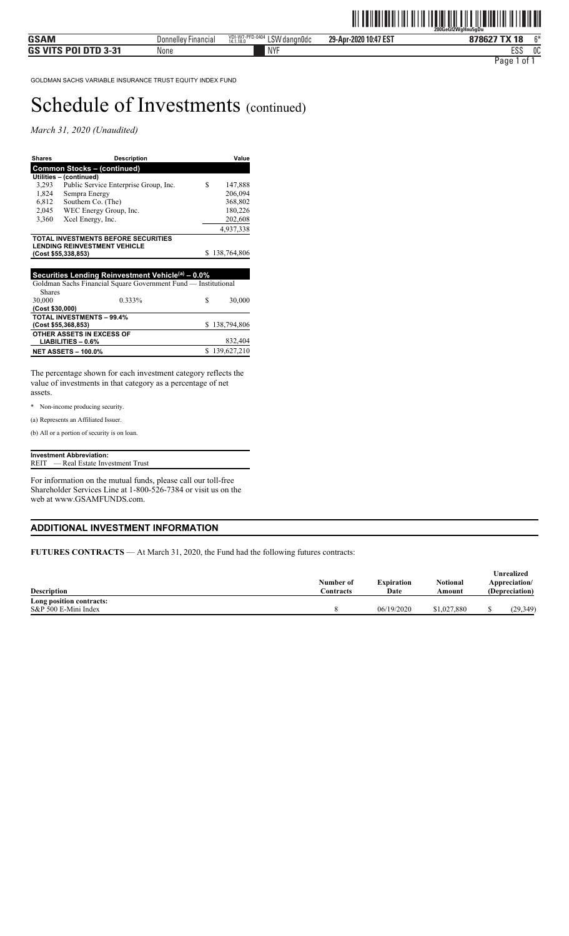*March 31, 2020 (Unaudited)* 

| <b>Shares</b>   | <b>Description</b>                                             |    | Value         |
|-----------------|----------------------------------------------------------------|----|---------------|
|                 | <b>Common Stocks - (continued)</b>                             |    |               |
|                 | Utilities - (continued)                                        |    |               |
| 3,293           | Public Service Enterprise Group, Inc.                          | S  | 147,888       |
| 1,824           | Sempra Energy                                                  |    | 206,094       |
| 6,812           | Southern Co. (The)                                             |    | 368,802       |
| 2,045           | WEC Energy Group, Inc.                                         |    | 180,226       |
| 3,360           | Xcel Energy, Inc.                                              |    | 202,608       |
|                 |                                                                |    | 4,937,338     |
|                 | TOTAL INVESTMENTS BEFORE SECURITIES                            |    |               |
|                 | <b>LENDING REINVESTMENT VEHICLE</b>                            |    |               |
|                 | (Cost \$55,338,853)                                            | S  | 138,764,806   |
|                 |                                                                |    |               |
|                 | Securities Lending Reinvestment Vehicle(a) - 0.0%              |    |               |
|                 | Goldman Sachs Financial Square Government Fund — Institutional |    |               |
| <b>Shares</b>   |                                                                |    |               |
| 30,000          | 0.333%                                                         | S  | 30,000        |
| (Cost \$30,000) |                                                                |    |               |
|                 | <b>TOTAL INVESTMENTS - 99.4%</b>                               |    |               |
|                 | (Cost \$55,368,853)                                            | S. | 138,794,806   |
|                 | OTHER ASSETS IN EXCESS OF                                      |    |               |
|                 | $LIABILITIES - 0.6%$                                           |    | 832,404       |
|                 | <b>NET ASSETS - 100.0%</b>                                     |    | \$139,627,210 |

The percentage shown for each investment category reflects the value of investments in that category as a percentage of net assets.

\* Non-income producing security.

(a) Represents an Affiliated Issuer.

(b) All or a portion of security is on loan.

#### **Investment Abbreviation:** REIT — Real Estate Investment Trust

For information on the mutual funds, please call our toll-free Shareholder Services Line at 1-800-526-7384 or visit us on the web at www.GSAMFUNDS.com.

#### **ADDITIONAL INVESTMENT INFORMATION**

**FUTURES CONTRACTS** — At March 31, 2020, the Fund had the following futures contracts:

| <b>Description</b>       | Number of<br>Contracts | <b>Expiration</b><br>Date | <b>Notional</b><br>Amount | Unrealized<br>Appreciation/<br>(Depreciation) |  |
|--------------------------|------------------------|---------------------------|---------------------------|-----------------------------------------------|--|
| Long position contracts: |                        |                           |                           |                                               |  |
| S&P 500 E-Mini Index     |                        | 06/19/2020                | \$1,027,880               | (29, 349)                                     |  |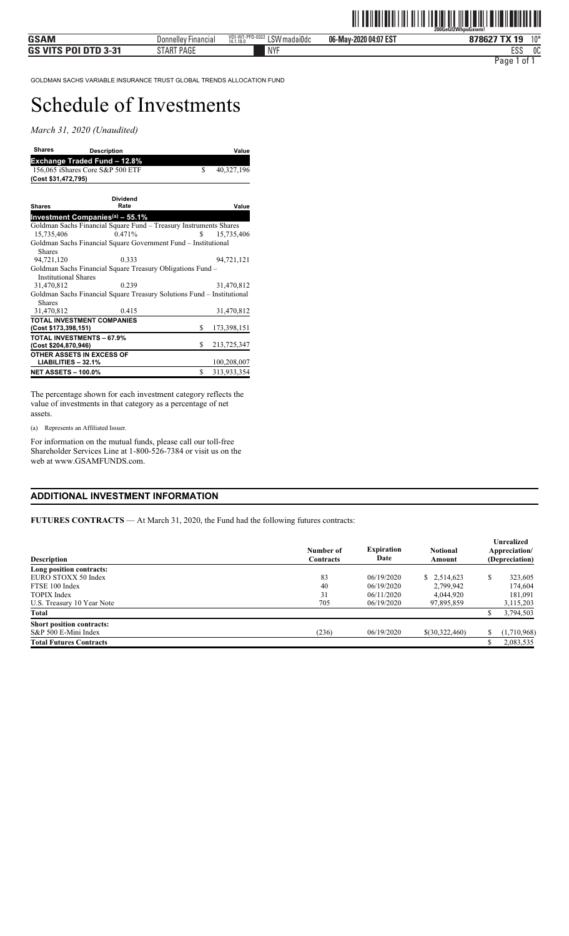*March 31, 2020 (Unaudited)* 

| <b>Shares</b>                                            | <b>Description</b>                                                     |     | Value       |
|----------------------------------------------------------|------------------------------------------------------------------------|-----|-------------|
|                                                          | Exchange Traded Fund – 12.8%                                           |     |             |
|                                                          | 156,065 iShares Core S&P 500 ETF                                       | \$  | 40,327,196  |
| (Cost \$31,472,795)                                      |                                                                        |     |             |
|                                                          |                                                                        |     |             |
|                                                          | <b>Dividend</b>                                                        |     |             |
| <b>Shares</b>                                            | Rate                                                                   |     | Value       |
|                                                          | Investment Companies <sup>(a)</sup> – 55.1%                            |     |             |
|                                                          | Goldman Sachs Financial Square Fund - Treasury Instruments Shares      |     |             |
| 15,735,406                                               | 0.471%                                                                 | S   | 15.735.406  |
|                                                          | Goldman Sachs Financial Square Government Fund – Institutional         |     |             |
| <b>Shares</b>                                            |                                                                        |     |             |
| 94,721,120                                               | 0.333                                                                  |     | 94.721.121  |
|                                                          | Goldman Sachs Financial Square Treasury Obligations Fund –             |     |             |
| <b>Institutional Shares</b>                              |                                                                        |     |             |
| 31,470,812                                               | 0.239                                                                  |     | 31.470.812  |
|                                                          | Goldman Sachs Financial Square Treasury Solutions Fund – Institutional |     |             |
| <b>Shares</b>                                            |                                                                        |     |             |
| 31,470,812                                               | 0.415                                                                  |     | 31,470,812  |
|                                                          | <b>TOTAL INVESTMENT COMPANIES</b>                                      | \$. |             |
| (Cost \$173,398,151)                                     |                                                                        |     | 173,398,151 |
| <b>TOTAL INVESTMENTS - 67.9%</b><br>(Cost \$204,870,946) |                                                                        | S.  | 213,725,347 |
| OTHER ASSETS IN EXCESS OF                                |                                                                        |     |             |
| LIABILITIES - 32.1%                                      |                                                                        |     | 100,208,007 |
| <b>NET ASSETS - 100.0%</b>                               |                                                                        | \$  | 313,933,354 |

The percentage shown for each investment category reflects the value of investments in that category as a percentage of net assets.

(a) Represents an Affiliated Issuer.

For information on the mutual funds, please call our toll-free Shareholder Services Line at 1-800-526-7384 or visit us on the web at www.GSAMFUNDS.com.

### **ADDITIONAL INVESTMENT INFORMATION**

**FUTURES CONTRACTS** — At March 31, 2020, the Fund had the following futures contracts:

| <b>Description</b>             | Number of<br>Contracts | <b>Expiration</b><br>Date | <b>Notional</b><br>Amount | Unrealized<br>Appreciation/<br>(Depreciation) |
|--------------------------------|------------------------|---------------------------|---------------------------|-----------------------------------------------|
| Long position contracts:       |                        |                           |                           |                                               |
| EURO STOXX 50 Index            | 83                     | 06/19/2020                | \$2,514,623               | \$<br>323,605                                 |
| FTSE 100 Index                 | 40                     | 06/19/2020                | 2,799,942                 | 174,604                                       |
| <b>TOPIX</b> Index             | 31                     | 06/11/2020                | 4,044,920                 | 181.091                                       |
| U.S. Treasury 10 Year Note     | 705                    | 06/19/2020                | 97,895,859                | 3,115,203                                     |
| <b>Total</b>                   |                        |                           |                           | 3,794,503                                     |
| Short position contracts:      |                        |                           |                           |                                               |
| S&P 500 E-Mini Index           | (236)                  | 06/19/2020                | \$(30,322,460)            | (1,710,968)                                   |
| <b>Total Futures Contracts</b> |                        |                           |                           | 2,083,535                                     |
|                                |                        |                           |                           |                                               |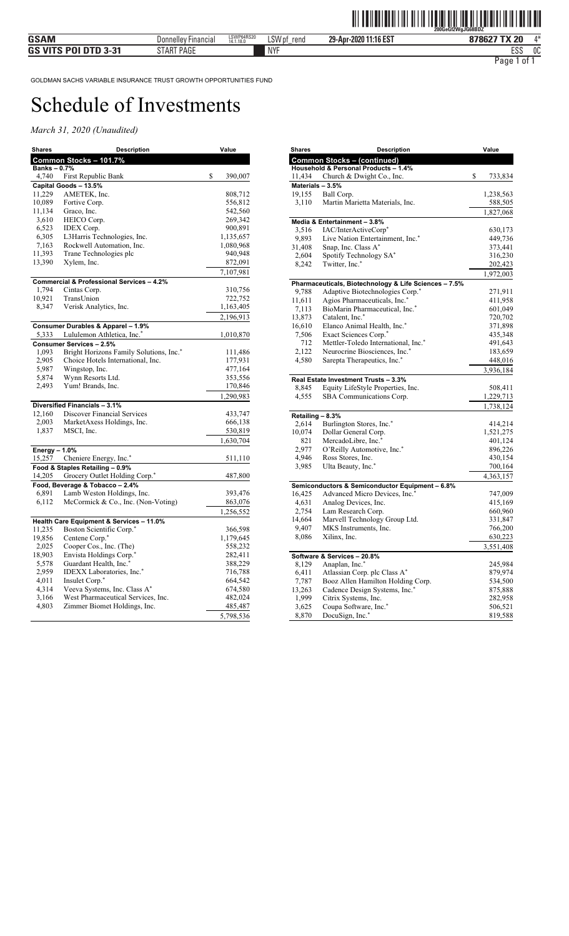| <b>Shares</b>     | <b>Description</b>                        | Value         |
|-------------------|-------------------------------------------|---------------|
|                   | Common Stocks - 101.7%                    |               |
| <b>Banks-0.7%</b> |                                           |               |
| 4,740             | First Republic Bank                       | \$<br>390,007 |
|                   | Capital Goods - 13.5%                     |               |
| 11,229            | AMETEK, Inc.                              | 808,712       |
| 10,089            | Fortive Corp.                             | 556,812       |
| 11,134            | Graco, Inc.                               | 542,560       |
| 3,610             | HEICO Corp.                               | 269,342       |
| 6,523             | <b>IDEX</b> Corp.                         | 900,891       |
| 6,305             | L3Harris Technologies, Inc.               | 1,135,657     |
| 7,163             | Rockwell Automation, Inc.                 | 1,080,968     |
| 11,393            | Trane Technologies plc                    | 940,948       |
| 13,390            | Xylem, Inc.                               | 872,091       |
|                   |                                           | 7,107,981     |
|                   | Commercial & Professional Services - 4.2% |               |
| 1,794             | Cintas Corp.                              | 310,756       |
| 10,921            | TransUnion                                | 722,752       |
| 8,347             | Verisk Analytics, Inc.                    | 1,163,405     |
|                   |                                           | 2,196,913     |
|                   | Consumer Durables & Apparel - 1.9%        |               |
| 5,333             | Lululemon Athletica, Inc.*                | 1,010,870     |
|                   | Consumer Services - 2.5%                  |               |
| 1,093             | Bright Horizons Family Solutions, Inc.*   | 111,486       |
| 2,905             | Choice Hotels International, Inc.         | 177,931       |
| 5,987             | Wingstop, Inc.                            | 477,164       |
| 5,874             | Wynn Resorts Ltd.                         | 353,556       |
| 2,493             | Yum! Brands, Inc.                         | 170,846       |
|                   |                                           | 1,290,983     |
|                   | Diversified Financials - 3.1%             |               |
| 12,160            | <b>Discover Financial Services</b>        | 433,747       |
| 2,003             | MarketAxess Holdings, Inc.                | 666,138       |
| 1,837             | MSCI, Inc.                                | 530,819       |
|                   |                                           | 1,630,704     |
| Energy $-1.0%$    |                                           |               |
| 15,257            | Cheniere Energy, Inc.*                    | 511,110       |
|                   | Food & Staples Retailing - 0.9%           |               |
| 14,205            | Grocery Outlet Holding Corp. <sup>*</sup> | 487,800       |
|                   | Food, Beverage & Tobacco - 2.4%           |               |
| 6,891             | Lamb Weston Holdings, Inc.                | 393,476       |
| 6,112             | McCormick & Co., Inc. (Non-Voting)        | 863,076       |
|                   |                                           | 1,256,552     |
|                   | Health Care Equipment & Services - 11.0%  |               |
| 11,235            | Boston Scientific Corp.*                  | 366,598       |
| 19,856            | Centene Corp.*                            | 1,179,645     |
| 2,025             | Cooper Cos., Inc. (The)                   | 558,232       |
| 18,903            | Envista Holdings Corp.*                   | 282,411       |
| 5,578             | Guardant Health, Inc.*                    | 388,229       |
| 2,959             | IDEXX Laboratories, Inc.*                 | 716,788       |
| 4,011             | Insulet Corp.*                            | 664,542       |
| 4,314             | Veeva Systems, Inc. Class A*              | 674,580       |
| 3,166             | West Pharmaceutical Services, Inc.        | 482,024       |
| 4,803             | Zimmer Biomet Holdings, Inc.              | 485,487       |
|                   |                                           | 5,798,536     |

| <b>Shares</b>      | Description                                           | Value              |
|--------------------|-------------------------------------------------------|--------------------|
|                    | <b>Common Stocks - (continued)</b>                    |                    |
|                    | Household & Personal Products - 1.4%                  |                    |
| 11,434             | Church & Dwight Co., Inc.                             | \$<br>733,834      |
| Materials $-3.5\%$ |                                                       |                    |
| 19,155             | Ball Corp.                                            | 1,238,563          |
| 3,110              | Martin Marietta Materials, Inc.                       | 588,505            |
|                    |                                                       | 1,827,068          |
|                    | Media & Entertainment - 3.8%                          |                    |
| 3,516              | IAC/InterActiveCorp*                                  | 630,173            |
| 9,893              | Live Nation Entertainment, Inc.*                      | 449,736            |
| 31,408             | Snap, Inc. Class A*                                   | 373,441            |
| 2,604              | Spotify Technology SA*                                | 316,230            |
| 8,242              | Twitter, Inc.*                                        | 202,423            |
|                    |                                                       | 1,972,003          |
|                    | Pharmaceuticals, Biotechnology & Life Sciences - 7.5% |                    |
| 9,788              | Adaptive Biotechnologies Corp.*                       | 271,911            |
| 11,611             | Agios Pharmaceuticals, Inc.*                          | 411,958            |
| 7,113              | BioMarin Pharmaceutical, Inc.*                        | 601,049            |
| 13,873             | Catalent, Inc.*                                       | 720,702            |
| 16,610             | Elanco Animal Health, Inc.*                           | 371,898            |
| 7,506              | Exact Sciences Corp.*                                 | 435,348            |
| 712                | Mettler-Toledo International, Inc.*                   | 491,643            |
| 2,122              | Neurocrine Biosciences, Inc.*                         | 183,659            |
| 4,580              | Sarepta Therapeutics, Inc.*                           | 448,016            |
|                    |                                                       | 3,936,184          |
|                    | Real Estate Investment Trusts - 3.3%                  |                    |
| 8,845              | Equity LifeStyle Properties, Inc.                     | 508,411            |
| 4,555              | SBA Communications Corp.                              | 1,229,713          |
|                    |                                                       | 1,738,124          |
| Retailing - 8.3%   |                                                       |                    |
| 2,614              | Burlington Stores, Inc.*                              | 414,214            |
| 10,074             | Dollar General Corp.                                  | 1,521,275          |
| 821                | MercadoLibre, Inc.*                                   | 401,124            |
| 2,977              | O'Reilly Automotive, Inc.*                            | 896,226            |
| 4,946              | Ross Stores, Inc.                                     | 430,154            |
| 3,985              | Ulta Beauty, Inc.*                                    | 700,164            |
|                    |                                                       | 4,363,157          |
|                    | Semiconductors & Semiconductor Equipment - 6.8%       |                    |
| 16,425             | Advanced Micro Devices, Inc.*                         | 747,009            |
| 4,631              | Analog Devices, Inc.                                  | 415,169            |
| 2,754              | Lam Research Corp.                                    | 660,960            |
| 14,664             | Marvell Technology Group Ltd.                         | 331,847            |
| 9,407              | MKS Instruments, Inc.                                 | 766,200            |
| 8,086              | Xilinx, Inc.                                          | 630,223            |
|                    |                                                       | 3,551,408          |
|                    | Software & Services - 20.8%                           |                    |
| 8,129              | Anaplan, Inc.*                                        | 245,984            |
| 6,411              | Atlassian Corp. plc Class A*                          | 879,974            |
| 7,787              | Booz Allen Hamilton Holding Corp.                     | 534,500            |
| 13,263             | Cadence Design Systems, Inc.*                         | 875,888            |
| 1,999              | Citrix Systems, Inc.                                  | 282,958            |
| 3,625<br>8,870     | Coupa Software, Inc.*<br>DocuSign, Inc.*              | 506,521<br>819,588 |
|                    |                                                       |                    |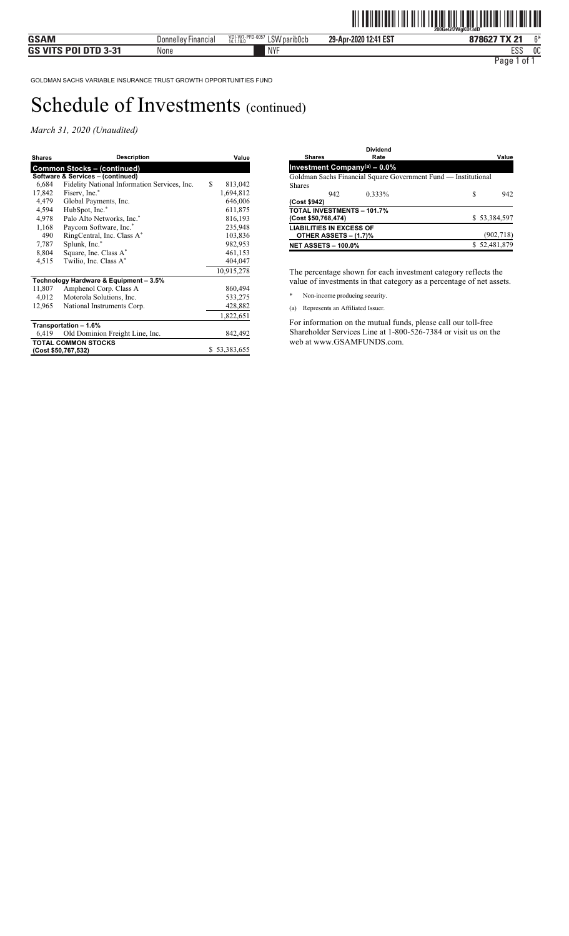*March 31, 2020 (Unaudited)* 

| <b>Shares</b> | <b>Description</b>                           | Value         |
|---------------|----------------------------------------------|---------------|
|               | <b>Common Stocks - (continued)</b>           |               |
|               | Software & Services - (continued)            |               |
| 6,684         | Fidelity National Information Services, Inc. | \$<br>813,042 |
| 17,842        | Fiserv, Inc.*                                | 1,694,812     |
| 4,479         | Global Payments, Inc.                        | 646,006       |
| 4,594         | HubSpot, Inc.*                               | 611,875       |
| 4,978         | Palo Alto Networks, Inc.*                    | 816,193       |
| 1,168         | Paycom Software, Inc.*                       | 235,948       |
| 490           | RingCentral, Inc. Class A*                   | 103,836       |
| 7,787         | Splunk, Inc.*                                | 982,953       |
| 8,804         | Square, Inc. Class A*                        | 461,153       |
| 4,515         | Twilio, Inc. Class A*                        | 404,047       |
|               |                                              | 10,915,278    |
|               | Technology Hardware & Equipment - 3.5%       |               |
| 11,807        | Amphenol Corp. Class A                       | 860,494       |
| 4,012         | Motorola Solutions, Inc.                     | 533,275       |
| 12,965        | National Instruments Corp.                   | 428,882       |
|               |                                              | 1,822,651     |
|               | Transportation - 1.6%                        |               |
| 6,419         | Old Dominion Freight Line, Inc.              | 842,492       |
|               | <b>TOTAL COMMON STOCKS</b>                   |               |
|               | (Cost \$50,767,532)                          | \$53,383,655  |
|               |                                              |               |

| <b>Shares</b>                   |                       | Dividend<br>Rate                                               |   | Value        |
|---------------------------------|-----------------------|----------------------------------------------------------------|---|--------------|
|                                 |                       | <b>Investment Company</b> <sup>(a)</sup> - $0.0\%$             |   |              |
|                                 |                       | Goldman Sachs Financial Square Government Fund — Institutional |   |              |
| <b>Shares</b>                   |                       |                                                                |   |              |
|                                 | 942                   | $0.333\%$                                                      | S | 942          |
| (Cost \$942)                    |                       |                                                                |   |              |
| (Cost \$50,768,474)             |                       | <b>TOTAL INVESTMENTS - 101.7%</b>                              |   | \$53,384,597 |
| <b>LIABILITIES IN EXCESS OF</b> | OTHER ASSETS - (1.7)% |                                                                |   | (902, 718)   |
| <b>NET ASSETS - 100.0%</b>      |                       |                                                                |   | \$52,481,879 |

The percentage shown for each investment category reflects the value of investments in that category as a percentage of net assets.

- \* Non-income producing security.
- (a) Represents an Affiliated Issuer.

For information on the mutual funds, please call our toll-free Shareholder Services Line at 1-800-526-7384 or visit us on the web at www.GSAMFUNDS.com.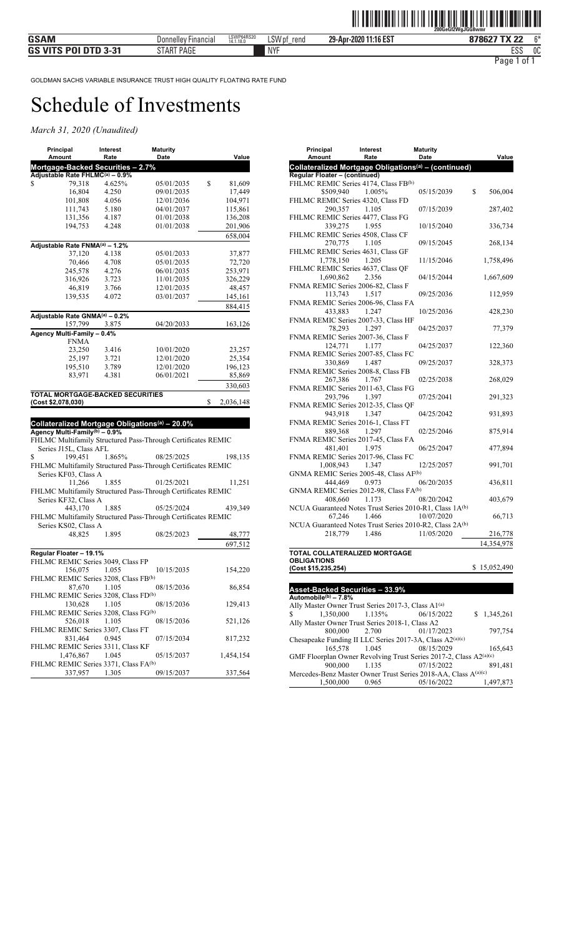| Amount<br>Rate<br>Date<br>Mortgage-Backed Securities - 2.7%<br>Adjustable Rate FHLMC(a) - 0.9% |                   |
|------------------------------------------------------------------------------------------------|-------------------|
|                                                                                                | Value             |
|                                                                                                |                   |
|                                                                                                |                   |
| \$<br>79,318<br>4.625%<br>\$<br>05/01/2035<br>4.250<br>09/01/2035                              | 81,609            |
| 16,804<br>101,808<br>12/01/2036<br>4.056                                                       | 17,449<br>104,971 |
| 111,743<br>04/01/2037<br>5.180                                                                 | 115,861           |
| 131,356<br>01/01/2038<br>4.187                                                                 | 136,208           |
| 194,753<br>4.248<br>01/01/2038                                                                 | 201,906           |
|                                                                                                | 658,004           |
| Adjustable Rate FNMA(a) - 1.2%                                                                 |                   |
| 37,120<br>4.138<br>05/01/2033                                                                  | 37,877            |
| 70,466<br>4.708<br>05/01/2035                                                                  | 72,720            |
| 245,578<br>4.276<br>06/01/2035                                                                 | 253,971           |
| 316,926<br>3.723<br>11/01/2035                                                                 | 326,229           |
| 46,819<br>12/01/2035<br>3.766                                                                  | 48,457            |
| 139,535<br>4.072<br>03/01/2037                                                                 | 145,161           |
|                                                                                                | 884,415           |
|                                                                                                |                   |
| Adjustable Rate GNMA(a) - 0.2%<br>04/20/2033                                                   |                   |
| 157,799<br>3.875<br>Agency Multi-Family - 0.4%                                                 | 163,126           |
| <b>FNMA</b>                                                                                    |                   |
| 23,250<br>3.416<br>10/01/2020                                                                  | 23,257            |
| 25,197<br>3.721<br>12/01/2020                                                                  | 25,354            |
| 195,510<br>3.789<br>12/01/2020                                                                 | 196,123           |
|                                                                                                | 85,869            |
|                                                                                                |                   |
| 06/01/2021<br>83,971<br>4.381                                                                  |                   |
|                                                                                                | 330,603           |
| <b>TOTAL MORTGAGE-BACKED SECURITIES</b>                                                        |                   |
| \$<br>(Cost \$2,078,030)                                                                       | 2,036,148         |
|                                                                                                |                   |
| Collateralized Mortgage Obligations <sup>(a)</sup> - 20.0%                                     |                   |
| Agency Multi-Family(b) - 0.9%                                                                  |                   |
| FHLMC Multifamily Structured Pass-Through Certificates REMIC                                   |                   |
| Series J15L, Class AFL                                                                         |                   |
| 199,451<br>\$<br>1.865%<br>08/25/2025                                                          | 198,135           |
| FHLMC Multifamily Structured Pass-Through Certificates REMIC                                   |                   |
| Series KF03, Class A                                                                           |                   |
| 11,266<br>1.855<br>01/25/2021                                                                  | 11,251            |
| FHLMC Multifamily Structured Pass-Through Certificates REMIC                                   |                   |
| Series KF32, Class A                                                                           |                   |
| 443,170<br>1.885<br>05/25/2024                                                                 | 439,349           |
| FHLMC Multifamily Structured Pass-Through Certificates REMIC                                   |                   |
| Series KS02, Class A                                                                           |                   |
| 48,825<br>08/25/2023<br>1.895                                                                  | 48,777            |
|                                                                                                | 697,512           |
| Regular Floater - 19.1%                                                                        |                   |
| FHLMC REMIC Series 3049, Class FP                                                              |                   |
| 156,075<br>1.055<br>10/15/2035                                                                 | 154,220           |
| FHLMC REMIC Series 3208, Class FB(b)                                                           |                   |
| 87,670<br>1.105<br>08/15/2036                                                                  | 86,854            |
| FHLMC REMIC Series 3208, Class FD <sup>(b)</sup>                                               |                   |
| 130,628<br>1.105<br>08/15/2036                                                                 | 129,413           |
| FHLMC REMIC Series 3208, Class FG(b)                                                           |                   |
| 526,018<br>1.105<br>08/15/2036                                                                 | 521,126           |
| FHLMC REMIC Series 3307, Class FT                                                              |                   |
| 831,464<br>0.945<br>07/15/2034                                                                 | 817,232           |
| FHLMC REMIC Series 3311, Class KF                                                              |                   |
| 1.045<br>1,476,867<br>05/15/2037<br>FHLMC REMIC Series 3371, Class FA(b)                       | 1,454,154         |

| Amount<br>Rate<br>Date<br>Value<br>Collateralized Mortgage Obligations <sup>(a)</sup> - (continued)<br>Regular Floater - (continued)<br>FHLMC REMIC Series 4174, Class FB(b)<br>\$509,940<br>1.005%<br>05/15/2039<br>\$<br>506,004<br>FHLMC REMIC Series 4320, Class FD<br>290,357<br>1.105<br>07/15/2039<br>287,402<br>FHLMC REMIC Series 4477, Class FG<br>339,275<br>1.955<br>336,734<br>10/15/2040<br>FHLMC REMIC Series 4508, Class CF<br>270,775<br>1.105<br>09/15/2045<br>268,134<br>FHLMC REMIC Series 4631, Class GF<br>1,778,150<br>1.205<br>11/15/2046<br>1,758,496<br>FHLMC REMIC Series 4637, Class QF<br>1,690,862<br>2.356<br>04/15/2044<br>1,667,609<br>FNMA REMIC Series 2006-82, Class F<br>113,743<br>1.517<br>09/25/2036<br>112,959<br>FNMA REMIC Series 2006-96, Class FA<br>433,883<br>1.247<br>10/25/2036<br>428,230<br>FNMA REMIC Series 2007-33, Class HF<br>78,293<br>1.297<br>04/25/2037<br>77,379<br>FNMA REMIC Series 2007-36, Class F<br>124,771<br>1.177<br>04/25/2037<br>122,360<br>FNMA REMIC Series 2007-85, Class FC<br>330,869<br>1.487<br>09/25/2037<br>328,373<br>FNMA REMIC Series 2008-8, Class FB<br>267,386<br>02/25/2038<br>268,029<br>1.767<br>FNMA REMIC Series 2011-63, Class FG<br>293,796<br>1.397<br>07/25/2041<br>291,323<br>FNMA REMIC Series 2012-35, Class QF<br>943,918<br>1.347<br>04/25/2042<br>931,893<br>FNMA REMIC Series 2016-1, Class FT<br>889,368<br>1.297<br>02/25/2046<br>875,914<br>FNMA REMIC Series 2017-45, Class FA<br>481,401<br>06/25/2047<br>477,894<br>1.975<br>FNMA REMIC Series 2017-96, Class FC<br>1,008,943<br>1.347<br>991,701<br>12/25/2057<br>GNMA REMIC Series 2005-48, Class AF <sup>(b)</sup><br>444,469<br>0.973<br>06/20/2035<br>436,811<br>GNMA REMIC Series 2012-98, Class FA(b)<br>408,660<br>1.173<br>08/20/2042<br>403,679<br>NCUA Guaranteed Notes Trust Series 2010-R1, Class 1A(b)<br>1.466<br>10/07/2020<br>67,246<br>66,713<br>NCUA Guaranteed Notes Trust Series 2010-R2, Class 2A(b)<br>1.486<br>11/05/2020<br>218,779<br>216,778<br>14,354,978<br>TOTAL COLLATERALIZED MORTGAGE<br><b>OBLIGATIONS</b><br>\$15,052,490<br>(Cost \$15,235,254) | Principal | Interest | Maturity |  |
|--------------------------------------------------------------------------------------------------------------------------------------------------------------------------------------------------------------------------------------------------------------------------------------------------------------------------------------------------------------------------------------------------------------------------------------------------------------------------------------------------------------------------------------------------------------------------------------------------------------------------------------------------------------------------------------------------------------------------------------------------------------------------------------------------------------------------------------------------------------------------------------------------------------------------------------------------------------------------------------------------------------------------------------------------------------------------------------------------------------------------------------------------------------------------------------------------------------------------------------------------------------------------------------------------------------------------------------------------------------------------------------------------------------------------------------------------------------------------------------------------------------------------------------------------------------------------------------------------------------------------------------------------------------------------------------------------------------------------------------------------------------------------------------------------------------------------------------------------------------------------------------------------------------------------------------------------------------------------------------------------------------------------------------------------------------------------------------------------------------------------------------------------|-----------|----------|----------|--|
|                                                                                                                                                                                                                                                                                                                                                                                                                                                                                                                                                                                                                                                                                                                                                                                                                                                                                                                                                                                                                                                                                                                                                                                                                                                                                                                                                                                                                                                                                                                                                                                                                                                                                                                                                                                                                                                                                                                                                                                                                                                                                                                                                  |           |          |          |  |
|                                                                                                                                                                                                                                                                                                                                                                                                                                                                                                                                                                                                                                                                                                                                                                                                                                                                                                                                                                                                                                                                                                                                                                                                                                                                                                                                                                                                                                                                                                                                                                                                                                                                                                                                                                                                                                                                                                                                                                                                                                                                                                                                                  |           |          |          |  |
|                                                                                                                                                                                                                                                                                                                                                                                                                                                                                                                                                                                                                                                                                                                                                                                                                                                                                                                                                                                                                                                                                                                                                                                                                                                                                                                                                                                                                                                                                                                                                                                                                                                                                                                                                                                                                                                                                                                                                                                                                                                                                                                                                  |           |          |          |  |
|                                                                                                                                                                                                                                                                                                                                                                                                                                                                                                                                                                                                                                                                                                                                                                                                                                                                                                                                                                                                                                                                                                                                                                                                                                                                                                                                                                                                                                                                                                                                                                                                                                                                                                                                                                                                                                                                                                                                                                                                                                                                                                                                                  |           |          |          |  |
|                                                                                                                                                                                                                                                                                                                                                                                                                                                                                                                                                                                                                                                                                                                                                                                                                                                                                                                                                                                                                                                                                                                                                                                                                                                                                                                                                                                                                                                                                                                                                                                                                                                                                                                                                                                                                                                                                                                                                                                                                                                                                                                                                  |           |          |          |  |
|                                                                                                                                                                                                                                                                                                                                                                                                                                                                                                                                                                                                                                                                                                                                                                                                                                                                                                                                                                                                                                                                                                                                                                                                                                                                                                                                                                                                                                                                                                                                                                                                                                                                                                                                                                                                                                                                                                                                                                                                                                                                                                                                                  |           |          |          |  |
|                                                                                                                                                                                                                                                                                                                                                                                                                                                                                                                                                                                                                                                                                                                                                                                                                                                                                                                                                                                                                                                                                                                                                                                                                                                                                                                                                                                                                                                                                                                                                                                                                                                                                                                                                                                                                                                                                                                                                                                                                                                                                                                                                  |           |          |          |  |
|                                                                                                                                                                                                                                                                                                                                                                                                                                                                                                                                                                                                                                                                                                                                                                                                                                                                                                                                                                                                                                                                                                                                                                                                                                                                                                                                                                                                                                                                                                                                                                                                                                                                                                                                                                                                                                                                                                                                                                                                                                                                                                                                                  |           |          |          |  |
|                                                                                                                                                                                                                                                                                                                                                                                                                                                                                                                                                                                                                                                                                                                                                                                                                                                                                                                                                                                                                                                                                                                                                                                                                                                                                                                                                                                                                                                                                                                                                                                                                                                                                                                                                                                                                                                                                                                                                                                                                                                                                                                                                  |           |          |          |  |
|                                                                                                                                                                                                                                                                                                                                                                                                                                                                                                                                                                                                                                                                                                                                                                                                                                                                                                                                                                                                                                                                                                                                                                                                                                                                                                                                                                                                                                                                                                                                                                                                                                                                                                                                                                                                                                                                                                                                                                                                                                                                                                                                                  |           |          |          |  |
|                                                                                                                                                                                                                                                                                                                                                                                                                                                                                                                                                                                                                                                                                                                                                                                                                                                                                                                                                                                                                                                                                                                                                                                                                                                                                                                                                                                                                                                                                                                                                                                                                                                                                                                                                                                                                                                                                                                                                                                                                                                                                                                                                  |           |          |          |  |
|                                                                                                                                                                                                                                                                                                                                                                                                                                                                                                                                                                                                                                                                                                                                                                                                                                                                                                                                                                                                                                                                                                                                                                                                                                                                                                                                                                                                                                                                                                                                                                                                                                                                                                                                                                                                                                                                                                                                                                                                                                                                                                                                                  |           |          |          |  |
|                                                                                                                                                                                                                                                                                                                                                                                                                                                                                                                                                                                                                                                                                                                                                                                                                                                                                                                                                                                                                                                                                                                                                                                                                                                                                                                                                                                                                                                                                                                                                                                                                                                                                                                                                                                                                                                                                                                                                                                                                                                                                                                                                  |           |          |          |  |
|                                                                                                                                                                                                                                                                                                                                                                                                                                                                                                                                                                                                                                                                                                                                                                                                                                                                                                                                                                                                                                                                                                                                                                                                                                                                                                                                                                                                                                                                                                                                                                                                                                                                                                                                                                                                                                                                                                                                                                                                                                                                                                                                                  |           |          |          |  |
|                                                                                                                                                                                                                                                                                                                                                                                                                                                                                                                                                                                                                                                                                                                                                                                                                                                                                                                                                                                                                                                                                                                                                                                                                                                                                                                                                                                                                                                                                                                                                                                                                                                                                                                                                                                                                                                                                                                                                                                                                                                                                                                                                  |           |          |          |  |
|                                                                                                                                                                                                                                                                                                                                                                                                                                                                                                                                                                                                                                                                                                                                                                                                                                                                                                                                                                                                                                                                                                                                                                                                                                                                                                                                                                                                                                                                                                                                                                                                                                                                                                                                                                                                                                                                                                                                                                                                                                                                                                                                                  |           |          |          |  |
|                                                                                                                                                                                                                                                                                                                                                                                                                                                                                                                                                                                                                                                                                                                                                                                                                                                                                                                                                                                                                                                                                                                                                                                                                                                                                                                                                                                                                                                                                                                                                                                                                                                                                                                                                                                                                                                                                                                                                                                                                                                                                                                                                  |           |          |          |  |
|                                                                                                                                                                                                                                                                                                                                                                                                                                                                                                                                                                                                                                                                                                                                                                                                                                                                                                                                                                                                                                                                                                                                                                                                                                                                                                                                                                                                                                                                                                                                                                                                                                                                                                                                                                                                                                                                                                                                                                                                                                                                                                                                                  |           |          |          |  |
|                                                                                                                                                                                                                                                                                                                                                                                                                                                                                                                                                                                                                                                                                                                                                                                                                                                                                                                                                                                                                                                                                                                                                                                                                                                                                                                                                                                                                                                                                                                                                                                                                                                                                                                                                                                                                                                                                                                                                                                                                                                                                                                                                  |           |          |          |  |
|                                                                                                                                                                                                                                                                                                                                                                                                                                                                                                                                                                                                                                                                                                                                                                                                                                                                                                                                                                                                                                                                                                                                                                                                                                                                                                                                                                                                                                                                                                                                                                                                                                                                                                                                                                                                                                                                                                                                                                                                                                                                                                                                                  |           |          |          |  |
|                                                                                                                                                                                                                                                                                                                                                                                                                                                                                                                                                                                                                                                                                                                                                                                                                                                                                                                                                                                                                                                                                                                                                                                                                                                                                                                                                                                                                                                                                                                                                                                                                                                                                                                                                                                                                                                                                                                                                                                                                                                                                                                                                  |           |          |          |  |
|                                                                                                                                                                                                                                                                                                                                                                                                                                                                                                                                                                                                                                                                                                                                                                                                                                                                                                                                                                                                                                                                                                                                                                                                                                                                                                                                                                                                                                                                                                                                                                                                                                                                                                                                                                                                                                                                                                                                                                                                                                                                                                                                                  |           |          |          |  |
|                                                                                                                                                                                                                                                                                                                                                                                                                                                                                                                                                                                                                                                                                                                                                                                                                                                                                                                                                                                                                                                                                                                                                                                                                                                                                                                                                                                                                                                                                                                                                                                                                                                                                                                                                                                                                                                                                                                                                                                                                                                                                                                                                  |           |          |          |  |
|                                                                                                                                                                                                                                                                                                                                                                                                                                                                                                                                                                                                                                                                                                                                                                                                                                                                                                                                                                                                                                                                                                                                                                                                                                                                                                                                                                                                                                                                                                                                                                                                                                                                                                                                                                                                                                                                                                                                                                                                                                                                                                                                                  |           |          |          |  |
|                                                                                                                                                                                                                                                                                                                                                                                                                                                                                                                                                                                                                                                                                                                                                                                                                                                                                                                                                                                                                                                                                                                                                                                                                                                                                                                                                                                                                                                                                                                                                                                                                                                                                                                                                                                                                                                                                                                                                                                                                                                                                                                                                  |           |          |          |  |
|                                                                                                                                                                                                                                                                                                                                                                                                                                                                                                                                                                                                                                                                                                                                                                                                                                                                                                                                                                                                                                                                                                                                                                                                                                                                                                                                                                                                                                                                                                                                                                                                                                                                                                                                                                                                                                                                                                                                                                                                                                                                                                                                                  |           |          |          |  |
|                                                                                                                                                                                                                                                                                                                                                                                                                                                                                                                                                                                                                                                                                                                                                                                                                                                                                                                                                                                                                                                                                                                                                                                                                                                                                                                                                                                                                                                                                                                                                                                                                                                                                                                                                                                                                                                                                                                                                                                                                                                                                                                                                  |           |          |          |  |
|                                                                                                                                                                                                                                                                                                                                                                                                                                                                                                                                                                                                                                                                                                                                                                                                                                                                                                                                                                                                                                                                                                                                                                                                                                                                                                                                                                                                                                                                                                                                                                                                                                                                                                                                                                                                                                                                                                                                                                                                                                                                                                                                                  |           |          |          |  |
|                                                                                                                                                                                                                                                                                                                                                                                                                                                                                                                                                                                                                                                                                                                                                                                                                                                                                                                                                                                                                                                                                                                                                                                                                                                                                                                                                                                                                                                                                                                                                                                                                                                                                                                                                                                                                                                                                                                                                                                                                                                                                                                                                  |           |          |          |  |
|                                                                                                                                                                                                                                                                                                                                                                                                                                                                                                                                                                                                                                                                                                                                                                                                                                                                                                                                                                                                                                                                                                                                                                                                                                                                                                                                                                                                                                                                                                                                                                                                                                                                                                                                                                                                                                                                                                                                                                                                                                                                                                                                                  |           |          |          |  |
|                                                                                                                                                                                                                                                                                                                                                                                                                                                                                                                                                                                                                                                                                                                                                                                                                                                                                                                                                                                                                                                                                                                                                                                                                                                                                                                                                                                                                                                                                                                                                                                                                                                                                                                                                                                                                                                                                                                                                                                                                                                                                                                                                  |           |          |          |  |
|                                                                                                                                                                                                                                                                                                                                                                                                                                                                                                                                                                                                                                                                                                                                                                                                                                                                                                                                                                                                                                                                                                                                                                                                                                                                                                                                                                                                                                                                                                                                                                                                                                                                                                                                                                                                                                                                                                                                                                                                                                                                                                                                                  |           |          |          |  |
|                                                                                                                                                                                                                                                                                                                                                                                                                                                                                                                                                                                                                                                                                                                                                                                                                                                                                                                                                                                                                                                                                                                                                                                                                                                                                                                                                                                                                                                                                                                                                                                                                                                                                                                                                                                                                                                                                                                                                                                                                                                                                                                                                  |           |          |          |  |
|                                                                                                                                                                                                                                                                                                                                                                                                                                                                                                                                                                                                                                                                                                                                                                                                                                                                                                                                                                                                                                                                                                                                                                                                                                                                                                                                                                                                                                                                                                                                                                                                                                                                                                                                                                                                                                                                                                                                                                                                                                                                                                                                                  |           |          |          |  |
|                                                                                                                                                                                                                                                                                                                                                                                                                                                                                                                                                                                                                                                                                                                                                                                                                                                                                                                                                                                                                                                                                                                                                                                                                                                                                                                                                                                                                                                                                                                                                                                                                                                                                                                                                                                                                                                                                                                                                                                                                                                                                                                                                  |           |          |          |  |
|                                                                                                                                                                                                                                                                                                                                                                                                                                                                                                                                                                                                                                                                                                                                                                                                                                                                                                                                                                                                                                                                                                                                                                                                                                                                                                                                                                                                                                                                                                                                                                                                                                                                                                                                                                                                                                                                                                                                                                                                                                                                                                                                                  |           |          |          |  |
|                                                                                                                                                                                                                                                                                                                                                                                                                                                                                                                                                                                                                                                                                                                                                                                                                                                                                                                                                                                                                                                                                                                                                                                                                                                                                                                                                                                                                                                                                                                                                                                                                                                                                                                                                                                                                                                                                                                                                                                                                                                                                                                                                  |           |          |          |  |
|                                                                                                                                                                                                                                                                                                                                                                                                                                                                                                                                                                                                                                                                                                                                                                                                                                                                                                                                                                                                                                                                                                                                                                                                                                                                                                                                                                                                                                                                                                                                                                                                                                                                                                                                                                                                                                                                                                                                                                                                                                                                                                                                                  |           |          |          |  |
|                                                                                                                                                                                                                                                                                                                                                                                                                                                                                                                                                                                                                                                                                                                                                                                                                                                                                                                                                                                                                                                                                                                                                                                                                                                                                                                                                                                                                                                                                                                                                                                                                                                                                                                                                                                                                                                                                                                                                                                                                                                                                                                                                  |           |          |          |  |
|                                                                                                                                                                                                                                                                                                                                                                                                                                                                                                                                                                                                                                                                                                                                                                                                                                                                                                                                                                                                                                                                                                                                                                                                                                                                                                                                                                                                                                                                                                                                                                                                                                                                                                                                                                                                                                                                                                                                                                                                                                                                                                                                                  |           |          |          |  |
|                                                                                                                                                                                                                                                                                                                                                                                                                                                                                                                                                                                                                                                                                                                                                                                                                                                                                                                                                                                                                                                                                                                                                                                                                                                                                                                                                                                                                                                                                                                                                                                                                                                                                                                                                                                                                                                                                                                                                                                                                                                                                                                                                  |           |          |          |  |
|                                                                                                                                                                                                                                                                                                                                                                                                                                                                                                                                                                                                                                                                                                                                                                                                                                                                                                                                                                                                                                                                                                                                                                                                                                                                                                                                                                                                                                                                                                                                                                                                                                                                                                                                                                                                                                                                                                                                                                                                                                                                                                                                                  |           |          |          |  |
|                                                                                                                                                                                                                                                                                                                                                                                                                                                                                                                                                                                                                                                                                                                                                                                                                                                                                                                                                                                                                                                                                                                                                                                                                                                                                                                                                                                                                                                                                                                                                                                                                                                                                                                                                                                                                                                                                                                                                                                                                                                                                                                                                  |           |          |          |  |
|                                                                                                                                                                                                                                                                                                                                                                                                                                                                                                                                                                                                                                                                                                                                                                                                                                                                                                                                                                                                                                                                                                                                                                                                                                                                                                                                                                                                                                                                                                                                                                                                                                                                                                                                                                                                                                                                                                                                                                                                                                                                                                                                                  |           |          |          |  |
|                                                                                                                                                                                                                                                                                                                                                                                                                                                                                                                                                                                                                                                                                                                                                                                                                                                                                                                                                                                                                                                                                                                                                                                                                                                                                                                                                                                                                                                                                                                                                                                                                                                                                                                                                                                                                                                                                                                                                                                                                                                                                                                                                  |           |          |          |  |
|                                                                                                                                                                                                                                                                                                                                                                                                                                                                                                                                                                                                                                                                                                                                                                                                                                                                                                                                                                                                                                                                                                                                                                                                                                                                                                                                                                                                                                                                                                                                                                                                                                                                                                                                                                                                                                                                                                                                                                                                                                                                                                                                                  |           |          |          |  |
|                                                                                                                                                                                                                                                                                                                                                                                                                                                                                                                                                                                                                                                                                                                                                                                                                                                                                                                                                                                                                                                                                                                                                                                                                                                                                                                                                                                                                                                                                                                                                                                                                                                                                                                                                                                                                                                                                                                                                                                                                                                                                                                                                  |           |          |          |  |
|                                                                                                                                                                                                                                                                                                                                                                                                                                                                                                                                                                                                                                                                                                                                                                                                                                                                                                                                                                                                                                                                                                                                                                                                                                                                                                                                                                                                                                                                                                                                                                                                                                                                                                                                                                                                                                                                                                                                                                                                                                                                                                                                                  |           |          |          |  |
|                                                                                                                                                                                                                                                                                                                                                                                                                                                                                                                                                                                                                                                                                                                                                                                                                                                                                                                                                                                                                                                                                                                                                                                                                                                                                                                                                                                                                                                                                                                                                                                                                                                                                                                                                                                                                                                                                                                                                                                                                                                                                                                                                  |           |          |          |  |
|                                                                                                                                                                                                                                                                                                                                                                                                                                                                                                                                                                                                                                                                                                                                                                                                                                                                                                                                                                                                                                                                                                                                                                                                                                                                                                                                                                                                                                                                                                                                                                                                                                                                                                                                                                                                                                                                                                                                                                                                                                                                                                                                                  |           |          |          |  |
|                                                                                                                                                                                                                                                                                                                                                                                                                                                                                                                                                                                                                                                                                                                                                                                                                                                                                                                                                                                                                                                                                                                                                                                                                                                                                                                                                                                                                                                                                                                                                                                                                                                                                                                                                                                                                                                                                                                                                                                                                                                                                                                                                  |           |          |          |  |

| <b>Asset-Backed Securities - 33.9%</b>                         |       |                                                                            |             |
|----------------------------------------------------------------|-------|----------------------------------------------------------------------------|-------------|
| Automobile(b) $-7.8%$                                          |       |                                                                            |             |
| Ally Master Owner Trust Series 2017-3, Class A1 <sup>(a)</sup> |       |                                                                            |             |
| S.                                                             |       | 1,350,000 1.135% 06/15/2022                                                | \$1,345,261 |
| Ally Master Owner Trust Series 2018-1, Class A2                |       |                                                                            |             |
|                                                                |       | 800,000 2.700 01/17/2023                                                   | 797,754     |
|                                                                |       | Chesapeake Funding II LLC Series 2017-3A, Class A2(a)(c)                   |             |
| 165,578 1.045                                                  |       | 08/15/2029                                                                 | 165,643     |
|                                                                |       | GMF Floorplan Owner Revolving Trust Series 2017-2, Class A2(a)(c)          |             |
| 900,000 1.135                                                  |       | 07/15/2022                                                                 | 891.481     |
|                                                                |       | Mercedes-Benz Master Owner Trust Series 2018-AA, Class A <sup>(a)(c)</sup> |             |
| 1.500.000                                                      | 0.965 | 05/16/2022                                                                 | 1,497,873   |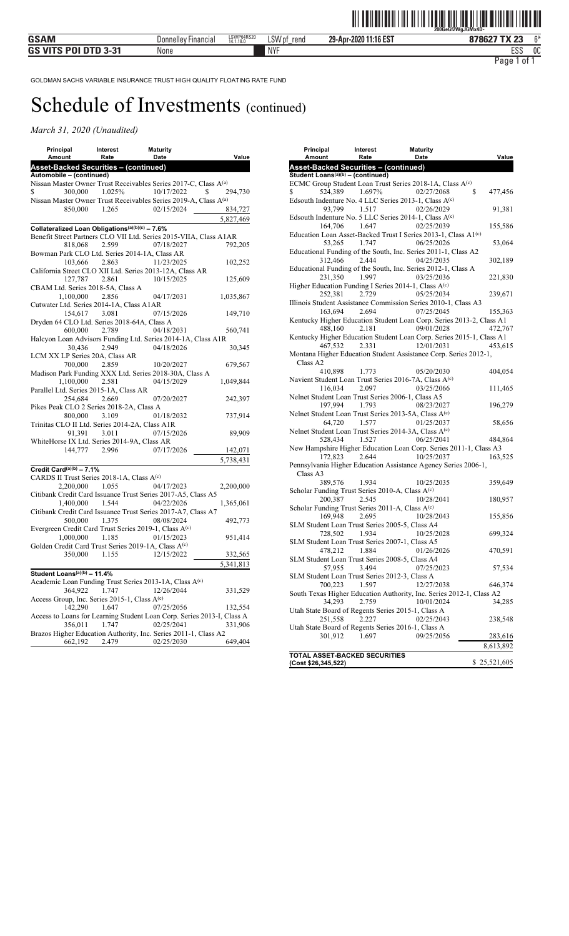| Principal                                                                            | Interest       | <b>Maturity</b>                                                        |           |
|--------------------------------------------------------------------------------------|----------------|------------------------------------------------------------------------|-----------|
| Amount                                                                               | Rate           | Date                                                                   | Value     |
| Asset-Backed Securities - (continued)                                                |                |                                                                        |           |
| Automobile - (continued)                                                             |                |                                                                        |           |
|                                                                                      |                | Nissan Master Owner Trust Receivables Series 2017-C, Class A(a)        |           |
| \$                                                                                   | 300,000 1.025% | 10/17/2022<br>S                                                        | 294,730   |
|                                                                                      |                | Nissan Master Owner Trust Receivables Series 2019-A, Class A(a)        |           |
|                                                                                      | 850,000 1.265  | 02/15/2024                                                             | 834,727   |
|                                                                                      |                |                                                                        | 5,827,469 |
| Collateralized Loan Obligations(a)(b)(c) - 7.6%                                      |                |                                                                        |           |
|                                                                                      |                | Benefit Street Partners CLO VII Ltd. Series 2015-VIIA, Class A1AR      |           |
| 818,068                                                                              | 2.599          | 07/18/2027                                                             | 792.205   |
| Bowman Park CLO Ltd. Series 2014-1A, Class AR                                        |                |                                                                        |           |
|                                                                                      | 103,666 2.863  | 11/23/2025                                                             | 102,252   |
|                                                                                      |                | California Street CLO XII Ltd. Series 2013-12A, Class AR               |           |
|                                                                                      | 127,787 2.861  | 10/15/2025                                                             | 125,609   |
| CBAM Ltd. Series 2018-5A, Class A                                                    |                |                                                                        |           |
| 1,100,000                                                                            | 2.856          | 04/17/2031                                                             | 1,035,867 |
| Cutwater Ltd. Series 2014-1A, Class A1AR                                             |                |                                                                        |           |
|                                                                                      | 154,617 3.081  | 07/15/2026                                                             | 149,710   |
| Dryden 64 CLO Ltd. Series 2018-64A, Class A                                          |                |                                                                        |           |
| 600,000                                                                              | 2.789          | 04/18/2031                                                             | 560,741   |
|                                                                                      |                | Halcyon Loan Advisors Funding Ltd. Series 2014-1A, Class A1R           |           |
| 30,436                                                                               | 2.949          | 04/18/2026                                                             | 30,345    |
| LCM XX LP Series 20A, Class AR                                                       |                |                                                                        |           |
| 700,000                                                                              | 2.859          | 10/20/2027                                                             | 679,567   |
|                                                                                      |                | Madison Park Funding XXX Ltd. Series 2018-30A, Class A                 |           |
| 1,100,000                                                                            | 2.581          | 04/15/2029                                                             | 1,049,844 |
| Parallel Ltd. Series 2015-1A, Class AR                                               |                |                                                                        |           |
| 254,684                                                                              | 2.669          | 07/20/2027                                                             | 242,397   |
| Pikes Peak CLO 2 Series 2018-2A, Class A                                             |                |                                                                        |           |
| 800,000                                                                              | 3.109          | 01/18/2032                                                             | 737,914   |
| Trinitas CLO II Ltd. Series 2014-2A, Class A1R                                       |                |                                                                        |           |
|                                                                                      | 91,391 3.011   | 07/15/2026                                                             | 89,909    |
| WhiteHorse IX Ltd. Series 2014-9A, Class AR                                          |                |                                                                        |           |
|                                                                                      | 144,777 2.996  | 07/17/2026                                                             | 142,071   |
|                                                                                      |                |                                                                        | 5,738,431 |
|                                                                                      |                |                                                                        |           |
| Credit Card $(a)(b)$ - 7.1%<br>CARDS II Trust Series 2018-1A, Class A <sup>(c)</sup> |                |                                                                        |           |
|                                                                                      |                |                                                                        |           |
| 2,200,000 1.055                                                                      |                | 04/17/2023                                                             | 2,200,000 |
|                                                                                      |                | Citibank Credit Card Issuance Trust Series 2017-A5, Class A5           |           |
| 1,400,000 1.544                                                                      |                | 04/22/2026                                                             | 1,365,061 |
|                                                                                      |                | Citibank Credit Card Issuance Trust Series 2017-A7, Class A7           |           |
| 500,000                                                                              | 1.375          | 08/08/2024                                                             | 492,773   |
|                                                                                      |                | Evergreen Credit Card Trust Series 2019-1, Class A(c)                  |           |
| 1.000.000 1.185                                                                      |                | 01/15/2023                                                             | 951,414   |
|                                                                                      |                | Golden Credit Card Trust Series 2019-1A, Class A(c)                    |           |
|                                                                                      | 350,000 1.155  | 12/15/2022                                                             | 332,565   |
|                                                                                      |                |                                                                        | 5,341,813 |
| Student Loans <sup>(a)(b)</sup> - 11.4%                                              |                |                                                                        |           |
|                                                                                      |                | Academic Loan Funding Trust Series 2013-1A, Class A <sup>(c)</sup>     |           |
| 364,922                                                                              | 1.747          | 12/26/2044                                                             | 331,529   |
| Access Group, Inc. Series 2015-1, Class A <sup>(c)</sup>                             |                |                                                                        |           |
| 142,290                                                                              | 1.647          | 07/25/2056                                                             | 132,554   |
|                                                                                      |                | Access to Loans for Learning Student Loan Corp. Series 2013-I, Class A |           |
| 356,011                                                                              | 1.747          | 02/25/2041                                                             | 331,906   |
|                                                                                      |                | Brazos Higher Education Authority, Inc. Series 2011-1, Class A2        |           |
| 662,192                                                                              | 2.479          | 02/25/2030                                                             | 649,404   |
|                                                                                      |                |                                                                        |           |

| Principal<br>Amount                                        | Interest<br>Rate | <b>Maturity</b><br>Date                                                                  | Value         |
|------------------------------------------------------------|------------------|------------------------------------------------------------------------------------------|---------------|
| Asset-Backed Securities - (continued)                      |                  |                                                                                          |               |
| Student Loans <sup>(a)(b)</sup> - (continued)              |                  |                                                                                          |               |
|                                                            |                  | ECMC Group Student Loan Trust Series 2018-1A, Class A(c)                                 |               |
| 524.389                                                    | 1.697%           | 02/27/2068<br>Edsouth Indenture No. 4 LLC Series 2013-1, Class A(c)                      | \$<br>477,456 |
| 93,799                                                     | 1.517            | 02/26/2029                                                                               | 91,381        |
|                                                            | 164,706 1.647    | Edsouth Indenture No. 5 LLC Series 2014-1, Class A(c)<br>02/25/2039                      | 155,586       |
| 53,265                                                     | 1.747            | Education Loan Asset-Backed Trust I Series 2013-1, Class A1 <sup>(c)</sup><br>06/25/2026 | 53,064        |
| 312,466                                                    | 2.444            | Educational Funding of the South, Inc. Series 2011-1, Class A2<br>04/25/2035             | 302,189       |
| 231,350                                                    | 1.997            | Educational Funding of the South, Inc. Series 2012-1, Class A<br>03/25/2036              | 221,830       |
|                                                            |                  | Higher Education Funding I Series 2014-1, Class A(c)                                     |               |
| 252,381                                                    | 2.729            | 05/25/2034<br>Illinois Student Assistance Commission Series 2010-1, Class A3             | 239,671       |
| 163,694                                                    | 2.694            | 07/25/2045                                                                               | 155,363       |
| 488,160                                                    | 2.181            | Kentucky Higher Education Student Loan Corp. Series 2013-2, Class A1<br>09/01/2028       | 472,767       |
|                                                            |                  | Kentucky Higher Education Student Loan Corp. Series 2015-1, Class A1                     |               |
| 467,532                                                    | 2.331            | 12/01/2031                                                                               | 453,615       |
| Class A2                                                   |                  | Montana Higher Education Student Assistance Corp. Series 2012-1,                         |               |
| 410,898                                                    | 1.773            | 05/20/2030                                                                               | 404,054       |
|                                                            |                  | Navient Student Loan Trust Series 2016-7A, Class A(c)                                    |               |
| 116,034                                                    | 2.097            | 03/25/2066<br>Nelnet Student Loan Trust Series 2006-1, Class A5                          | 111,465       |
| 197,994                                                    | 1.793            | 08/23/2027<br>Nelnet Student Loan Trust Series 2013-5A, Class A(c)                       | 196,279       |
| 64,720                                                     | 1.577            | 01/25/2037                                                                               | 58,656        |
| 528,434                                                    | 1.527            | Nelnet Student Loan Trust Series 2014-3A, Class A(c)<br>06/25/2041                       | 484,864       |
|                                                            |                  | New Hampshire Higher Education Loan Corp. Series 2011-1, Class A3                        |               |
| 172,823                                                    | 2.644            | 10/25/2037                                                                               | 163,525       |
| Class A3                                                   |                  | Pennsylvania Higher Education Assistance Agency Series 2006-1,                           |               |
| 389,576                                                    | 1.934            | 10/25/2035                                                                               | 359,649       |
| Scholar Funding Trust Series 2010-A, Class A(c)            |                  |                                                                                          |               |
| 200,387<br>Scholar Funding Trust Series 2011-A, Class A(c) | 2.545            | 10/28/2041                                                                               | 180,957       |
| 169,948                                                    | 2.695            | 10/28/2043                                                                               | 155,856       |
| SLM Student Loan Trust Series 2005-5, Class A4<br>728,502  | 1.934            | 10/25/2028                                                                               | 699,324       |
| SLM Student Loan Trust Series 2007-1, Class A5<br>478,212  | 1.884            | 01/26/2026                                                                               | 470,591       |
| 57,955                                                     | 3.494            | SLM Student Loan Trust Series 2008-5, Class A4<br>07/25/2023                             | 57,534        |
| SLM Student Loan Trust Series 2012-3, Class A              |                  |                                                                                          |               |
| 700,223                                                    | 1.597            | 12/27/2038                                                                               | 646,374       |
| 34,293                                                     | 2.759            | South Texas Higher Education Authority, Inc. Series 2012-1, Class A2<br>10/01/2024       | 34,285        |
| 251,558                                                    | 2.227            | Utah State Board of Regents Series 2015-1, Class A<br>02/25/2043                         | 238,548       |
|                                                            |                  | Utah State Board of Regents Series 2016-1, Class A                                       |               |
| 301,912                                                    | 1.697            | 09/25/2056                                                                               | 283,616       |
|                                                            |                  |                                                                                          | 8,613,892     |
| TOTAL ASSET-BACKED SECURITIES<br>(Cost \$26,345,522)       |                  |                                                                                          | \$25,521,605  |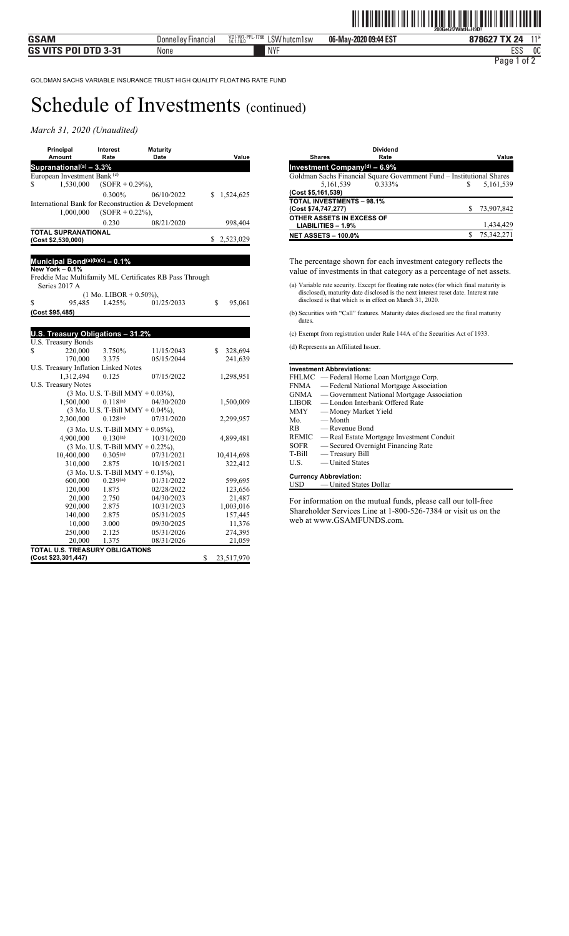#### *March 31, 2020 (Unaudited)*

| Principal<br>Amount                                 | Interest<br>Rate   | <b>Maturity</b><br>Date | Value     |
|-----------------------------------------------------|--------------------|-------------------------|-----------|
| Supranational(a) $-3.3%$                            |                    |                         |           |
| European Investment Bank <sup>(c)</sup>             |                    |                         |           |
| 1,530,000<br>S                                      | $(SOFR + 0.29\%).$ |                         |           |
|                                                     | $0.300\%$          | 06/10/2022              | 1,524,625 |
| International Bank for Reconstruction & Development |                    |                         |           |
| 1,000,000                                           | $(SOFR + 0.22\%).$ |                         |           |
|                                                     | 0.230              | 08/21/2020              | 998,404   |
| <b>TOTAL SUPRANATIONAL</b><br>(Cost \$2,530,000)    |                    |                         | 2,523,029 |

#### **Municipal Bond(a)(b)(c) – 0.1%**

**New York – 0.1%** Freddie Mac Multifamily ML Certificates RB Pass Through Series 2017 A (1 Mo. LIBOR + 0.50%),

| 95,485          | 1.425% | 01/25/2033 | 95,061 |
|-----------------|--------|------------|--------|
| (Cost \$95,485) |        |            |        |
|                 |        |            |        |
|                 |        |            |        |

| U.S. Treasury Obligations - 31.2%    |                                              |            |    |               |  |  |
|--------------------------------------|----------------------------------------------|------------|----|---------------|--|--|
| U.S. Treasury Bonds                  |                                              |            |    |               |  |  |
| 220,000<br>\$                        | 3.750%                                       | 11/15/2043 |    | \$<br>328,694 |  |  |
| 170,000                              | 3.375                                        | 05/15/2044 |    | 241,639       |  |  |
| U.S. Treasury Inflation Linked Notes |                                              |            |    |               |  |  |
| 1,312,494                            | 0.125                                        | 07/15/2022 |    | 1,298,951     |  |  |
| <b>U.S. Treasury Notes</b>           |                                              |            |    |               |  |  |
|                                      | $(3 \text{ Mo. U.S. T-Bill MMY} + 0.03\%),$  |            |    |               |  |  |
| $1,500,000$ $0.118^{(a)}$            |                                              | 04/30/2020 |    | 1,500,009     |  |  |
|                                      | $(3 \text{ Mo. U.S. T-Bill MMY} + 0.04\%).$  |            |    |               |  |  |
| 2,300,000                            | $0.128^{(a)}$                                | 07/31/2020 |    | 2,299,957     |  |  |
|                                      | $(3 \text{ Mo. U.S. T-Bill MMY} + 0.05\%),$  |            |    |               |  |  |
| 4,900,000                            | $0.130^{(a)}$                                | 10/31/2020 |    | 4,899,481     |  |  |
|                                      | $(3 \text{ Mo. U.S. T-Bill MMY } + 0.22\%).$ |            |    |               |  |  |
| 10,400,000                           | $0.305^{(a)}$                                | 07/31/2021 |    | 10,414,698    |  |  |
| 310,000                              | 2.875                                        | 10/15/2021 |    | 322,412       |  |  |
|                                      | $(3 \text{ Mo. U.S. T-Bill MMY} + 0.15\%),$  |            |    |               |  |  |
| 600,000                              | 0.239(a)                                     | 01/31/2022 |    | 599,695       |  |  |
| 120,000                              | 1.875                                        | 02/28/2022 |    | 123,656       |  |  |
| 20,000                               | 2.750                                        | 04/30/2023 |    | 21,487        |  |  |
| 920,000                              | 2.875                                        | 10/31/2023 |    | 1,003,016     |  |  |
| 140,000                              | 2.875                                        | 05/31/2025 |    | 157,445       |  |  |
| 10,000                               | 3.000                                        | 09/30/2025 |    | 11,376        |  |  |
| 250,000                              | 2.125                                        | 05/31/2026 |    | 274,395       |  |  |
| 20,000                               | 1.375                                        | 08/31/2026 |    | 21,059        |  |  |
| TOTAL U.S. TREASURY OBLIGATIONS      |                                              |            |    |               |  |  |
| (Cost \$23,301,447)                  |                                              |            | \$ | 23,517,970    |  |  |

| <b>Shares</b>                    | <b>Dividend</b><br>Rate                                               |   | Value      |
|----------------------------------|-----------------------------------------------------------------------|---|------------|
| Investment Company(d) $-6.9\%$   |                                                                       |   |            |
|                                  | Goldman Sachs Financial Square Government Fund - Institutional Shares |   |            |
| 5,161,539                        | 0.333%                                                                | S | 5,161,539  |
| (Cost \$5,161,539)               |                                                                       |   |            |
| <b>TOTAL INVESTMENTS - 98.1%</b> |                                                                       |   |            |
| (Cost \$74,747,277)              |                                                                       |   | 73,907,842 |
| OTHER ASSETS IN EXCESS OF        |                                                                       |   |            |
| $LIABILITIES - 1.9%$             |                                                                       |   | 1,434,429  |
| <b>NET ASSETS - 100.0%</b>       |                                                                       |   | 75,342,271 |
|                                  |                                                                       |   |            |

The percentage shown for each investment category reflects the value of investments in that category as a percentage of net assets.

- (a) Variable rate security. Except for floating rate notes (for which final maturity is disclosed), maturity date disclosed is the next interest reset date. Interest rate disclosed is that which is in effect on March 31, 2020.
- (b) Securities with "Call" features. Maturity dates disclosed are the final maturity dates
- (c) Exempt from registration under Rule 144A of the Securities Act of 1933.

(d) Represents an Affiliated Issuer.

|        | <b>Investment Abbreviations:</b>                |
|--------|-------------------------------------------------|
|        | FHLMC — Federal Home Loan Mortgage Corp.        |
|        | FNMA — Federal National Mortgage Association    |
|        | GNMA — Government National Mortgage Association |
|        | LIBOR — London Interbank Offered Rate           |
|        | MMY — Money Market Yield                        |
|        | $Mo$ — Month                                    |
| RB.    | — Revenue Bond                                  |
|        | REMIC — Real Estate Mortgage Investment Conduit |
| SOFR   | — Secured Overnight Financing Rate              |
| T-Bill | — Treasury Bill                                 |
| U.S.   | — United States                                 |
|        | <b>Currency Abbreviation:</b>                   |
|        | USD — United States Dollar                      |

For information on the mutual funds, please call our toll-free Shareholder Services Line at 1-800-526-7384 or visit us on the web at www.GSAMFUNDS.com.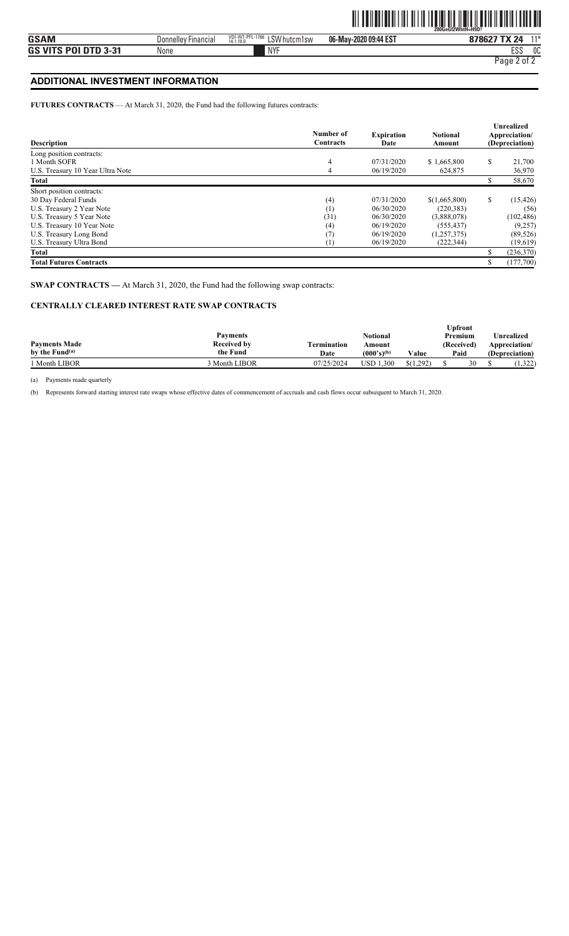#### **ADDITIONAL INVESTMENT INFORMATION**

**FUTURES CONTRACTS** — At March 31, 2020, the Fund had the following futures contracts:

| <b>Description</b>               | Number of<br><b>Contracts</b> | <b>Expiration</b><br>Date | <b>Notional</b><br>Amount | <b>Unrealized</b><br>Appreciation/<br>(Depreciation) |
|----------------------------------|-------------------------------|---------------------------|---------------------------|------------------------------------------------------|
| Long position contracts:         |                               |                           |                           |                                                      |
| 1 Month SOFR                     | $\overline{4}$                | 07/31/2020                | \$1,665,800               | \$<br>21,700                                         |
| U.S. Treasury 10 Year Ultra Note | $\overline{4}$                | 06/19/2020                | 624,875                   | 36,970                                               |
| Total                            |                               |                           |                           | \$<br>58,670                                         |
| Short position contracts:        |                               |                           |                           |                                                      |
| 30 Day Federal Funds             | (4)                           | 07/31/2020                | \$(1,665,800)             | \$<br>(15, 426)                                      |
| U.S. Treasury 2 Year Note        | (1)                           | 06/30/2020                | (220, 383)                | (56)                                                 |
| U.S. Treasury 5 Year Note        | (31)                          | 06/30/2020                | (3,888,078)               | (102, 486)                                           |
| U.S. Treasury 10 Year Note       | (4)                           | 06/19/2020                | (555, 437)                | (9,257)                                              |
| U.S. Treasury Long Bond          | (7)                           | 06/19/2020                | (1,257,375)               | (89, 526)                                            |
| U.S. Treasury Ultra Bond         | $\left(1\right)$              | 06/19/2020                | (222, 344)                | (19,619)                                             |
| Total                            |                               |                           |                           | (236,370)                                            |
| <b>Total Futures Contracts</b>   |                               |                           |                           | \$<br>(177,700)                                      |

**SWAP CONTRACTS —** At March 31, 2020, the Fund had the following swap contracts:

#### **CENTRALLY CLEARED INTEREST RATE SWAP CONTRACTS**

|                            |                    |             |                 |           | <b>Upfront</b> |    |                |
|----------------------------|--------------------|-------------|-----------------|-----------|----------------|----|----------------|
|                            | Payments           |             | Notional        |           | Premium        |    | Unrealized     |
| <b>Payments Made</b>       | <b>Received by</b> | Termination | Amount          |           | (Received)     |    | Appreciation/  |
| by the Fund <sup>(a)</sup> | the Fund           | Date        | $(000's)^{(b)}$ | Value     | Paid           |    | (Depreciation) |
| <sup>1</sup> Month LIBOR   | 3 Month LIBOR      | 07/25/2024  | USD 1<br>1.300  | \$(1.292) |                | 30 | .322           |

(a) Payments made quarterly

(b) Represents forward starting interest rate swaps whose effective dates of commencement of accruals and cash flows occur subsequent to March 31, 2020.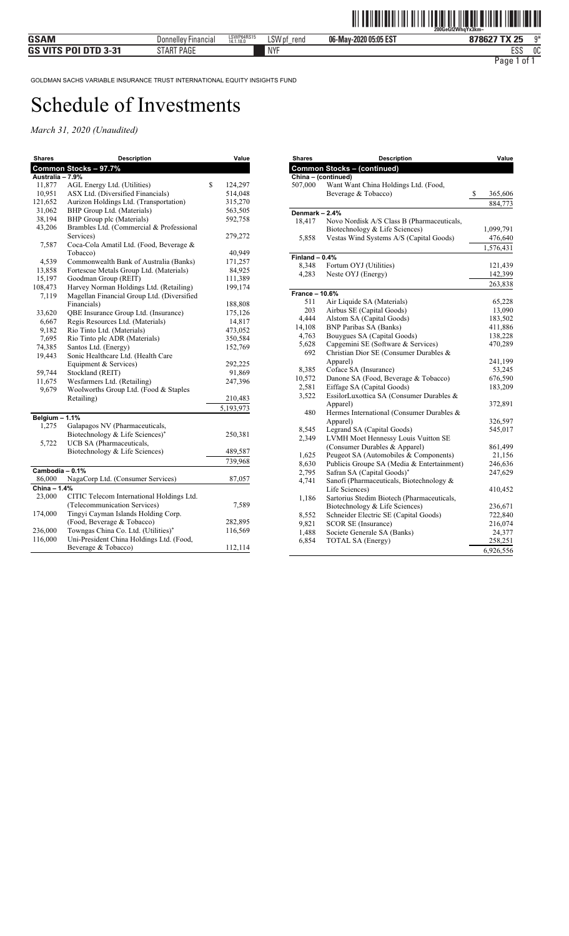| <b>Shares</b>    | <b>Description</b>                         | Value         |
|------------------|--------------------------------------------|---------------|
|                  | Common Stocks - 97.7%                      |               |
| Australia - 7.9% |                                            |               |
| 11,877           | AGL Energy Ltd. (Utilities)                | \$<br>124,297 |
| 10,951           | ASX Ltd. (Diversified Financials)          | 514,048       |
| 121,652          | Aurizon Holdings Ltd. (Transportation)     | 315,270       |
| 31,062           | BHP Group Ltd. (Materials)                 | 563,505       |
| 38,194           | BHP Group plc (Materials)                  | 592,758       |
| 43,206           | Brambles Ltd. (Commercial & Professional   |               |
|                  | Services)                                  | 279,272       |
| 7,587            | Coca-Cola Amatil Ltd. (Food, Beverage &    |               |
|                  | Tobacco)                                   | 40,949        |
| 4,539            | Commonwealth Bank of Australia (Banks)     | 171,257       |
| 13,858           | Fortescue Metals Group Ltd. (Materials)    | 84,925        |
| 15,197           | Goodman Group (REIT)                       | 111,389       |
| 108,473          | Harvey Norman Holdings Ltd. (Retailing)    | 199,174       |
| 7,119            | Magellan Financial Group Ltd. (Diversified |               |
|                  | Financials)                                | 188,808       |
| 33,620           | QBE Insurance Group Ltd. (Insurance)       | 175,126       |
| 6,667            | Regis Resources Ltd. (Materials)           | 14,817        |
| 9,182            | Rio Tinto Ltd. (Materials)                 | 473,052       |
| 7,695            | Rio Tinto plc ADR (Materials)              | 350,584       |
| 74,385           | Santos Ltd. (Energy)                       | 152,769       |
| 19,443           | Sonic Healthcare Ltd. (Health Care         |               |
|                  | Equipment & Services)                      | 292,225       |
| 59,744           | Stockland (REIT)                           | 91,869        |
| 11,675           | Wesfarmers Ltd. (Retailing)                | 247,396       |
| 9,679            | Woolworths Group Ltd. (Food & Staples      |               |
|                  | Retailing)                                 | 210,483       |
|                  |                                            | 5,193,973     |
| Belgium $-1.1%$  |                                            |               |
| 1,275            | Galapagos NV (Pharmaceuticals,             |               |
|                  | Biotechnology & Life Sciences)*            | 250,381       |
| 5,722            | UCB SA (Pharmaceuticals,                   |               |
|                  | Biotechnology & Life Sciences)             | 489,587       |
|                  |                                            | 739,968       |
| Cambodia - 0.1%  |                                            |               |
| 86,000           | NagaCorp Ltd. (Consumer Services)          | 87,057        |
| China - 1.4%     |                                            |               |
| 23,000           | CITIC Telecom International Holdings Ltd.  |               |
|                  | (Telecommunication Services)               | 7,589         |
| 174,000          | Tingyi Cayman Islands Holding Corp.        |               |
|                  | (Food, Beverage & Tobacco)                 | 282,895       |
| 236,000          | Towngas China Co. Ltd. (Utilities)*        | 116,569       |
| 116,000          | Uni-President China Holdings Ltd. (Food,   |               |
|                  | Beverage & Tobacco)                        | 112,114       |

| <b>Shares</b>         | <b>Description</b>                                                     | Value             |
|-----------------------|------------------------------------------------------------------------|-------------------|
|                       | <b>Common Stocks - (continued)</b>                                     |                   |
|                       | China - (continued)                                                    |                   |
| 507,000               | Want Want China Holdings Ltd. (Food,                                   |                   |
|                       | Beverage & Tobacco)                                                    | \$<br>365,606     |
|                       |                                                                        | 884,773           |
| Denmark - 2.4%        |                                                                        |                   |
| 18,417                | Novo Nordisk A/S Class B (Pharmaceuticals,                             |                   |
|                       | Biotechnology & Life Sciences)                                         | 1,099,791         |
| 5,858                 | Vestas Wind Systems A/S (Capital Goods)                                | 476,640           |
|                       |                                                                        | 1,576,431         |
| Finland $-0.4%$       |                                                                        |                   |
| 8,348                 | Fortum OYJ (Utilities)                                                 | 121,439           |
| 4,283                 | Neste OYJ (Energy)                                                     | 142,399           |
|                       |                                                                        | 263,838           |
| <b>France - 10.6%</b> |                                                                        |                   |
| 511                   | Air Liquide SA (Materials)                                             | 65,228            |
| 203                   | Airbus SE (Capital Goods)                                              | 13,090            |
| 4,444                 | Alstom SA (Capital Goods)                                              | 183,502           |
| 14,108                | <b>BNP Paribas SA (Banks)</b>                                          | 411,886           |
| 4,763                 | Bouygues SA (Capital Goods)                                            | 138,228           |
| 5,628                 | Capgemini SE (Software & Services)                                     | 470,289           |
| 692                   | Christian Dior SE (Consumer Durables &                                 |                   |
|                       | Apparel)                                                               | 241,199           |
| 8,385                 | Coface SA (Insurance)                                                  | 53,245            |
| 10,572                | Danone SA (Food, Beverage & Tobacco)                                   | 676,590           |
| 2,581                 | Eiffage SA (Capital Goods)                                             | 183,209           |
| 3,522                 | EssilorLuxottica SA (Consumer Durables &                               |                   |
|                       | Apparel)                                                               | 372,891           |
| 480                   | Hermes International (Consumer Durables &                              |                   |
|                       | Apparel)                                                               | 326,597           |
| 8,545                 | Legrand SA (Capital Goods)                                             | 545,017           |
| 2,349                 | LVMH Moet Hennessy Louis Vuitton SE                                    |                   |
|                       | (Consumer Durables & Apparel)<br>Peugeot SA (Automobiles & Components) | 861,499           |
| 1,625<br>8,630        | Publicis Groupe SA (Media & Entertainment)                             | 21,156<br>246,636 |
| 2,795                 | Safran SA (Capital Goods)*                                             | 247,629           |
| 4,741                 | Sanofi (Pharmaceuticals, Biotechnology &                               |                   |
|                       | Life Sciences)                                                         | 410,452           |
| 1,186                 | Sartorius Stedim Biotech (Pharmaceuticals,                             |                   |
|                       | Biotechnology & Life Sciences)                                         | 236,671           |
| 8,552                 | Schneider Electric SE (Capital Goods)                                  | 722,840           |
| 9,821                 | <b>SCOR SE (Insurance)</b>                                             | 216,074           |
| 1,488                 | Societe Generale SA (Banks)                                            | 24,377            |
| 6,854                 | TOTAL SA (Energy)                                                      | 258,251           |
|                       |                                                                        | 6,926,556         |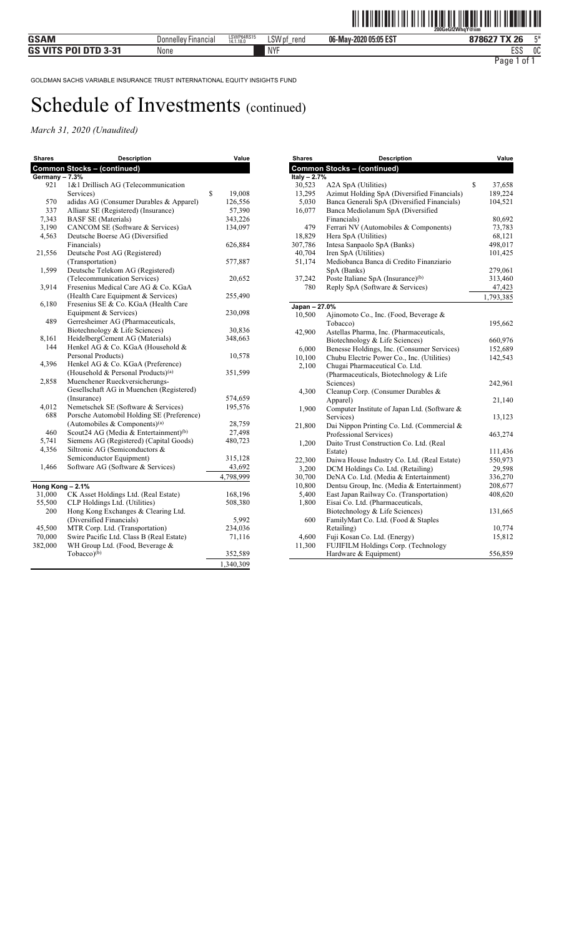| <b>Shares</b>    | <b>Description</b>                                | Value        |
|------------------|---------------------------------------------------|--------------|
|                  | <b>Common Stocks - (continued)</b>                |              |
| Germany - 7.3%   |                                                   |              |
| 921              | 1&1 Drillisch AG (Telecommunication               |              |
|                  | Services)                                         | \$<br>19,008 |
| 570              | adidas AG (Consumer Durables & Apparel)           | 126,556      |
| 337              | Allianz SE (Registered) (Insurance)               | 57,390       |
| 7,343            | <b>BASF SE</b> (Materials)                        | 343,226      |
| 3,190            | CANCOM SE (Software & Services)                   | 134,097      |
| 4,563            | Deutsche Boerse AG (Diversified                   |              |
|                  | Financials)                                       | 626,884      |
| 21,556           | Deutsche Post AG (Registered)                     |              |
|                  | (Transportation)                                  | 577,887      |
| 1.599            | Deutsche Telekom AG (Registered)                  |              |
|                  | (Telecommunication Services)                      | 20,652       |
| 3.914            | Fresenius Medical Care AG & Co. KGaA              |              |
|                  | (Health Care Equipment & Services)                | 255,490      |
| 6,180            | Fresenius SE & Co. KGaA (Health Care              |              |
|                  | Equipment & Services)                             | 230,098      |
| 489              | Gerresheimer AG (Pharmaceuticals,                 |              |
|                  | Biotechnology & Life Sciences)                    | 30,836       |
| 8,161            | HeidelbergCement AG (Materials)                   | 348,663      |
| 144              | Henkel AG & Co. KGaA (Household &                 |              |
|                  | Personal Products)                                | 10,578       |
| 4,396            | Henkel AG & Co. KGaA (Preference)                 |              |
|                  | (Household & Personal Products) <sup>(a)</sup>    | 351,599      |
| 2,858            | Muenchener Rueckversicherungs-                    |              |
|                  | Gesellschaft AG in Muenchen (Registered)          |              |
|                  | (Insurance)                                       | 574,659      |
| 4,012            | Nemetschek SE (Software & Services)               | 195,576      |
| 688              | Porsche Automobil Holding SE (Preference)         |              |
|                  | (Automobiles & Components) <sup>(a)</sup>         | 28,759       |
| 460              | Scout24 AG (Media & Entertainment) <sup>(b)</sup> | 27,498       |
| 5,741            | Siemens AG (Registered) (Capital Goods)           | 480,723      |
| 4,356            | Siltronic AG (Semiconductors &                    |              |
|                  | Semiconductor Equipment)                          | 315,128      |
| 1,466            | Software AG (Software & Services)                 | 43,692       |
|                  |                                                   | 4,798,999    |
| Hong Kong - 2.1% |                                                   |              |
| 31,000           | CK Asset Holdings Ltd. (Real Estate)              | 168,196      |
| 55,500           | CLP Holdings Ltd. (Utilities)                     | 508,380      |
| 200              | Hong Kong Exchanges & Clearing Ltd.               |              |
|                  | (Diversified Financials)                          | 5,992        |
| 45,500           | MTR Corp. Ltd. (Transportation)                   | 234,036      |
| 70,000           | Swire Pacific Ltd. Class B (Real Estate)          | 71,116       |
| 382,000          | WH Group Ltd. (Food, Beverage &                   |              |
|                  | Tobacco) <sup>(b)</sup>                           | 352,589      |
|                  |                                                   | 1,340,309    |

| <b>Shares</b> | <b>Description</b>                            | Value        |
|---------------|-----------------------------------------------|--------------|
|               | <b>Common Stocks - (continued)</b>            |              |
| Italy $-2.7%$ |                                               |              |
| 30,523        | A2A SpA (Utilities)                           | \$<br>37,658 |
| 13,295        | Azimut Holding SpA (Diversified Financials)   | 189,224      |
| 5,030         | Banca Generali SpA (Diversified Financials)   | 104,521      |
| 16,077        | Banca Mediolanum SpA (Diversified             |              |
|               | Financials)                                   | 80,692       |
| 479           | Ferrari NV (Automobiles & Components)         | 73,783       |
| 18,829        | Hera SpA (Utilities)                          | 68,121       |
| 307,786       | Intesa Sanpaolo SpA (Banks)                   | 498,017      |
| 40,704        | Iren SpA (Utilities)                          | 101,425      |
| 51,174        | Mediobanca Banca di Credito Finanziario       |              |
|               | SpA (Banks)                                   | 279,061      |
| 37,242        | Poste Italiane SpA (Insurance) <sup>(b)</sup> | 313,460      |
| 780           | Reply SpA (Software & Services)               | 47,423       |
|               |                                               | 1,793,385    |
| Japan - 27.0% |                                               |              |
| 10,500        | Ajinomoto Co., Inc. (Food, Beverage &         |              |
|               | Tobacco)                                      | 195,662      |
| 42,900        | Astellas Pharma, Inc. (Pharmaceuticals,       |              |
|               | Biotechnology & Life Sciences)                | 660,976      |
| 6,000         | Benesse Holdings, Inc. (Consumer Services)    | 152,689      |
| 10,100        | Chubu Electric Power Co., Inc. (Utilities)    | 142,543      |
| 2,100         | Chugai Pharmaceutical Co. Ltd.                |              |
|               | (Pharmaceuticals, Biotechnology & Life        |              |
|               | Sciences)                                     | 242,961      |
| 4,300         | Cleanup Corp. (Consumer Durables &            |              |
|               | Apparel)                                      | 21,140       |
| 1,900         | Computer Institute of Japan Ltd. (Software &  |              |
|               | Services)                                     | 13,123       |
| 21,800        | Dai Nippon Printing Co. Ltd. (Commercial &    |              |
|               | Professional Services)                        | 463,274      |
| 1,200         | Daito Trust Construction Co. Ltd. (Real       |              |
|               | Estate)                                       | 111,436      |
| 22,300        | Daiwa House Industry Co. Ltd. (Real Estate)   | 550,973      |
| 3,200         | DCM Holdings Co. Ltd. (Retailing)             | 29,598       |
| 30,700        | DeNA Co. Ltd. (Media & Entertainment)         | 336,270      |
| 10,800        | Dentsu Group, Inc. (Media & Entertainment)    | 208,677      |
| 5,400         | East Japan Railway Co. (Transportation)       | 408,620      |
| 1,800         | Eisai Co. Ltd. (Pharmaceuticals,              |              |
|               | Biotechnology & Life Sciences)                | 131,665      |
| 600           | FamilyMart Co. Ltd. (Food & Staples           |              |
|               | Retailing)                                    | 10,774       |
| 4,600         | Fuji Kosan Co. Ltd. (Energy)                  | 15,812       |
| 11,300        | FUJIFILM Holdings Corp. (Technology           |              |
|               | Hardware & Equipment)                         | 556,859      |
|               |                                               |              |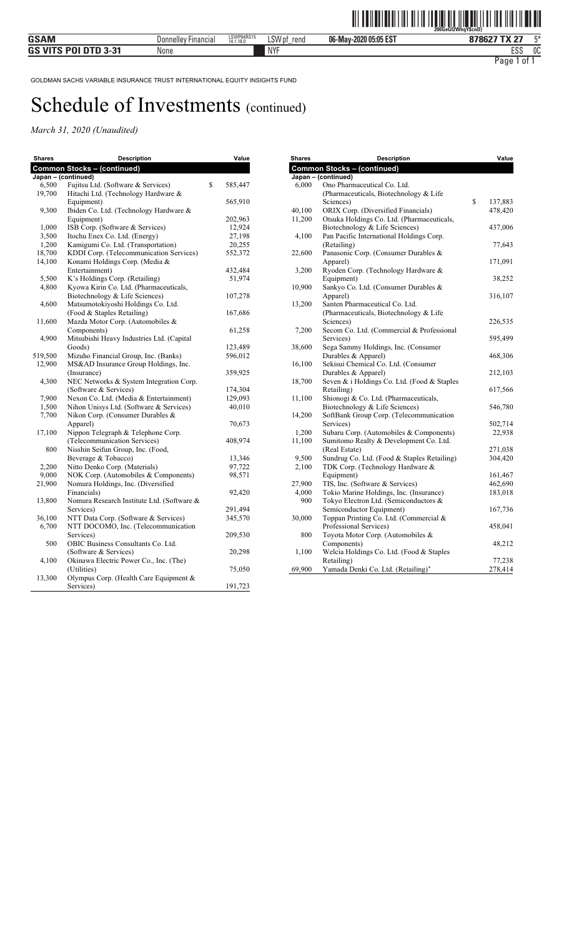| <b>Shares</b> | <b>Description</b>                         | Value         |
|---------------|--------------------------------------------|---------------|
|               | <b>Common Stocks - (continued)</b>         |               |
|               | Japan - (continued)                        |               |
| 6,500         | Fujitsu Ltd. (Software & Services)         | \$<br>585,447 |
| 19,700        | Hitachi Ltd. (Technology Hardware &        |               |
|               | Equipment)                                 | 565,910       |
| 9,300         | Ibiden Co. Ltd. (Technology Hardware &     |               |
|               | Equipment)                                 | 202,963       |
| 1,000         | ISB Corp. (Software & Services)            | 12,924        |
| 3,500         | Itochu Enex Co. Ltd. (Energy)              | 27,198        |
| 1,200         | Kamigumi Co. Ltd. (Transportation)         | 20,255        |
| 18,700        | KDDI Corp. (Telecommunication Services)    | 552,372       |
| 14,100        | Konami Holdings Corp. (Media &             |               |
|               | Entertainment)                             | 432,484       |
| 5,500         | K's Holdings Corp. (Retailing)             | 51,974        |
| 4,800         | Kyowa Kirin Co. Ltd. (Pharmaceuticals,     |               |
|               | Biotechnology & Life Sciences)             | 107,278       |
| 4,600         | Matsumotokiyoshi Holdings Co. Ltd.         |               |
|               | (Food & Staples Retailing)                 | 167,686       |
| 11,600        | Mazda Motor Corp. (Automobiles &           |               |
|               | Components)                                | 61,258        |
| 4,900         | Mitsubishi Heavy Industries Ltd. (Capital  |               |
|               | Goods)                                     | 123,489       |
| 519,500       | Mizuho Financial Group, Inc. (Banks)       | 596,012       |
| 12,900        | MS&AD Insurance Group Holdings, Inc.       |               |
|               | (Insurance)                                | 359,925       |
| 4,300         | NEC Networks & System Integration Corp.    |               |
|               | (Software & Services)                      | 174,304       |
| 7,900         | Nexon Co. Ltd. (Media & Entertainment)     | 129,093       |
| 1,500         | Nihon Unisys Ltd. (Software & Services)    | 40,010        |
| 7,700         | Nikon Corp. (Consumer Durables &           |               |
|               | Apparel)                                   | 70,673        |
| 17,100        | Nippon Telegraph & Telephone Corp.         |               |
|               | (Telecommunication Services)               | 408,974       |
| 800           | Nisshin Seifun Group, Inc. (Food,          |               |
|               | Beverage & Tobacco)                        | 13,346        |
| 2,200         | Nitto Denko Corp. (Materials)              | 97,722        |
| 9,000         | NOK Corp. (Automobiles & Components)       | 98,571        |
| 21,900        | Nomura Holdings, Inc. (Diversified         |               |
|               | Financials)                                | 92,420        |
| 13,800        | Nomura Research Institute Ltd. (Software & |               |
|               | Services)                                  | 291,494       |
| 36,100        | NTT Data Corp. (Software & Services)       | 345,570       |
| 6,700         | NTT DOCOMO, Inc. (Telecommunication        |               |
|               | Services)                                  | 209,530       |
| 500           | OBIC Business Consultants Co. Ltd.         |               |
|               | (Software & Services)                      | 20,298        |
| 4,100         | Okinawa Electric Power Co., Inc. (The)     |               |
|               | (Utilities)                                | 75,050        |
| 13,300        | Olympus Corp. (Health Care Equipment &     |               |
|               | Services)                                  | 191,723       |
|               |                                            |               |

| <b>Shares</b> | <b>Description</b>                                     | Value         |
|---------------|--------------------------------------------------------|---------------|
|               | <b>Common Stocks - (continued)</b>                     |               |
|               | Japan - (continued)                                    |               |
| 6,000         | Ono Pharmaceutical Co. Ltd.                            |               |
|               | (Pharmaceuticals, Biotechnology & Life                 |               |
|               | Sciences)                                              | \$<br>137,883 |
| 40,100        | ORIX Corp. (Diversified Financials)                    | 478,420       |
| 11,200        | Otsuka Holdings Co. Ltd. (Pharmaceuticals,             |               |
|               | Biotechnology & Life Sciences)                         | 437,006       |
| 4,100         | Pan Pacific International Holdings Corp.               |               |
|               | (Retailing)                                            | 77,643        |
| 22,600        | Panasonic Corp. (Consumer Durables &                   |               |
|               | Apparel)                                               | 171,091       |
| 3,200         | Ryoden Corp. (Technology Hardware &                    |               |
|               | Equipment)                                             | 38,252        |
| 10,900        | Sankyo Co. Ltd. (Consumer Durables &                   |               |
|               | Apparel)                                               | 316,107       |
| 13,200        | Santen Pharmaceutical Co. Ltd.                         |               |
|               | (Pharmaceuticals, Biotechnology & Life                 |               |
| 7,200         | Sciences)<br>Secom Co. Ltd. (Commercial & Professional | 226,535       |
|               | Services)                                              | 595,499       |
| 38,600        | Sega Sammy Holdings, Inc. (Consumer                    |               |
|               | Durables & Apparel)                                    | 468,306       |
| 16,100        | Sekisui Chemical Co. Ltd. (Consumer                    |               |
|               | Durables & Apparel)                                    | 212,103       |
| 18,700        | Seven & i Holdings Co. Ltd. (Food & Staples            |               |
|               | Retailing)                                             | 617,566       |
| 11,100        | Shionogi & Co. Ltd. (Pharmaceuticals,                  |               |
|               | Biotechnology & Life Sciences)                         | 546,780       |
| 14,200        | SoftBank Group Corp. (Telecommunication                |               |
|               | Services)                                              | 502,714       |
| 1,200         | Subaru Corp. (Automobiles & Components)                | 22,938        |
| 11,100        | Sumitomo Realty & Development Co. Ltd.                 |               |
|               | (Real Estate)                                          | 271,038       |
| 9,500         | Sundrug Co. Ltd. (Food & Staples Retailing)            | 304,420       |
| 2,100         | TDK Corp. (Technology Hardware &                       |               |
|               | Equipment)                                             | 161,467       |
| 27,900        | TIS, Inc. (Software & Services)                        | 462,690       |
| 4,000         | Tokio Marine Holdings, Inc. (Insurance)                | 183,018       |
| 900           | Tokyo Electron Ltd. (Semiconductors &                  |               |
|               | Semiconductor Equipment)                               | 167,736       |
| 30,000        | Toppan Printing Co. Ltd. (Commercial &                 |               |
|               | Professional Services)                                 | 458,041       |
| 800           | Toyota Motor Corp. (Automobiles &                      |               |
|               | Components)                                            | 48,212        |
| 1,100         | Welcia Holdings Co. Ltd. (Food & Staples               |               |
|               | Retailing)                                             | 77,238        |
| 69.900        | Yamada Denki Co. Ltd. (Retailing)*                     | 278.414       |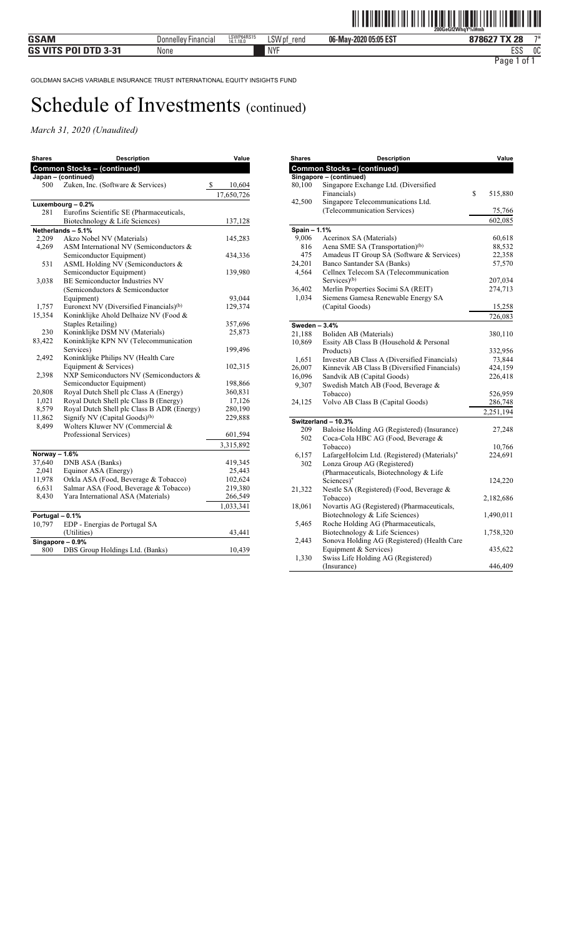| <b>Shares</b>   | <b>Description</b>                                  | Value                   |
|-----------------|-----------------------------------------------------|-------------------------|
|                 | <b>Common Stocks - (continued)</b>                  |                         |
|                 | Japan - (continued)                                 |                         |
| 500             | Zuken, Inc. (Software & Services)                   | \$<br>10,604            |
|                 |                                                     | $\overline{17,650,726}$ |
|                 | Luxembourg - 0.2%                                   |                         |
| 281             | Eurofins Scientific SE (Pharmaceuticals,            |                         |
|                 | Biotechnology & Life Sciences)                      | 137,128                 |
|                 | Netherlands - 5.1%                                  |                         |
| 2,209           | Akzo Nobel NV (Materials)                           | 145,283                 |
| 4,269           | ASM International NV (Semiconductors &              |                         |
|                 | Semiconductor Equipment)                            | 434,336                 |
| 531             | ASML Holding NV (Semiconductors &                   |                         |
|                 | Semiconductor Equipment)                            | 139,980                 |
| 3,038           | <b>BE Semiconductor Industries NV</b>               |                         |
|                 | (Semiconductors & Semiconductor                     |                         |
|                 | Equipment)                                          | 93,044                  |
| 1,757           | Euronext NV (Diversified Financials) <sup>(b)</sup> | 129,374                 |
| 15,354          | Koninklijke Ahold Delhaize NV (Food &               |                         |
|                 | <b>Staples Retailing</b> )                          | 357,696                 |
| 230             | Koninklijke DSM NV (Materials)                      | 25,873                  |
| 83,422          | Koninklijke KPN NV (Telecommunication               |                         |
|                 | Services)                                           | 199,496                 |
| 2,492           | Koninklijke Philips NV (Health Care                 |                         |
|                 | Equipment & Services)                               | 102,315                 |
| 2,398           | NXP Semiconductors NV (Semiconductors &             |                         |
|                 | Semiconductor Equipment)                            | 198,866                 |
| 20,808          | Royal Dutch Shell plc Class A (Energy)              | 360,831                 |
| 1,021           | Royal Dutch Shell plc Class B (Energy)              | 17,126                  |
| 8,579           | Royal Dutch Shell plc Class B ADR (Energy)          | 280,190                 |
| 11,862          | Signify NV (Capital Goods) <sup>(b)</sup>           | 229,888                 |
| 8,499           | Wolters Kluwer NV (Commercial &                     |                         |
|                 | Professional Services)                              | 601,594                 |
|                 |                                                     | 3,315,892               |
| Norway - 1.6%   |                                                     |                         |
| 37,640          | DNB ASA (Banks)                                     | 419,345                 |
| 2,041           | Equinor ASA (Energy)                                | 25,443                  |
| 11,978          | Orkla ASA (Food, Beverage & Tobacco)                | 102,624                 |
| 6,631           | Salmar ASA (Food, Beverage & Tobacco)               | 219,380                 |
| 8,430           | Yara International ASA (Materials)                  | 266,549                 |
|                 |                                                     | 1,033,341               |
| Portugal - 0.1% |                                                     |                         |
| 10,797          | EDP - Energias de Portugal SA                       |                         |
|                 | (Utilities)                                         | 43,441                  |
|                 | $Singapore-0.9%$                                    |                         |
| 800             | DBS Group Holdings Ltd. (Banks)                     | 10,439                  |
|                 |                                                     |                         |

| <b>Common Stocks - (continued)</b><br>Singapore - (continued)<br>Singapore Exchange Ltd. (Diversified<br>80,100<br>Financials)<br>\$<br>515,880<br>Singapore Telecommunications Ltd.<br>42,500<br>(Telecommunication Services)<br>75,766<br>602,085<br>Spain - 1.1%<br>9,006<br>Acerinox SA (Materials)<br>60,618<br>Aena SME SA (Transportation) <sup>(b)</sup><br>816<br>88,532<br>Amadeus IT Group SA (Software & Services)<br>475<br>22,358<br>Banco Santander SA (Banks)<br>24,201<br>57,570<br>4,564<br>Cellnex Telecom SA (Telecommunication<br>Services $)$ <sup>(b)</sup><br>207,034<br>36,402<br>Merlin Properties Socimi SA (REIT)<br>274,713<br>Siemens Gamesa Renewable Energy SA<br>1,034<br>(Capital Goods)<br>15,258<br>726,083<br>Sweden - 3.4%<br>21,188<br>Boliden AB (Materials)<br>380,110<br>Essity AB Class B (Household & Personal<br>10,869<br>Products)<br>332,956<br>Investor AB Class A (Diversified Financials)<br>73,844<br>1,651<br>Kinnevik AB Class B (Diversified Financials)<br>26,007<br>424,159<br>16,096<br>Sandvik AB (Capital Goods)<br>226,418<br>Swedish Match AB (Food, Beverage &<br>9,307<br>Tobacco)<br>526,959<br>Volvo AB Class B (Capital Goods)<br>286,748<br>24,125<br>2,251,194<br>Switzerland - 10.3%<br>209<br>Baloise Holding AG (Registered) (Insurance)<br>27,248<br>502<br>Coca-Cola HBC AG (Food, Beverage &<br>Tobacco)<br>10,766<br>LafargeHolcim Ltd. (Registered) (Materials)*<br>6,157<br>224,691<br>Lonza Group AG (Registered)<br>302<br>(Pharmaceuticals, Biotechnology & Life<br>Sciences)*<br>124,220<br>Nestle SA (Registered) (Food, Beverage &<br>21,322<br>Tobacco)<br>2,182,686<br>Novartis AG (Registered) (Pharmaceuticals,<br>18,061<br>Biotechnology & Life Sciences)<br>1,490,011<br>Roche Holding AG (Pharmaceuticals,<br>5,465<br>Biotechnology & Life Sciences)<br>1,758,320<br>Sonova Holding AG (Registered) (Health Care<br>2,443<br>Equipment & Services)<br>435,622<br>Swiss Life Holding AG (Registered)<br>1,330 | <b>Shares</b> | <b>Description</b> | Value   |
|-----------------------------------------------------------------------------------------------------------------------------------------------------------------------------------------------------------------------------------------------------------------------------------------------------------------------------------------------------------------------------------------------------------------------------------------------------------------------------------------------------------------------------------------------------------------------------------------------------------------------------------------------------------------------------------------------------------------------------------------------------------------------------------------------------------------------------------------------------------------------------------------------------------------------------------------------------------------------------------------------------------------------------------------------------------------------------------------------------------------------------------------------------------------------------------------------------------------------------------------------------------------------------------------------------------------------------------------------------------------------------------------------------------------------------------------------------------------------------------------------------------------------------------------------------------------------------------------------------------------------------------------------------------------------------------------------------------------------------------------------------------------------------------------------------------------------------------------------------------------------------------------------------------------------------------------------------------------------------------------------------------|---------------|--------------------|---------|
|                                                                                                                                                                                                                                                                                                                                                                                                                                                                                                                                                                                                                                                                                                                                                                                                                                                                                                                                                                                                                                                                                                                                                                                                                                                                                                                                                                                                                                                                                                                                                                                                                                                                                                                                                                                                                                                                                                                                                                                                           |               |                    |         |
|                                                                                                                                                                                                                                                                                                                                                                                                                                                                                                                                                                                                                                                                                                                                                                                                                                                                                                                                                                                                                                                                                                                                                                                                                                                                                                                                                                                                                                                                                                                                                                                                                                                                                                                                                                                                                                                                                                                                                                                                           |               |                    |         |
|                                                                                                                                                                                                                                                                                                                                                                                                                                                                                                                                                                                                                                                                                                                                                                                                                                                                                                                                                                                                                                                                                                                                                                                                                                                                                                                                                                                                                                                                                                                                                                                                                                                                                                                                                                                                                                                                                                                                                                                                           |               |                    |         |
|                                                                                                                                                                                                                                                                                                                                                                                                                                                                                                                                                                                                                                                                                                                                                                                                                                                                                                                                                                                                                                                                                                                                                                                                                                                                                                                                                                                                                                                                                                                                                                                                                                                                                                                                                                                                                                                                                                                                                                                                           |               |                    |         |
|                                                                                                                                                                                                                                                                                                                                                                                                                                                                                                                                                                                                                                                                                                                                                                                                                                                                                                                                                                                                                                                                                                                                                                                                                                                                                                                                                                                                                                                                                                                                                                                                                                                                                                                                                                                                                                                                                                                                                                                                           |               |                    |         |
|                                                                                                                                                                                                                                                                                                                                                                                                                                                                                                                                                                                                                                                                                                                                                                                                                                                                                                                                                                                                                                                                                                                                                                                                                                                                                                                                                                                                                                                                                                                                                                                                                                                                                                                                                                                                                                                                                                                                                                                                           |               |                    |         |
|                                                                                                                                                                                                                                                                                                                                                                                                                                                                                                                                                                                                                                                                                                                                                                                                                                                                                                                                                                                                                                                                                                                                                                                                                                                                                                                                                                                                                                                                                                                                                                                                                                                                                                                                                                                                                                                                                                                                                                                                           |               |                    |         |
|                                                                                                                                                                                                                                                                                                                                                                                                                                                                                                                                                                                                                                                                                                                                                                                                                                                                                                                                                                                                                                                                                                                                                                                                                                                                                                                                                                                                                                                                                                                                                                                                                                                                                                                                                                                                                                                                                                                                                                                                           |               |                    |         |
|                                                                                                                                                                                                                                                                                                                                                                                                                                                                                                                                                                                                                                                                                                                                                                                                                                                                                                                                                                                                                                                                                                                                                                                                                                                                                                                                                                                                                                                                                                                                                                                                                                                                                                                                                                                                                                                                                                                                                                                                           |               |                    |         |
|                                                                                                                                                                                                                                                                                                                                                                                                                                                                                                                                                                                                                                                                                                                                                                                                                                                                                                                                                                                                                                                                                                                                                                                                                                                                                                                                                                                                                                                                                                                                                                                                                                                                                                                                                                                                                                                                                                                                                                                                           |               |                    |         |
|                                                                                                                                                                                                                                                                                                                                                                                                                                                                                                                                                                                                                                                                                                                                                                                                                                                                                                                                                                                                                                                                                                                                                                                                                                                                                                                                                                                                                                                                                                                                                                                                                                                                                                                                                                                                                                                                                                                                                                                                           |               |                    |         |
|                                                                                                                                                                                                                                                                                                                                                                                                                                                                                                                                                                                                                                                                                                                                                                                                                                                                                                                                                                                                                                                                                                                                                                                                                                                                                                                                                                                                                                                                                                                                                                                                                                                                                                                                                                                                                                                                                                                                                                                                           |               |                    |         |
|                                                                                                                                                                                                                                                                                                                                                                                                                                                                                                                                                                                                                                                                                                                                                                                                                                                                                                                                                                                                                                                                                                                                                                                                                                                                                                                                                                                                                                                                                                                                                                                                                                                                                                                                                                                                                                                                                                                                                                                                           |               |                    |         |
|                                                                                                                                                                                                                                                                                                                                                                                                                                                                                                                                                                                                                                                                                                                                                                                                                                                                                                                                                                                                                                                                                                                                                                                                                                                                                                                                                                                                                                                                                                                                                                                                                                                                                                                                                                                                                                                                                                                                                                                                           |               |                    |         |
|                                                                                                                                                                                                                                                                                                                                                                                                                                                                                                                                                                                                                                                                                                                                                                                                                                                                                                                                                                                                                                                                                                                                                                                                                                                                                                                                                                                                                                                                                                                                                                                                                                                                                                                                                                                                                                                                                                                                                                                                           |               |                    |         |
|                                                                                                                                                                                                                                                                                                                                                                                                                                                                                                                                                                                                                                                                                                                                                                                                                                                                                                                                                                                                                                                                                                                                                                                                                                                                                                                                                                                                                                                                                                                                                                                                                                                                                                                                                                                                                                                                                                                                                                                                           |               |                    |         |
|                                                                                                                                                                                                                                                                                                                                                                                                                                                                                                                                                                                                                                                                                                                                                                                                                                                                                                                                                                                                                                                                                                                                                                                                                                                                                                                                                                                                                                                                                                                                                                                                                                                                                                                                                                                                                                                                                                                                                                                                           |               |                    |         |
|                                                                                                                                                                                                                                                                                                                                                                                                                                                                                                                                                                                                                                                                                                                                                                                                                                                                                                                                                                                                                                                                                                                                                                                                                                                                                                                                                                                                                                                                                                                                                                                                                                                                                                                                                                                                                                                                                                                                                                                                           |               |                    |         |
|                                                                                                                                                                                                                                                                                                                                                                                                                                                                                                                                                                                                                                                                                                                                                                                                                                                                                                                                                                                                                                                                                                                                                                                                                                                                                                                                                                                                                                                                                                                                                                                                                                                                                                                                                                                                                                                                                                                                                                                                           |               |                    |         |
|                                                                                                                                                                                                                                                                                                                                                                                                                                                                                                                                                                                                                                                                                                                                                                                                                                                                                                                                                                                                                                                                                                                                                                                                                                                                                                                                                                                                                                                                                                                                                                                                                                                                                                                                                                                                                                                                                                                                                                                                           |               |                    |         |
|                                                                                                                                                                                                                                                                                                                                                                                                                                                                                                                                                                                                                                                                                                                                                                                                                                                                                                                                                                                                                                                                                                                                                                                                                                                                                                                                                                                                                                                                                                                                                                                                                                                                                                                                                                                                                                                                                                                                                                                                           |               |                    |         |
|                                                                                                                                                                                                                                                                                                                                                                                                                                                                                                                                                                                                                                                                                                                                                                                                                                                                                                                                                                                                                                                                                                                                                                                                                                                                                                                                                                                                                                                                                                                                                                                                                                                                                                                                                                                                                                                                                                                                                                                                           |               |                    |         |
|                                                                                                                                                                                                                                                                                                                                                                                                                                                                                                                                                                                                                                                                                                                                                                                                                                                                                                                                                                                                                                                                                                                                                                                                                                                                                                                                                                                                                                                                                                                                                                                                                                                                                                                                                                                                                                                                                                                                                                                                           |               |                    |         |
|                                                                                                                                                                                                                                                                                                                                                                                                                                                                                                                                                                                                                                                                                                                                                                                                                                                                                                                                                                                                                                                                                                                                                                                                                                                                                                                                                                                                                                                                                                                                                                                                                                                                                                                                                                                                                                                                                                                                                                                                           |               |                    |         |
|                                                                                                                                                                                                                                                                                                                                                                                                                                                                                                                                                                                                                                                                                                                                                                                                                                                                                                                                                                                                                                                                                                                                                                                                                                                                                                                                                                                                                                                                                                                                                                                                                                                                                                                                                                                                                                                                                                                                                                                                           |               |                    |         |
|                                                                                                                                                                                                                                                                                                                                                                                                                                                                                                                                                                                                                                                                                                                                                                                                                                                                                                                                                                                                                                                                                                                                                                                                                                                                                                                                                                                                                                                                                                                                                                                                                                                                                                                                                                                                                                                                                                                                                                                                           |               |                    |         |
|                                                                                                                                                                                                                                                                                                                                                                                                                                                                                                                                                                                                                                                                                                                                                                                                                                                                                                                                                                                                                                                                                                                                                                                                                                                                                                                                                                                                                                                                                                                                                                                                                                                                                                                                                                                                                                                                                                                                                                                                           |               |                    |         |
|                                                                                                                                                                                                                                                                                                                                                                                                                                                                                                                                                                                                                                                                                                                                                                                                                                                                                                                                                                                                                                                                                                                                                                                                                                                                                                                                                                                                                                                                                                                                                                                                                                                                                                                                                                                                                                                                                                                                                                                                           |               |                    |         |
|                                                                                                                                                                                                                                                                                                                                                                                                                                                                                                                                                                                                                                                                                                                                                                                                                                                                                                                                                                                                                                                                                                                                                                                                                                                                                                                                                                                                                                                                                                                                                                                                                                                                                                                                                                                                                                                                                                                                                                                                           |               |                    |         |
|                                                                                                                                                                                                                                                                                                                                                                                                                                                                                                                                                                                                                                                                                                                                                                                                                                                                                                                                                                                                                                                                                                                                                                                                                                                                                                                                                                                                                                                                                                                                                                                                                                                                                                                                                                                                                                                                                                                                                                                                           |               |                    |         |
|                                                                                                                                                                                                                                                                                                                                                                                                                                                                                                                                                                                                                                                                                                                                                                                                                                                                                                                                                                                                                                                                                                                                                                                                                                                                                                                                                                                                                                                                                                                                                                                                                                                                                                                                                                                                                                                                                                                                                                                                           |               |                    |         |
|                                                                                                                                                                                                                                                                                                                                                                                                                                                                                                                                                                                                                                                                                                                                                                                                                                                                                                                                                                                                                                                                                                                                                                                                                                                                                                                                                                                                                                                                                                                                                                                                                                                                                                                                                                                                                                                                                                                                                                                                           |               |                    |         |
|                                                                                                                                                                                                                                                                                                                                                                                                                                                                                                                                                                                                                                                                                                                                                                                                                                                                                                                                                                                                                                                                                                                                                                                                                                                                                                                                                                                                                                                                                                                                                                                                                                                                                                                                                                                                                                                                                                                                                                                                           |               |                    |         |
|                                                                                                                                                                                                                                                                                                                                                                                                                                                                                                                                                                                                                                                                                                                                                                                                                                                                                                                                                                                                                                                                                                                                                                                                                                                                                                                                                                                                                                                                                                                                                                                                                                                                                                                                                                                                                                                                                                                                                                                                           |               |                    |         |
|                                                                                                                                                                                                                                                                                                                                                                                                                                                                                                                                                                                                                                                                                                                                                                                                                                                                                                                                                                                                                                                                                                                                                                                                                                                                                                                                                                                                                                                                                                                                                                                                                                                                                                                                                                                                                                                                                                                                                                                                           |               |                    |         |
|                                                                                                                                                                                                                                                                                                                                                                                                                                                                                                                                                                                                                                                                                                                                                                                                                                                                                                                                                                                                                                                                                                                                                                                                                                                                                                                                                                                                                                                                                                                                                                                                                                                                                                                                                                                                                                                                                                                                                                                                           |               |                    |         |
|                                                                                                                                                                                                                                                                                                                                                                                                                                                                                                                                                                                                                                                                                                                                                                                                                                                                                                                                                                                                                                                                                                                                                                                                                                                                                                                                                                                                                                                                                                                                                                                                                                                                                                                                                                                                                                                                                                                                                                                                           |               |                    |         |
|                                                                                                                                                                                                                                                                                                                                                                                                                                                                                                                                                                                                                                                                                                                                                                                                                                                                                                                                                                                                                                                                                                                                                                                                                                                                                                                                                                                                                                                                                                                                                                                                                                                                                                                                                                                                                                                                                                                                                                                                           |               |                    |         |
|                                                                                                                                                                                                                                                                                                                                                                                                                                                                                                                                                                                                                                                                                                                                                                                                                                                                                                                                                                                                                                                                                                                                                                                                                                                                                                                                                                                                                                                                                                                                                                                                                                                                                                                                                                                                                                                                                                                                                                                                           |               |                    |         |
|                                                                                                                                                                                                                                                                                                                                                                                                                                                                                                                                                                                                                                                                                                                                                                                                                                                                                                                                                                                                                                                                                                                                                                                                                                                                                                                                                                                                                                                                                                                                                                                                                                                                                                                                                                                                                                                                                                                                                                                                           |               |                    |         |
|                                                                                                                                                                                                                                                                                                                                                                                                                                                                                                                                                                                                                                                                                                                                                                                                                                                                                                                                                                                                                                                                                                                                                                                                                                                                                                                                                                                                                                                                                                                                                                                                                                                                                                                                                                                                                                                                                                                                                                                                           |               |                    |         |
|                                                                                                                                                                                                                                                                                                                                                                                                                                                                                                                                                                                                                                                                                                                                                                                                                                                                                                                                                                                                                                                                                                                                                                                                                                                                                                                                                                                                                                                                                                                                                                                                                                                                                                                                                                                                                                                                                                                                                                                                           |               |                    |         |
|                                                                                                                                                                                                                                                                                                                                                                                                                                                                                                                                                                                                                                                                                                                                                                                                                                                                                                                                                                                                                                                                                                                                                                                                                                                                                                                                                                                                                                                                                                                                                                                                                                                                                                                                                                                                                                                                                                                                                                                                           |               |                    |         |
|                                                                                                                                                                                                                                                                                                                                                                                                                                                                                                                                                                                                                                                                                                                                                                                                                                                                                                                                                                                                                                                                                                                                                                                                                                                                                                                                                                                                                                                                                                                                                                                                                                                                                                                                                                                                                                                                                                                                                                                                           |               |                    |         |
|                                                                                                                                                                                                                                                                                                                                                                                                                                                                                                                                                                                                                                                                                                                                                                                                                                                                                                                                                                                                                                                                                                                                                                                                                                                                                                                                                                                                                                                                                                                                                                                                                                                                                                                                                                                                                                                                                                                                                                                                           |               |                    |         |
|                                                                                                                                                                                                                                                                                                                                                                                                                                                                                                                                                                                                                                                                                                                                                                                                                                                                                                                                                                                                                                                                                                                                                                                                                                                                                                                                                                                                                                                                                                                                                                                                                                                                                                                                                                                                                                                                                                                                                                                                           |               | (Insurance)        | 446,409 |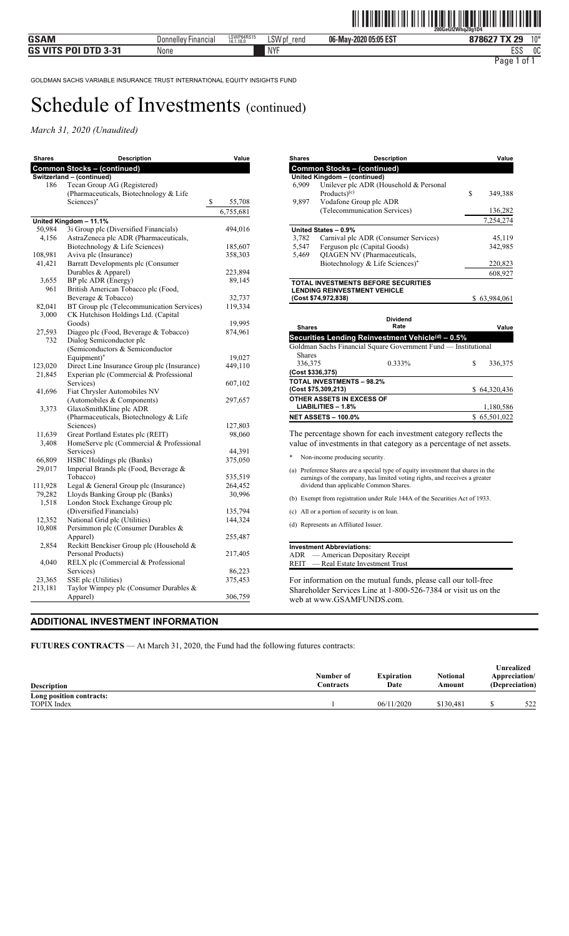*March 31, 2020 (Unaudited)* 

| <b>Shares</b> | <b>Description</b>                                          | Value             |
|---------------|-------------------------------------------------------------|-------------------|
|               | <b>Common Stocks - (continued)</b>                          |                   |
|               | Switzerland - (continued)                                   |                   |
| 186           | Tecan Group AG (Registered)                                 |                   |
|               | (Pharmaceuticals, Biotechnology & Life                      |                   |
|               | Sciences)*                                                  | \$<br>55,708      |
|               |                                                             | 6,755,681         |
|               | United Kingdom - 11.1%                                      |                   |
| 50,984        | 3i Group plc (Diversified Financials)                       | 494,016           |
| 4,156         | AstraZeneca plc ADR (Pharmaceuticals,                       |                   |
|               | Biotechnology & Life Sciences)                              | 185,607           |
| 108,981       | Aviva plc (Insurance)                                       | 358,303           |
| 41,421        | Barratt Developments plc (Consumer                          |                   |
|               | Durables & Apparel)                                         | 223,894           |
| 3,655<br>961  | BP plc ADR (Energy)                                         | 89,145            |
|               | British American Tobacco plc (Food,<br>Beverage & Tobacco)  |                   |
| 82,041        | BT Group plc (Telecommunication Services)                   | 32,737<br>119,334 |
| 3,000         | CK Hutchison Holdings Ltd. (Capital                         |                   |
|               | Goods)                                                      | 19,995            |
| 27,593        | Diageo plc (Food, Beverage & Tobacco)                       | 874,961           |
| 732           | Dialog Semiconductor plc                                    |                   |
|               | (Semiconductors & Semiconductor                             |                   |
|               | Equipment)*                                                 | 19,027            |
| 123,020       | Direct Line Insurance Group plc (Insurance)                 | 449,110           |
| 21,845        | Experian plc (Commercial & Professional                     |                   |
|               | Services)                                                   | 607,102           |
| 41,696        | Fiat Chrysler Automobiles NV                                |                   |
|               | (Automobiles & Components)                                  | 297,657           |
| 3,373         | GlaxoSmithKline plc ADR                                     |                   |
|               | (Pharmaceuticals, Biotechnology & Life                      |                   |
|               | Sciences)                                                   | 127,803           |
| 11,639        | Great Portland Estates plc (REIT)                           | 98,060            |
| 3,408         | HomeServe plc (Commercial & Professional                    |                   |
|               | Services)                                                   | 44,391            |
| 66,809        | HSBC Holdings plc (Banks)                                   | 375,050           |
| 29,017        | Imperial Brands plc (Food, Beverage &                       |                   |
|               | Tobacco)                                                    | 535,519           |
| 111,928       | Legal & General Group plc (Insurance)                       | 264,452           |
| 79,282        | Lloyds Banking Group plc (Banks)                            | 30,996            |
| 1,518         | London Stock Exchange Group plc<br>(Diversified Financials) | 135,794           |
| 12,352        | National Grid plc (Utilities)                               | 144,324           |
| 10,808        | Persimmon plc (Consumer Durables &                          |                   |
|               | Apparel)                                                    | 255,487           |
| 2,854         | Reckitt Benckiser Group plc (Household &                    |                   |
|               | Personal Products)                                          | 217,405           |
| 4,040         | RELX plc (Commercial & Professional                         |                   |
|               | Services)                                                   | 86,223            |
| 23,365        | SSE plc (Utilities)                                         | 375,453           |
| 213,181       | Taylor Wimpey plc (Consumer Durables &                      |                   |
|               | Apparel)                                                    | 306,759           |

| <b>Shares</b> | <b>Description</b>                         | Value         |
|---------------|--------------------------------------------|---------------|
|               | <b>Common Stocks - (continued)</b>         |               |
|               | United Kingdom - (continued)               |               |
| 6,909         | Unilever plc ADR (Household & Personal     |               |
|               | Products $)$ <sup>(c)</sup>                | \$<br>349,388 |
| 9,897         | Vodafone Group plc ADR                     |               |
|               | (Telecommunication Services)               | 136,282       |
|               |                                            | 7,254,274     |
|               | United States - 0.9%                       |               |
| 3,782         | Carnival plc ADR (Consumer Services)       | 45,119        |
| 5,547         | Ferguson plc (Capital Goods)               | 342,985       |
| 5,469         | OIAGEN NV (Pharmaceuticals,                |               |
|               | Biotechnology & Life Sciences)*            | 220,823       |
|               |                                            | 608,927       |
|               | <b>TOTAL INVESTMENTS BEFORE SECURITIES</b> |               |
|               | <b>LENDING REINVESTMENT VEHICLE</b>        |               |
|               | (Cost \$74,972,838)                        | 63,984,061    |

|                                  | <b>Dividend</b>                                                |   |              |
|----------------------------------|----------------------------------------------------------------|---|--------------|
| <b>Shares</b>                    | Rate                                                           |   | Value        |
|                                  | Securities Lending Reinvestment Vehicle <sup>(d)</sup> - 0.5%  |   |              |
|                                  | Goldman Sachs Financial Square Government Fund — Institutional |   |              |
| <b>Shares</b>                    |                                                                |   |              |
| 336,375                          | 0.333%                                                         | S | 336,375      |
| (Cost \$336,375)                 |                                                                |   |              |
| <b>TOTAL INVESTMENTS - 98.2%</b> |                                                                |   |              |
| (Cost \$75,309,213)              |                                                                |   | \$64,320,436 |
| OTHER ASSETS IN EXCESS OF        |                                                                |   |              |
| LIABILITIES - 1.8%               |                                                                |   | 1,180,586    |
| <b>NET ASSETS - 100.0%</b>       |                                                                |   | \$65,501,022 |

The percentage shown for each investment category reflects the value of investments in that category as a percentage of net assets.

\* Non-income producing security.

(a) Preference Shares are a special type of equity investment that shares in the earnings of the company, has limited voting rights, and receives a greater dividend than applicable Common Shares.

(b) Exempt from registration under Rule 144A of the Securities Act of 1933.

(c) All or a portion of security is on loan.

(d) Represents an Affiliated Issuer.

| <b>Investment Abbreviations:</b>    |  |  |  |  |
|-------------------------------------|--|--|--|--|
| ADR — American Depositary Receipt   |  |  |  |  |
| REIT — Real Estate Investment Trust |  |  |  |  |
| P C C 1 10 1 1 1 1 1 2 10           |  |  |  |  |

For information on the mutual funds, please call our toll-free Shareholder Services Line at 1-800-526-7384 or visit us on the web at www.GSAMFUNDS.com.

#### **ADDITIONAL INVESTMENT INFORMATION**

**FUTURES CONTRACTS** — At March 31, 2020, the Fund had the following futures contracts:

| <b>Description</b>       | Number of<br>Contracts | <b>Expiration</b><br>Date | Notional<br>Amount | <b>Unrealized</b><br>Appreciation/<br>(Depreciation) |
|--------------------------|------------------------|---------------------------|--------------------|------------------------------------------------------|
| Long position contracts: |                        |                           |                    |                                                      |
| <b>TOPIX</b> Index       |                        | 06/11/2020                | \$130.481          | 522                                                  |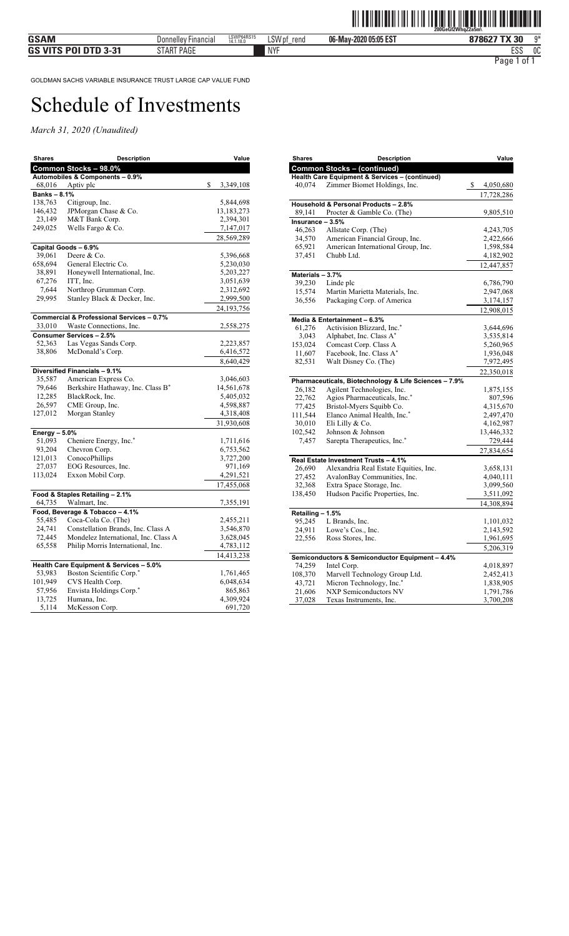| <b>Shares</b>   | <b>Description</b>                                     | Value                |
|-----------------|--------------------------------------------------------|----------------------|
|                 | Common Stocks - 98.0%                                  |                      |
|                 | Automobiles & Components - 0.9%                        |                      |
| 68,016          | Aptiv plc                                              | \$<br>3,349,108      |
| Banks - 8.1%    |                                                        |                      |
| 138,763         | Citigroup, Inc.                                        | 5,844,698            |
| 146,432         | JPMorgan Chase & Co.                                   | 13,183,273           |
| 23,149          | M&T Bank Corp.                                         | 2,394,301            |
| 249,025         | Wells Fargo & Co.                                      | 7,147,017            |
|                 |                                                        | 28,569,289           |
|                 | Capital Goods - 6.9%                                   |                      |
| 39,061          | Deere & Co.<br>General Electric Co.                    | 5,396,668            |
| 658,694         |                                                        | 5,230,030            |
| 38,891          | Honeywell International, Inc.                          | 5,203,227            |
| 67,276          | ITT, Inc.                                              | 3,051,639            |
| 7,644<br>29,995 | Northrop Grumman Corp.<br>Stanley Black & Decker, Inc. | 2,312,692            |
|                 |                                                        | 2,999,500            |
|                 |                                                        | 24, 193, 756         |
|                 | Commercial & Professional Services - 0.7%              |                      |
| 33,010          | Waste Connections, Inc.                                | 2,558,275            |
|                 | Consumer Services - 2.5%                               |                      |
| 52,363          | Las Vegas Sands Corp.                                  | 2,223,857            |
| 38,806          | McDonald's Corp.                                       | 6,416,572            |
|                 |                                                        | 8,640,429            |
|                 | Diversified Financials - 9.1%                          |                      |
| 35,587          | American Express Co.                                   | 3,046,603            |
| 79,646          | Berkshire Hathaway, Inc. Class B*                      | 14,561,678           |
| 12,285          | BlackRock, Inc.                                        | 5,405,032            |
| 26,597          | CME Group, Inc.                                        | 4,598,887            |
| 127,012         | Morgan Stanley                                         | 4,318,408            |
|                 |                                                        | 31,930,608           |
| Energy - 5.0%   |                                                        |                      |
| 51,093          | Cheniere Energy, Inc.*                                 | 1,711,616            |
| 93,204          | Chevron Corp.                                          | 6,753,562            |
| 121,013         | ConocoPhillips                                         | 3,727,200            |
| 27,037          | EOG Resources, Inc.                                    | 971,169              |
| 113,024         | Exxon Mobil Corp.                                      | 4,291,521            |
|                 |                                                        | 17,455,068           |
|                 | Food & Staples Retailing - 2.1%                        |                      |
| 64,735          | Walmart, Inc.                                          | 7,355,191            |
|                 | Food, Beverage & Tobacco - 4.1%                        |                      |
| 55,485          | Coca-Cola Co. (The)                                    | 2,455,211            |
| 24,741          | Constellation Brands, Inc. Class A                     | 3,546,870            |
| 72,445          | Mondelez International, Inc. Class A                   | 3,628,045            |
| 65,558          | Philip Morris International, Inc.                      | 4,783,112            |
|                 |                                                        | 14,413,238           |
|                 | Health Care Equipment & Services - 5.0%                |                      |
| 53,983          | Boston Scientific Corp.*                               | 1,761,465            |
| 101,949         | CVS Health Corp.                                       | 6,048,634            |
| 57,956          | Envista Holdings Corp.*                                | 865,863              |
| 13,725<br>5,114 | Humana, Inc.<br>McKesson Corp.                         | 4,309,924<br>691,720 |
|                 |                                                        |                      |

| <b>Shares</b>    | Description                                           | Value                  |
|------------------|-------------------------------------------------------|------------------------|
|                  | <b>Common Stocks - (continued)</b>                    |                        |
|                  | Health Care Equipment & Services - (continued)        |                        |
| 40,074           | Zimmer Biomet Holdings, Inc.                          | \$<br>4,050,680        |
|                  |                                                       | 17,728,286             |
|                  | Household & Personal Products - 2.8%                  |                        |
| 89,141           | Procter & Gamble Co. (The)                            | 9,805,510              |
| Insurance - 3.5% |                                                       |                        |
| 46,263           | Allstate Corp. (The)                                  | 4,243,705              |
| 34,570           | American Financial Group, Inc.                        | 2,422,666              |
| 65,921           | American International Group, Inc.<br>Chubb Ltd.      | 1,598,584              |
| 37,451           |                                                       | 4,182,902              |
|                  |                                                       | 12,447,857             |
| Materials - 3.7% |                                                       |                        |
| 39,230<br>15,574 | Linde plc<br>Martin Marietta Materials, Inc.          | 6,786,790              |
| 36,556           | Packaging Corp. of America                            | 2,947,068<br>3,174,157 |
|                  |                                                       |                        |
|                  |                                                       | 12,908,015             |
|                  | Media & Entertainment - 6.3%                          |                        |
| 61,276           | Activision Blizzard, Inc.*<br>Alphabet, Inc. Class A* | 3,644,696              |
| 3,043<br>153,024 | Comcast Corp. Class A                                 | 3,535,814<br>5,260,965 |
| 11,607           | Facebook, Inc. Class A*                               | 1,936,048              |
| 82,531           | Walt Disney Co. (The)                                 | 7,972,495              |
|                  |                                                       | 22,350,018             |
|                  | Pharmaceuticals, Biotechnology & Life Sciences - 7.9% |                        |
| 26,182           | Agilent Technologies, Inc.                            | 1,875,155              |
| 22,762           | Agios Pharmaceuticals, Inc.*                          | 807,596                |
| 77,425           | Bristol-Myers Squibb Co.                              | 4,315,670              |
| 111,544          | Elanco Animal Health, Inc.*                           | 2,497,470              |
| 30,010           | Eli Lilly & Co.                                       | 4,162,987              |
| 102,542          | Johnson & Johnson                                     | 13,446,332             |
| 7,457            | Sarepta Therapeutics, Inc.*                           | 729,444                |
|                  |                                                       | 27,834,654             |
|                  | Real Estate Investment Trusts - 4.1%                  |                        |
| 26,690           | Alexandria Real Estate Equities, Inc.                 | 3,658,131              |
| 27,452           | AvalonBay Communities, Inc.                           | 4,040,111              |
| 32,368           | Extra Space Storage, Inc.                             | 3,099,560              |
| 138,450          | Hudson Pacific Properties, Inc.                       | 3,511,092              |
|                  |                                                       | 14,308,894             |
| Retailing - 1.5% |                                                       |                        |
| 95,245           | L Brands, Inc.                                        | 1,101,032              |
| 24,911           | Lowe's Cos., Inc.                                     | 2,143,592              |
| 22,556           | Ross Stores, Inc.                                     | 1,961,695              |
|                  |                                                       | 5,206,319              |
|                  | Semiconductors & Semiconductor Equipment - 4.4%       |                        |
| 74,259           | Intel Corp.                                           | 4,018,897              |
| 108,370          | Marvell Technology Group Ltd.                         | 2,452,413              |
| 43,721           | Micron Technology, Inc.*                              | 1,838,905              |
| 21,606           | <b>NXP Semiconductors NV</b>                          | 1,791,786              |
| 37,028           | Texas Instruments, Inc.                               | 3,700,208              |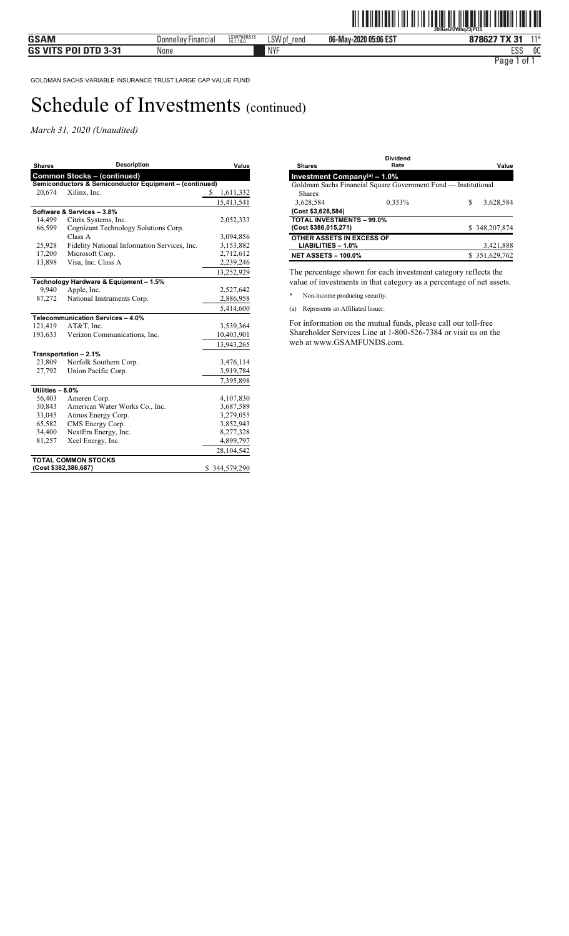*March 31, 2020 (Unaudited)* 

| <b>Shares</b>              | <b>Description</b>                                     | Value            |  |
|----------------------------|--------------------------------------------------------|------------------|--|
|                            | <b>Common Stocks - (continued)</b>                     |                  |  |
|                            | Semiconductors & Semiconductor Equipment - (continued) |                  |  |
| 20,674                     | Xilinx, Inc.                                           | \$.<br>1,611,332 |  |
|                            |                                                        | 15,413,541       |  |
|                            | Software & Services - 3.8%                             |                  |  |
| 14,499                     | Citrix Systems, Inc.                                   | 2,052,333        |  |
| 66,599                     | Cognizant Technology Solutions Corp.                   |                  |  |
|                            | Class A                                                | 3,094,856        |  |
| 25,928                     | Fidelity National Information Services, Inc.           | 3,153,882        |  |
| 17,200                     | Microsoft Corp.                                        | 2,712,612        |  |
| 13,898                     | Visa, Inc. Class A                                     | 2,239,246        |  |
|                            |                                                        | 13,252,929       |  |
|                            | Technology Hardware & Equipment - 1.5%                 |                  |  |
| 9,940                      | Apple, Inc.                                            | 2,527,642        |  |
| 87,272                     | National Instruments Corp.                             | 2,886,958        |  |
|                            |                                                        | 5,414,600        |  |
|                            | Telecommunication Services - 4.0%                      |                  |  |
| 121,419                    | AT&T, Inc.                                             | 3,539,364        |  |
| 193,633                    | Verizon Communications, Inc.                           | 10,403,901       |  |
|                            |                                                        | 13,943,265       |  |
|                            | Transportation - 2.1%                                  |                  |  |
| 23,809                     | Norfolk Southern Corp.                                 | 3,476,114        |  |
| 27,792                     | Union Pacific Corp.                                    | 3,919,784        |  |
|                            |                                                        | 7,395,898        |  |
| Utilities - 8.0%           |                                                        |                  |  |
| 56,403                     | Ameren Corp.                                           | 4,107,830        |  |
| 30,843                     | American Water Works Co., Inc.                         | 3,687,589        |  |
| 33,045                     | Atmos Energy Corp.                                     | 3,279,055        |  |
| 65,582                     | CMS Energy Corp.                                       | 3,852,943        |  |
| 34,400                     | NextEra Energy, Inc.                                   | 8,277,328        |  |
| 81,257                     | Xcel Energy, Inc.                                      | 4,899,797        |  |
|                            |                                                        | 28,104,542       |  |
| <b>TOTAL COMMON STOCKS</b> |                                                        |                  |  |
|                            | (Cost \$382,386,687)                                   | \$344,579,290    |  |

| <b>Shares</b>                               | <b>Dividend</b><br>Rate                                        |   | Value         |
|---------------------------------------------|----------------------------------------------------------------|---|---------------|
| Investment Company <sup>(a)</sup> - $1.0\%$ |                                                                |   |               |
|                                             | Goldman Sachs Financial Square Government Fund — Institutional |   |               |
| <b>Shares</b>                               |                                                                |   |               |
| 3,628,584                                   | 0.333%                                                         | S | 3,628,584     |
| (Cost \$3,628,584)                          |                                                                |   |               |
| <b>TOTAL INVESTMENTS - 99.0%</b>            |                                                                |   |               |
| (Cost \$386,015,271)                        |                                                                |   | \$348,207,874 |
| OTHER ASSETS IN EXCESS OF                   |                                                                |   |               |
| $LIABILITIES - 1.0%$                        |                                                                |   | 3,421,888     |
| <b>NET ASSETS - 100.0%</b>                  |                                                                |   | \$351,629,762 |

The percentage shown for each investment category reflects the value of investments in that category as a percentage of net assets.

\* Non-income producing security.

(a) Represents an Affiliated Issuer.

For information on the mutual funds, please call our toll-free Shareholder Services Line at 1-800-526-7384 or visit us on the web at www.GSAMFUNDS.com.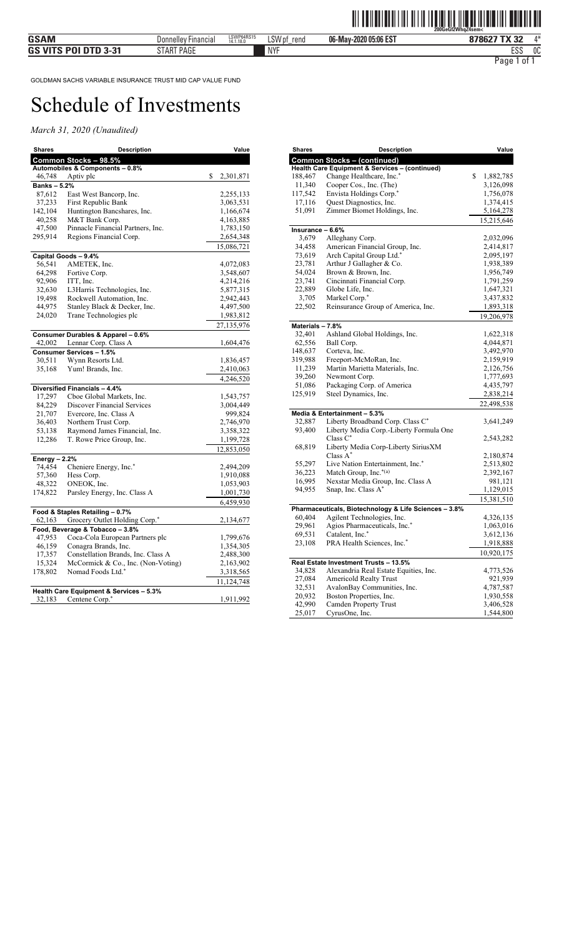| Shares            | Description                                                  | Value                  |
|-------------------|--------------------------------------------------------------|------------------------|
|                   | Common Stocks - 98.5%                                        |                        |
|                   | Automobiles & Components - 0.8%                              |                        |
| 46,748            | Aptiv plc                                                    | \$<br>2,301,871        |
| <b>Banks-5.2%</b> |                                                              |                        |
| 87,612            | East West Bancorp, Inc.                                      | 2,255,133              |
| 37,233            | First Republic Bank                                          | 3,063,531              |
| 142,104           | Huntington Bancshares, Inc.                                  | 1,166,674              |
| 40,258            | M&T Bank Corp.                                               | 4,163,885              |
| 47,500<br>295,914 | Pinnacle Financial Partners, Inc.<br>Regions Financial Corp. | 1,783,150<br>2,654,348 |
|                   |                                                              |                        |
|                   |                                                              | 15,086,721             |
| 56,541            | Capital Goods - 9.4%<br>AMETEK, Inc.                         | 4,072,083              |
| 64,298            | Fortive Corp.                                                | 3,548,607              |
| 92,906            | ITT, Inc.                                                    | 4,214,216              |
| 32,630            | L3Harris Technologies, Inc.                                  | 5,877,315              |
| 19,498            | Rockwell Automation, Inc.                                    | 2,942,443              |
| 44,975            | Stanley Black & Decker, Inc.                                 | 4,497,500              |
| 24,020            | Trane Technologies plc                                       | 1,983,812              |
|                   |                                                              | 27,135,976             |
|                   | Consumer Durables & Apparel - 0.6%                           |                        |
| 42,002            | Lennar Corp. Class A                                         | 1,604,476              |
|                   | Consumer Services - 1.5%                                     |                        |
| 30,511            | Wynn Resorts Ltd.                                            | 1,836,457              |
| 35,168            | Yum! Brands, Inc.                                            | 2,410,063              |
|                   |                                                              | 4,246,520              |
|                   | Diversified Financials - 4.4%                                |                        |
| 17,297            | Cboe Global Markets, Inc.                                    | 1,543,757              |
| 84,229            | <b>Discover Financial Services</b>                           | 3,004,449              |
| 21,707            | Evercore, Inc. Class A                                       | 999,824                |
| 36,403            | Northern Trust Corp.                                         | 2,746,970              |
| 53,138            | Raymond James Financial, Inc.                                | 3,358,322              |
| 12,286            | T. Rowe Price Group, Inc.                                    | 1,199,728              |
|                   |                                                              | 12,853,050             |
| Energy - 2.2%     |                                                              |                        |
| 74,454            | Cheniere Energy, Inc.*                                       | 2,494,209              |
| 57,360            | Hess Corp.                                                   | 1,910,088              |
| 48,322            | ONEOK, Inc.                                                  | 1,053,903              |
| 174,822           | Parsley Energy, Inc. Class A                                 | 1,001,730              |
|                   |                                                              | 6,459,930              |
|                   | Food & Staples Retailing - 0.7%                              |                        |
| 62,163            | Grocery Outlet Holding Corp.*                                | 2,134,677              |
|                   | Food, Beverage & Tobacco - 3.8%                              |                        |
| 47,953            | Coca-Cola European Partners plc                              | 1,799,676              |
| 46,159            | Conagra Brands, Inc.                                         | 1,354,305              |
| 17,357            | Constellation Brands, Inc. Class A                           | 2,488,300              |
| 15,324            | McCormick & Co., Inc. (Non-Voting)                           | 2,163,902              |
| 178,802           | Nomad Foods Ltd.*                                            | 3,318,565              |
|                   |                                                              | 11,124,748             |
|                   | Health Care Equipment & Services - 5.3%                      |                        |
| 32,183            | Centene Corp.*                                               | 1,911,992              |

| Shares                    | <b>Description</b>                                    | Value                  |
|---------------------------|-------------------------------------------------------|------------------------|
|                           | <b>Common Stocks - (continued)</b>                    |                        |
|                           | Health Care Equipment & Services - (continued)        |                        |
| 188,467                   | Change Healthcare, Inc.*                              | \$<br>1,882,785        |
| 11,340                    | Cooper Cos., Inc. (The)                               | 3,126,098              |
| 117,542                   | Envista Holdings Corp.*                               | 1,756,078              |
| 17,116                    | Quest Diagnostics, Inc.                               | 1,374,415              |
| 51,091                    | Zimmer Biomet Holdings, Inc.                          | 5,164,278              |
|                           |                                                       | 15,215,646             |
| Insurance - 6.6%<br>3,679 | Alleghany Corp.                                       |                        |
| 34,458                    | American Financial Group, Inc.                        | 2,032,096<br>2,414,817 |
| 73,619                    | Arch Capital Group Ltd.*                              | 2,095,197              |
| 23,781                    | Arthur J Gallagher & Co.                              | 1,938,389              |
| 54,024                    | Brown & Brown, Inc.                                   | 1,956,749              |
| 23,741                    | Cincinnati Financial Corp.                            | 1,791,259              |
| 22,889                    | Globe Life, Inc.                                      | 1,647,321              |
| 3,705                     | Markel Corp.*                                         | 3,437,832              |
| 22,502                    | Reinsurance Group of America, Inc.                    | 1,893,318              |
|                           |                                                       | 19,206,978             |
| Materials - 7.8%          |                                                       |                        |
| 32,401                    | Ashland Global Holdings, Inc.                         | 1,622,318              |
| 62,556                    | Ball Corp.                                            | 4,044,871              |
| 148,637                   | Corteva, Inc.                                         | 3,492,970              |
| 319,988                   | Freeport-McMoRan, Inc.                                | 2,159,919              |
| 11,239                    | Martin Marietta Materials, Inc.                       | 2,126,756              |
| 39,260                    | Newmont Corp.                                         | 1,777,693              |
| 51,086                    | Packaging Corp. of America                            | 4,435,797              |
| 125,919                   | Steel Dynamics, Inc.                                  | 2,838,214              |
|                           |                                                       | 22,498,538             |
|                           | Media & Entertainment - 5.3%                          |                        |
| 32,887                    | Liberty Broadband Corp. Class C*                      | 3,641,249              |
| 93,400                    | Liberty Media Corp.-Liberty Formula One               |                        |
|                           | Class $C^*$                                           | 2,543,282              |
| 68,819                    | Liberty Media Corp-Liberty SiriusXM<br>Class $A^*$    |                        |
| 55,297                    | Live Nation Entertainment, Inc.*                      | 2,180,874<br>2,513,802 |
| 36,223                    | Match Group, Inc.*(a)                                 | 2,392,167              |
| 16,995                    | Nexstar Media Group, Inc. Class A                     | 981,121                |
| 94,955                    | Snap, Inc. Class A*                                   | 1,129,015              |
|                           |                                                       | 15,381,510             |
|                           | Pharmaceuticals, Biotechnology & Life Sciences - 3.8% |                        |
| 60,404                    | Agilent Technologies, Inc.                            | 4,326,135              |
| 29,961                    | Agios Pharmaceuticals, Inc.*                          | 1,063,016              |
| 69,531                    | Catalent, Inc.*                                       | 3,612,136              |
| 23,108                    | PRA Health Sciences, Inc.*                            | 1,918,888              |
|                           |                                                       | 10,920,175             |
|                           | Real Estate Investment Trusts - 13.5%                 |                        |
| 34,828                    | Alexandria Real Estate Equities, Inc.                 | 4,773,526              |
| 27,084                    | Americold Realty Trust                                | 921,939                |
| 32,531                    | AvalonBay Communities, Inc.                           | 4,787,587              |
| 20,932                    | Boston Properties, Inc.                               | 1,930,558              |
| 42,990                    | Camden Property Trust                                 | 3,406,528              |
| 25,017                    | CyrusOne, Inc.                                        | 1,544,800              |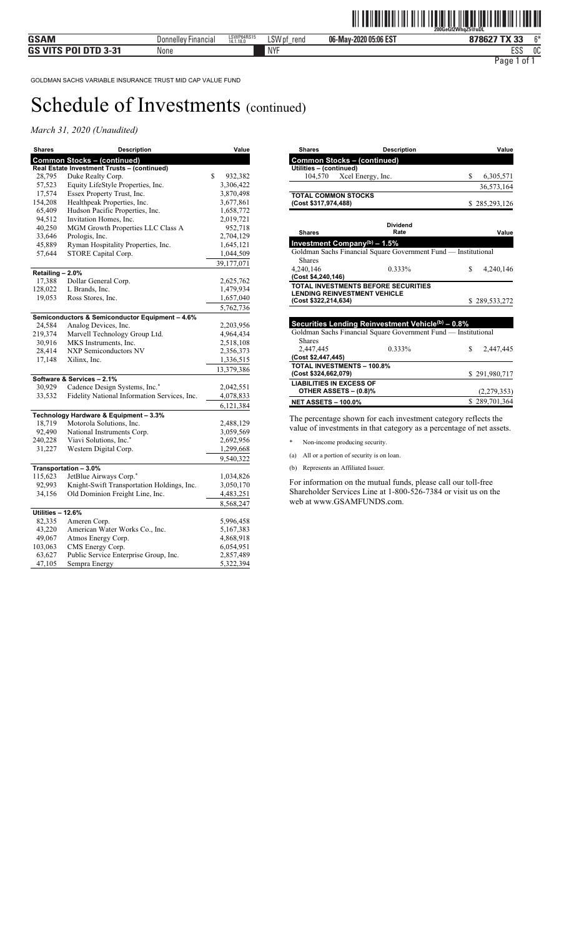### *March 31, 2020 (Unaudited)*

| Shares            | <b>Description</b>                              | Value         |
|-------------------|-------------------------------------------------|---------------|
|                   | <b>Common Stocks - (continued)</b>              |               |
|                   | Real Estate Investment Trusts - (continued)     |               |
| 28,795            | Duke Realty Corp.                               | \$<br>932,382 |
| 57,523            | Equity LifeStyle Properties, Inc.               | 3,306,422     |
| 17,574            | Essex Property Trust, Inc.                      | 3,870,498     |
| 154,208           | Healthpeak Properties, Inc.                     | 3,677,861     |
| 65,409            | Hudson Pacific Properties, Inc.                 | 1,658,772     |
| 94,512            | Invitation Homes, Inc.                          | 2,019,721     |
| 40,250            | MGM Growth Properties LLC Class A               | 952,718       |
| 33,646            | Prologis, Inc.                                  | 2,704,129     |
| 45,889            | Ryman Hospitality Properties, Inc.              | 1,645,121     |
| 57,644            | STORE Capital Corp.                             | 1,044,509     |
|                   |                                                 | 39, 177, 071  |
| Retailing - 2.0%  |                                                 |               |
| 17,388            | Dollar General Corp.                            | 2,625,762     |
| 128,022           | L Brands, Inc.                                  | 1,479,934     |
| 19,053            | Ross Stores, Inc.                               | 1,657,040     |
|                   |                                                 | 5,762,736     |
|                   | Semiconductors & Semiconductor Equipment - 4.6% |               |
| 24,584            | Analog Devices, Inc.                            | 2,203,956     |
| 219,374           | Marvell Technology Group Ltd.                   | 4,964,434     |
| 30,916            | MKS Instruments, Inc.                           | 2,518,108     |
| 28,414            | <b>NXP Semiconductors NV</b>                    | 2,356,373     |
| 17,148            | Xilinx, Inc.                                    | 1,336,515     |
|                   |                                                 | 13,379,386    |
|                   | Software & Services - 2.1%                      |               |
| 30,929            | Cadence Design Systems, Inc.*                   | 2,042,551     |
| 33,532            | Fidelity National Information Services, Inc.    | 4,078,833     |
|                   |                                                 | 6,121,384     |
|                   | Technology Hardware & Equipment - 3.3%          |               |
| 18,719            | Motorola Solutions, Inc.                        | 2,488,129     |
| 92,490            | National Instruments Corp.                      | 3,059,569     |
| 240,228           | Viavi Solutions, Inc.*                          | 2,692,956     |
| 31,227            | Western Digital Corp.                           | 1,299,668     |
|                   |                                                 | 9,540,322     |
|                   | Transportation - 3.0%                           |               |
| 115,623           | JetBlue Airways Corp.*                          | 1,034,826     |
| 92,993            | Knight-Swift Transportation Holdings, Inc.      | 3,050,170     |
| 34,156            | Old Dominion Freight Line, Inc.                 | 4,483,251     |
|                   |                                                 | 8,568,247     |
| Utilities - 12.6% |                                                 |               |
| 82,335            | Ameren Corp.                                    | 5,996,458     |
| 43,220            | American Water Works Co., Inc.                  | 5,167,383     |
| 49,067            | Atmos Energy Corp.                              | 4,868,918     |
| 103,063           | CMS Energy Corp.                                | 6,054,951     |
| 63,627            | Public Service Enterprise Group, Inc.           | 2,857,489     |
| 47,105            | Sempra Energy                                   | 5,322,394     |

| <b>Shares</b>                            | <b>Description</b>                                                                                                  |    | Value         |
|------------------------------------------|---------------------------------------------------------------------------------------------------------------------|----|---------------|
| <b>Common Stocks - (continued)</b>       |                                                                                                                     |    |               |
| Utilities - (continued)                  |                                                                                                                     |    |               |
| 104,570 Xcel Energy, Inc.                |                                                                                                                     | S. | 6,305,571     |
|                                          |                                                                                                                     |    | 36,573,164    |
| <b>TOTAL COMMON STOCKS</b>               |                                                                                                                     |    |               |
| (Cost \$317,974,488)                     |                                                                                                                     |    | \$285,293,126 |
|                                          | <b>Dividend</b>                                                                                                     |    |               |
| <b>Shares</b>                            | Rate                                                                                                                |    | Value         |
|                                          |                                                                                                                     |    |               |
| Investment Company <sup>(b)</sup> - 1.5% |                                                                                                                     |    |               |
|                                          | Goldman Sachs Financial Square Government Fund - Institutional                                                      |    |               |
| <b>Shares</b>                            |                                                                                                                     |    |               |
| 4.240.146<br>(Cost \$4,240,146)          | 0.333%                                                                                                              | \$ | 4,240,146     |
|                                          | TOTAL INVESTMENTS BEFORE SECURITIES                                                                                 |    |               |
| <b>LENDING REINVESTMENT VEHICLE</b>      |                                                                                                                     |    |               |
| (Cost \$322,214,634)                     |                                                                                                                     |    | \$289,533,272 |
|                                          |                                                                                                                     |    |               |
|                                          |                                                                                                                     |    |               |
|                                          | Securities Lending Reinvestment Vehicle(b) - 0.8%<br>Goldman Sachs Financial Square Government Fund - Institutional |    |               |
| Shares                                   |                                                                                                                     |    |               |
| 2.447.445                                | 0.333%                                                                                                              | \$ |               |
| (Cost \$2,447,445)                       |                                                                                                                     |    | 2,447,445     |
| <b>TOTAL INVESTMENTS - 100.8%</b>        |                                                                                                                     |    |               |
| (Cost \$324,662,079)                     |                                                                                                                     |    | \$291,980,717 |
| <b>LIABILITIES IN EXCESS OF</b>          |                                                                                                                     |    |               |
| OTHER ASSETS - (0.8)%                    |                                                                                                                     |    | (2,279,353)   |
|                                          |                                                                                                                     |    | \$289,701,364 |
| <b>NET ASSETS - 100.0%</b>               |                                                                                                                     |    |               |

The percentage shown for each investment category reflects the value of investments in that category as a percentage of net assets.

\* Non-income producing security.

- (a) All or a portion of security is on loan.
- (b) Represents an Affiliated Issuer.

For information on the mutual funds, please call our toll-free Shareholder Services Line at 1-800-526-7384 or visit us on the web at www.GSAMFUNDS.com.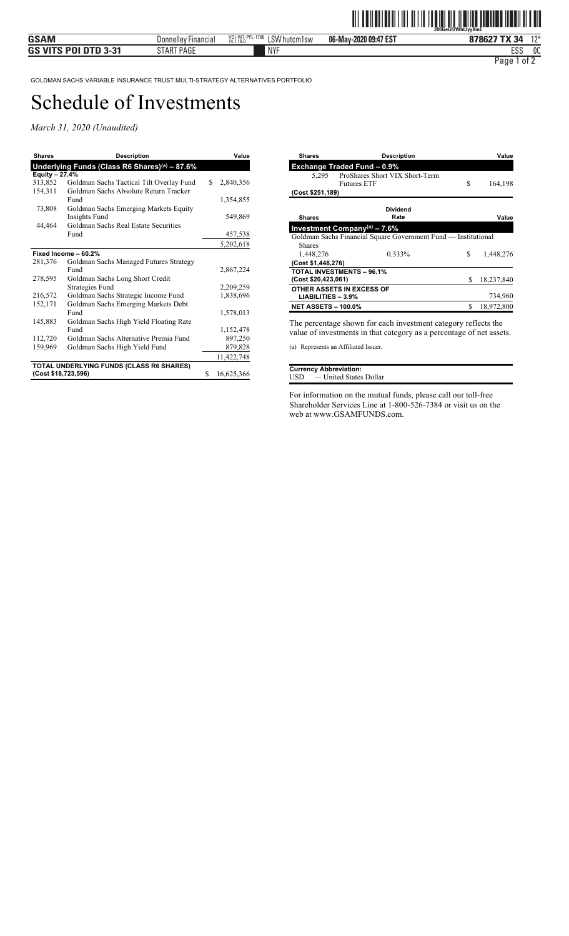*March 31, 2020 (Unaudited)* 

| <b>Shares</b>               | <b>Description</b>                            |    | Value      |
|-----------------------------|-----------------------------------------------|----|------------|
|                             | Underlying Funds (Class R6 Shares)(a) - 87.6% |    |            |
| Equity $-27.\overline{4\%}$ |                                               |    |            |
| 313,852                     | Goldman Sachs Tactical Tilt Overlay Fund      | S. | 2,840,356  |
| 154,311                     | Goldman Sachs Absolute Return Tracker         |    |            |
|                             | Fund                                          |    | 1,354,855  |
| 73,808                      | Goldman Sachs Emerging Markets Equity         |    |            |
|                             | Insights Fund                                 |    | 549,869    |
| 44,464                      | Goldman Sachs Real Estate Securities          |    |            |
|                             | Fund                                          |    | 457,538    |
|                             |                                               |    | 5,202,618  |
|                             | Fixed Income - 60.2%                          |    |            |
| 281,376                     | Goldman Sachs Managed Futures Strategy        |    |            |
|                             | Fund                                          |    | 2,867,224  |
| 278,595                     | Goldman Sachs Long Short Credit               |    |            |
|                             | <b>Strategies Fund</b>                        |    | 2,209,259  |
| 216,572                     | Goldman Sachs Strategic Income Fund           |    | 1,838,696  |
| 152,171                     | Goldman Sachs Emerging Markets Debt           |    |            |
|                             | Fund                                          |    | 1,578,013  |
| 145,883                     | Goldman Sachs High Yield Floating Rate        |    |            |
|                             | Fund                                          |    | 1,152,478  |
| 112,720                     | Goldman Sachs Alternative Premia Fund         |    | 897,250    |
| 159,969                     | Goldman Sachs High Yield Fund                 |    | 879,828    |
|                             |                                               |    | 11,422,748 |
|                             | TOTAL UNDERLYING FUNDS (CLASS R6 SHARES)      |    |            |
| (Cost \$18,723,596)         |                                               | S  | 16,625,366 |

| <b>Shares</b>              | <b>Description</b>                                             |    | Value      |
|----------------------------|----------------------------------------------------------------|----|------------|
|                            | <b>Exchange Traded Fund - 0.9%</b>                             |    |            |
| 5.295                      | ProShares Short VIX Short-Term                                 |    |            |
|                            | <b>Futures ETF</b>                                             | S  | 164,198    |
| (Cost \$251,189)           |                                                                |    |            |
|                            | <b>Dividend</b>                                                |    |            |
| <b>Shares</b>              | Rate                                                           |    | Value      |
|                            | Investment Company(a) $-7.6%$                                  |    |            |
|                            | Goldman Sachs Financial Square Government Fund - Institutional |    |            |
| <b>Shares</b>              |                                                                |    |            |
| 1,448,276                  | 0.333%                                                         | S  | 1,448,276  |
| (Cost \$1,448,276)         |                                                                |    |            |
|                            | <b>TOTAL INVESTMENTS - 96.1%</b>                               |    |            |
| (Cost \$20,423,061)        |                                                                | \$ | 18,237,840 |
|                            | OTHER ASSETS IN EXCESS OF                                      |    |            |
| $LIABILITIES - 3.9%$       |                                                                |    | 734,960    |
| <b>NET ASSETS - 100.0%</b> |                                                                | \$ | 18,972,800 |
|                            |                                                                |    |            |

The percentage shown for each investment category reflects the value of investments in that category as a percentage of net assets.

(a) Represents an Affiliated Issuer.

|     | <b>Currency Abbreviation:</b> |  |
|-----|-------------------------------|--|
| USD | — United States Dollar        |  |

For information on the mutual funds, please call our toll-free Shareholder Services Line at 1-800-526-7384 or visit us on the web at www.GSAMFUNDS.com.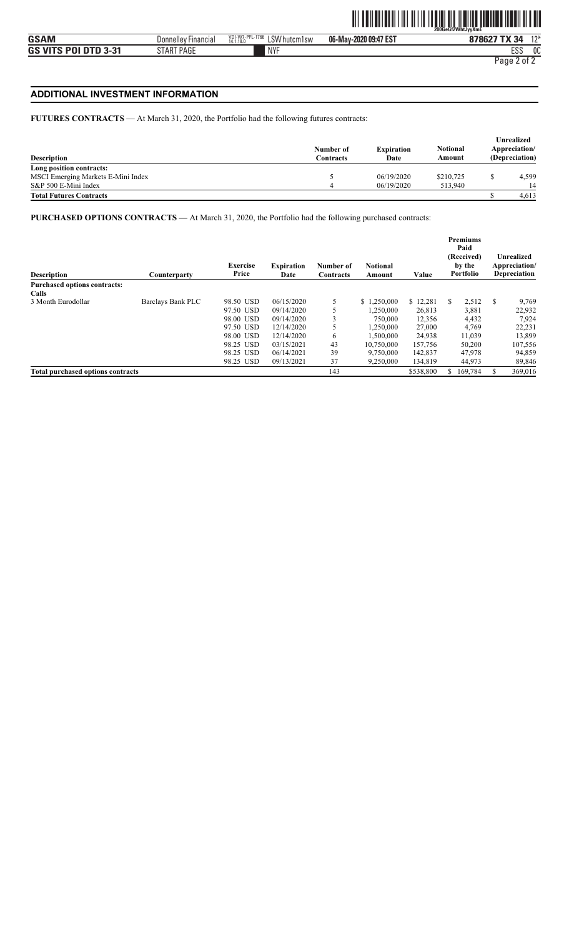### **ADDITIONAL INVESTMENT INFORMATION**

#### **FUTURES CONTRACTS** — At March 31, 2020, the Portfolio had the following futures contracts:

| <b>Description</b>                 | Number of<br>Contracts | <b>Expiration</b><br>Date | <b>Notional</b><br>Amount | Unrealized<br>Appreciation/<br>(Depreciation) |
|------------------------------------|------------------------|---------------------------|---------------------------|-----------------------------------------------|
| Long position contracts:           |                        |                           |                           |                                               |
| MSCI Emerging Markets E-Mini Index |                        | 06/19/2020                | \$210,725                 | 4,599                                         |
| S&P 500 E-Mini Index               |                        | 06/19/2020                | 513,940                   | 14                                            |
| <b>Total Futures Contracts</b>     |                        |                           |                           | 4.613                                         |

**PURCHASED OPTIONS CONTRACTS —** At March 31, 2020, the Portfolio had the following purchased contracts:

| <b>Description</b>                       | Counterparty      | <b>Exercise</b><br>Price | <b>Expiration</b><br>Date | Number of<br>Contracts | <b>Notional</b><br>Amount | Value     | <b>Premiums</b><br>Paid<br>(Received)<br>by the<br>Portfolio | Unrealized<br>Appreciation/<br>Depreciation |
|------------------------------------------|-------------------|--------------------------|---------------------------|------------------------|---------------------------|-----------|--------------------------------------------------------------|---------------------------------------------|
| Purchased options contracts:             |                   |                          |                           |                        |                           |           |                                                              |                                             |
| Calls                                    |                   |                          |                           |                        |                           |           |                                                              |                                             |
| 3 Month Eurodollar                       | Barclays Bank PLC | 98.50 USD                | 06/15/2020                | 5                      | \$1,250,000               | \$12,281  | 2,512<br>S.                                                  | S<br>9,769                                  |
|                                          |                   | 97.50 USD                | 09/14/2020                |                        | 1.250.000                 | 26,813    | 3,881                                                        | 22,932                                      |
|                                          |                   | 98.00 USD                | 09/14/2020                |                        | 750,000                   | 12,356    | 4,432                                                        | 7,924                                       |
|                                          |                   | 97.50 USD                | 12/14/2020                |                        | 1.250.000                 | 27,000    | 4,769                                                        | 22,231                                      |
|                                          |                   | 98.00 USD                | 12/14/2020                | 6                      | 1,500,000                 | 24,938    | 11,039                                                       | 13,899                                      |
|                                          |                   | 98.25 USD                | 03/15/2021                | 43                     | 10.750,000                | 157,756   | 50,200                                                       | 107,556                                     |
|                                          |                   | 98.25 USD                | 06/14/2021                | 39                     | 9,750,000                 | 142,837   | 47,978                                                       | 94,859                                      |
|                                          |                   | 98.25 USD                | 09/13/2021                | 37                     | 9,250,000                 | 134,819   | 44,973                                                       | 89,846                                      |
| <b>Total purchased options contracts</b> |                   |                          |                           | 143                    |                           | \$538,800 | 169.784                                                      | 369,016<br>S.                               |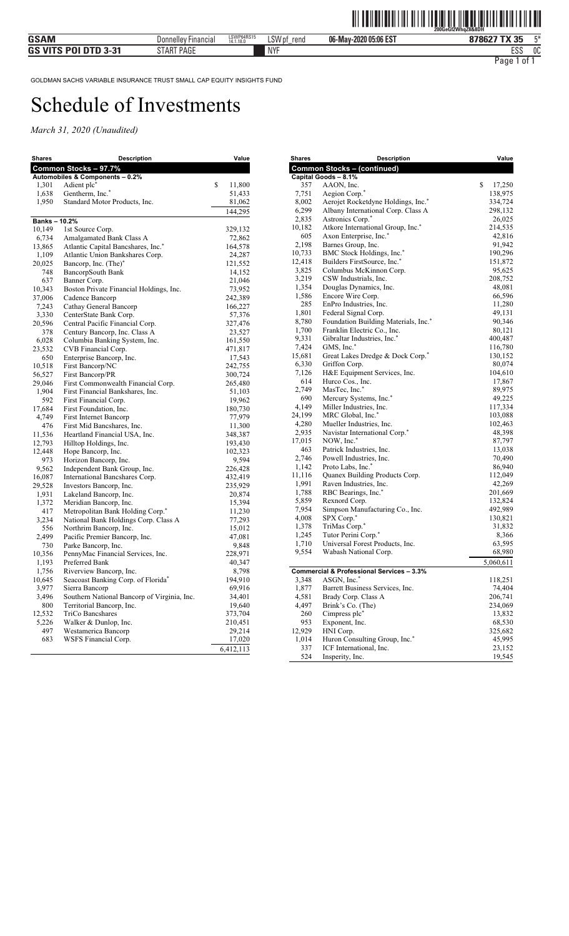| Shares             | Description                                          | Value             |
|--------------------|------------------------------------------------------|-------------------|
|                    | Common Stocks - 97.7%                                |                   |
|                    | Automobiles & Components - 0.2%                      |                   |
| 1,301              | Adient plc*                                          | \$<br>11,800      |
| 1,638              | Gentherm, Inc.*                                      | 51,433            |
| 1,950              | Standard Motor Products, Inc.                        | 81,062            |
|                    |                                                      | 144,295           |
| <b>Banks-10.2%</b> |                                                      | 329,132           |
| 10,149<br>6,734    | 1st Source Corp.<br>Amalgamated Bank Class A         | 72,862            |
| 13,865             | Atlantic Capital Bancshares, Inc.*                   | 164,578           |
| 1,109              | Atlantic Union Bankshares Corp.                      | 24,287            |
| 20,025             | Bancorp, Inc. (The)*                                 | 121,552           |
| 748                | BancorpSouth Bank                                    | 14,152            |
| 637                | Banner Corp.                                         | 21,046            |
| 10,343             | Boston Private Financial Holdings, Inc.              | 73,952            |
| 37,006             | Cadence Bancorp                                      | 242,389           |
| 7,243              | Cathay General Bancorp                               | 166,227           |
| 3,330              | CenterState Bank Corp.                               | 57,376            |
| 20,596             | Central Pacific Financial Corp.                      | 327,476           |
| 378                | Century Bancorp, Inc. Class A                        | 23,527            |
| 6,028              | Columbia Banking System, Inc.                        | 161,550           |
| 23,532             | CVB Financial Corp.                                  | 471,817           |
| 650                | Enterprise Bancorp, Inc.                             | 17,543            |
| 10,518             | First Bancorp/NC                                     | 242,755           |
| 56,527             | First Bancorp/PR                                     | 300,724           |
| 29,046             | First Commonwealth Financial Corp.                   | 265,480           |
| 1,904              | First Financial Bankshares, Inc.                     | 51,103            |
| 592                | First Financial Corp.                                | 19,962            |
| 17,684<br>4,749    | First Foundation, Inc.                               | 180,730           |
| 476                | First Internet Bancorp<br>First Mid Bancshares, Inc. | 77,979<br>11,300  |
| 11,536             | Heartland Financial USA, Inc.                        | 348,387           |
| 12,793             | Hilltop Holdings, Inc.                               | 193,430           |
| 12,448             | Hope Bancorp, Inc.                                   | 102,323           |
| 973                | Horizon Bancorp, Inc.                                | 9,594             |
| 9,562              | Independent Bank Group, Inc.                         | 226,428           |
| 16,087             | International Bancshares Corp.                       | 432,419           |
| 29,528             | Investors Bancorp, Inc.                              | 235,929           |
| 1,931              | Lakeland Bancorp, Inc.                               | 20,874            |
| 1,372              | Meridian Bancorp, Inc.                               | 15,394            |
| 417                | Metropolitan Bank Holding Corp.*                     | 11,230            |
| 3,234              | National Bank Holdings Corp. Class A                 | 77,293            |
| 556                | Northrim Bancorp, Inc.                               | 15,012            |
| 2,499              | Pacific Premier Bancorp, Inc.                        | 47,081            |
| 730                | Parke Bancorp, Inc.                                  | 9,848             |
| 10,356             | PennyMac Financial Services, Inc.                    | 228,971           |
| 1,193              | Preferred Bank                                       | 40,347            |
| 1,756              | Riverview Bancorp, Inc.                              | 8,798             |
| 10,645             | Seacoast Banking Corp. of Florida*                   | 194,910           |
| 3,977              | Sierra Bancorp                                       | 69,916            |
| 3,496              | Southern National Bancorp of Virginia, Inc.          | 34,401            |
| 800                | Territorial Bancorp, Inc.<br>TriCo Bancshares        | 19,640            |
| 12,532<br>5,226    | Walker & Dunlop, Inc.                                | 373,704           |
| 497                | Westamerica Bancorp                                  | 210,451<br>29,214 |
| 683                | WSFS Financial Corp.                                 | 17,020            |
|                    |                                                      | 6,412,113         |
|                    |                                                      |                   |

| Shares       | Description                                              | Value             |
|--------------|----------------------------------------------------------|-------------------|
|              | <b>Common Stocks - (continued)</b>                       |                   |
|              | Capital Goods - 8.1%                                     | \$                |
| 357<br>7,751 | AAON, Inc.<br>Aegion Corp.*                              | 17,250<br>138,975 |
| 8,002        | Aerojet Rocketdyne Holdings, Inc.*                       | 334,724           |
| 6,299        | Albany International Corp. Class A                       | 298,132           |
| 2,835        | Astronics Corp.*                                         | 26,025            |
| 10,182       | Atkore International Group, Inc.*                        | 214,535           |
| 605          | Axon Enterprise, Inc.*                                   | 42,816            |
| 2,198        | Barnes Group, Inc.                                       | 91,942            |
| 10,733       | BMC Stock Holdings, Inc.*                                | 190,296           |
| 12,418       | Builders FirstSource, Inc.*                              | 151,872           |
| 3,825        | Columbus McKinnon Corp.                                  | 95,625            |
| 3,219        | CSW Industrials, Inc.                                    | 208,752           |
| 1,354        | Douglas Dynamics, Inc.                                   | 48,081            |
| 1,586        | Encore Wire Corp.                                        | 66,596            |
| 285          | EnPro Industries, Inc.                                   | 11,280            |
| 1,801        | Federal Signal Corp.                                     | 49,131            |
| 8,780        | Foundation Building Materials, Inc.*                     | 90,346            |
| 1,700        | Franklin Electric Co., Inc.                              | 80,121            |
| 9,331        | Gibraltar Industries, Inc.*                              | 400,487           |
| 7,424        | GMS, Inc.*                                               | 116,780           |
| 15,681       | Great Lakes Dredge & Dock Corp.*                         | 130,152           |
| 6,330        | Griffon Corp.                                            | 80,074            |
| 7,126        | H&E Equipment Services, Inc.                             | 104,610           |
| 614          | Hurco Cos., Inc.                                         | 17,867            |
| 2,749        | MasTec, Inc.*                                            | 89,975            |
| 690          | Mercury Systems, Inc.*                                   | 49,225            |
| 4,149        | Miller Industries, Inc.                                  | 117,334           |
| 24,199       | MRC Global, Inc.*                                        | 103,088           |
| 4,280        | Mueller Industries, Inc.                                 | 102,463           |
| 2,935        | Navistar International Corp.*                            | 48,398            |
| 17,015       | NOW, Inc.*                                               | 87,797            |
| 463          | Patrick Industries, Inc.                                 | 13,038            |
| 2,746        | Powell Industries, Inc.                                  | 70,490            |
| 1,142        | Proto Labs, Inc.*                                        | 86,940            |
| 11,116       | Quanex Building Products Corp.                           | 112,049           |
| 1,991        | Raven Industries, Inc.                                   | 42,269            |
| 1,788        | RBC Bearings, Inc.*                                      | 201,669           |
| 5,859        | Rexnord Corp.                                            | 132,824           |
| 7,954        | Simpson Manufacturing Co., Inc.                          | 492,989           |
| 4,008        | SPX Corp.*                                               | 130,821           |
| 1,378        | TriMas Corp.*                                            | 31,832            |
| 1,245        | Tutor Perini Corp.*                                      | 8,366             |
| 1,710        | Universal Forest Products, Inc.                          | 63,595            |
| 9,554        | Wabash National Corp.                                    | 68,980            |
|              |                                                          | 5,060,611         |
|              | Commercial & Professional Services - 3.3%<br>ASGN, Inc.* |                   |
| 3,348        |                                                          | 118,251           |
| 1,877        | Barrett Business Services, Inc.                          | 74,404            |
| 4,581        | Brady Corp. Class A                                      | 206,741           |
| 4,497        | Brink's Co. (The)<br>Cimpress plc*                       | 234,069           |
| 260          |                                                          | 13,832            |
| 953          | Exponent, Inc.<br>HNI Corp.                              | 68,530            |
| 12,929       |                                                          | 325,682<br>45,995 |
| 1,014<br>337 | Huron Consulting Group, Inc.*<br>ICF International, Inc. | 23,152            |
| 524          | Insperity, Inc.                                          | 19,545            |
|              |                                                          |                   |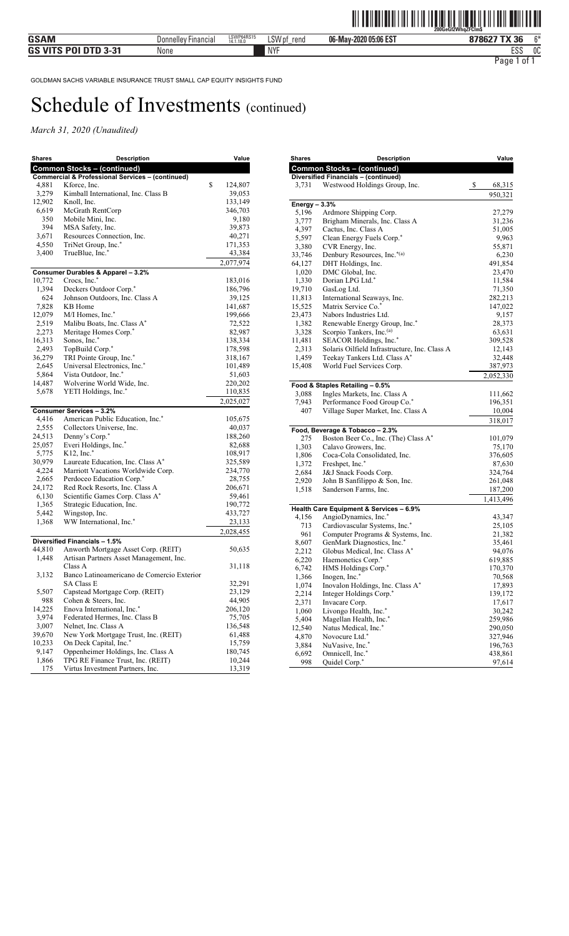| <b>Shares</b>   | Description                                                           | Value                   |
|-----------------|-----------------------------------------------------------------------|-------------------------|
|                 | <b>Common Stocks - (continued)</b>                                    |                         |
|                 | <b>Commercial &amp; Professional Services - (continued)</b>           |                         |
| 4,881<br>3,279  | Kforce, Inc.<br>Kimball International, Inc. Class B                   | \$<br>124,807<br>39,053 |
| 12,902          | Knoll, Inc.                                                           | 133,149                 |
| 6,619           | McGrath RentCorp                                                      | 346,703                 |
| 350             | Mobile Mini, Inc.                                                     | 9,180                   |
| 394             | MSA Safety, Inc.                                                      | 39,873                  |
| 3,671           | Resources Connection, Inc.                                            | 40,271                  |
| 4,550           | TriNet Group, Inc.*                                                   | 171,353                 |
| 3,400           | TrueBlue, Inc.*                                                       | 43,384                  |
|                 |                                                                       | 2,077,974               |
|                 | Consumer Durables & Apparel - 3.2%                                    |                         |
| 10,772          | Crocs, Inc.*                                                          | 183,016                 |
| 1,394           | Deckers Outdoor Corp.*                                                | 186,796                 |
| 624             | Johnson Outdoors, Inc. Class A                                        | 39,125                  |
| 7,828           | KB Home                                                               | 141,687                 |
| 12,079          | M/I Homes, Inc.*                                                      | 199,666                 |
| 2,519           | Malibu Boats, Inc. Class A*                                           | 72,522                  |
| 2,273<br>16,313 | Meritage Homes Corp.*<br>Sonos, Inc.*                                 | 82,987                  |
| 2,493           |                                                                       | 138,334<br>178,598      |
| 36,279          | TopBuild Corp.*<br>TRI Pointe Group, Inc.*                            | 318,167                 |
| 2,645           | Universal Electronics, Inc.*                                          | 101,489                 |
| 5,864           | Vista Outdoor, Inc.*                                                  | 51,603                  |
| 14,487          | Wolverine World Wide, Inc.                                            | 220,202                 |
| 5,678           | YETI Holdings, Inc.*                                                  | 110,835                 |
|                 |                                                                       | 2,025,027               |
|                 | <b>Consumer Services - 3.2%</b>                                       |                         |
| 4,416           | American Public Education, Inc.*                                      | 105,675                 |
| 2,555           | Collectors Universe, Inc.                                             | 40,037                  |
| 24,513          | Denny's Corp.*                                                        | 188,260                 |
| 25,057          | Everi Holdings, Inc.*                                                 | 82,688                  |
| 5,775           | $K12$ , Inc. $*$                                                      | 108,917                 |
| 30,979          | Laureate Education, Inc. Class A*                                     | 325,589                 |
| 4,224           | Marriott Vacations Worldwide Corp.                                    | 234,770                 |
| 2,665           | Perdoceo Education Corp.*                                             | 28,755                  |
| 24,172          | Red Rock Resorts, Inc. Class A                                        | 206,671                 |
| 6,130           | Scientific Games Corp. Class A*                                       | 59,461                  |
| 1,365           | Strategic Education, Inc.                                             | 190,772                 |
| 5,442           | Wingstop, Inc.                                                        | 433,727                 |
| 1,368           | WW International, Inc.*                                               | 23,133                  |
|                 | Diversified Financials - 1.5%                                         | 2,028,455               |
| 44,810          | Anworth Mortgage Asset Corp. (REIT)                                   | 50,635                  |
| 1,448           | Artisan Partners Asset Management, Inc.                               |                         |
|                 | Class A                                                               | 31,118                  |
| 3,132           | Banco Latinoamericano de Comercio Exterior                            |                         |
|                 | <b>SA Class E</b>                                                     | 32,291                  |
| 5,507           | Capstead Mortgage Corp. (REIT)                                        | 23,129                  |
| 988             | Cohen & Steers, Inc.                                                  | 44,905                  |
| 14,225          | Enova International, Inc.*                                            | 206,120                 |
| 3,974           | Federated Hermes, Inc. Class B                                        | 75,705                  |
| 3,007           | Nelnet, Inc. Class A                                                  | 136,548                 |
| 39,670          | New York Mortgage Trust, Inc. (REIT)                                  | 61,488                  |
| 10,233          | On Deck Capital, Inc.*                                                | 15,759                  |
| 9,147           | Oppenheimer Holdings, Inc. Class A                                    | 180,745                 |
| 1,866<br>175    | TPG RE Finance Trust, Inc. (REIT)<br>Virtus Investment Partners, Inc. | 10,244<br>13,319        |
|                 |                                                                       |                         |

| <b>Shares</b>  | <b>Description</b>                                          | Value        |
|----------------|-------------------------------------------------------------|--------------|
|                | <b>Common Stocks - (continued)</b>                          |              |
|                | <b>Diversified Financials - (continued)</b>                 |              |
| 3,731          | Westwood Holdings Group, Inc.                               | \$<br>68,315 |
|                |                                                             | 950,321      |
| Energy $-3.3%$ |                                                             |              |
| 5,196          | Ardmore Shipping Corp.                                      | 27,279       |
| 3,777          | Brigham Minerals, Inc. Class A                              | 31,236       |
| 4,397          | Cactus, Inc. Class A                                        | 51,005       |
| 5,597          | Clean Energy Fuels Corp.*                                   | 9,963        |
| 3,380          | CVR Energy, Inc.                                            | 55,871       |
| 33,746         | Denbury Resources, Inc.*(a)                                 | 6,230        |
| 64,127         | DHT Holdings, Inc.                                          | 491,854      |
| 1,020          | DMC Global, Inc.                                            | 23,470       |
| 1,330          | Dorian LPG Ltd.*                                            | 11,584       |
| 19,710         | GasLog Ltd.                                                 | 71,350       |
| 11,813         | International Seaways, Inc.                                 | 282,213      |
| 15,525         | Matrix Service Co.*                                         | 147,022      |
| 23,473         | Nabors Industries Ltd.                                      | 9,157        |
| 1,382          | Renewable Energy Group, Inc.*                               | 28,373       |
| 3,328          | Scorpio Tankers, Inc.(a)                                    | 63,631       |
| 11,481         | SEACOR Holdings, Inc.*                                      | 309,528      |
| 2,313          | Solaris Oilfield Infrastructure, Inc. Class A               | 12,143       |
| 1,459          | Teekay Tankers Ltd. Class A*                                | 32,448       |
| 15,408         | World Fuel Services Corp.                                   | 387,973      |
|                |                                                             |              |
|                |                                                             | 2,052,330    |
|                | Food & Staples Retailing - 0.5%                             |              |
| 3,088<br>7,943 | Ingles Markets, Inc. Class A<br>Performance Food Group Co.* | 111,662      |
| 407            | Village Super Market, Inc. Class A                          | 196,351      |
|                |                                                             | 10,004       |
|                |                                                             | 318,017      |
|                | Food, Beverage & Tobacco - 2.3%                             |              |
| 275            | Boston Beer Co., Inc. (The) Class A*                        | 101,079      |
| 1,303          | Calavo Growers, Inc.                                        | 75,170       |
| 1,806          | Coca-Cola Consolidated, Inc.                                | 376,605      |
| 1,372          | Freshpet, Inc.*                                             | 87,630       |
| 2,684          | J&J Snack Foods Corp.                                       | 324,764      |
| 2,920          | John B Sanfilippo & Son, Inc.                               | 261,048      |
| 1,518          | Sanderson Farms, Inc.                                       | 187,200      |
|                |                                                             | 1,413,496    |
|                | Health Care Equipment & Services - 6.9%                     |              |
| 4,156          | AngioDynamics, Inc.*                                        | 43,347       |
| 713            | Cardiovascular Systems, Inc.*                               | 25,105       |
| 961            | Computer Programs & Systems, Inc.                           | 21,382       |
| 8,607          | GenMark Diagnostics, Inc.*                                  | 35,461       |
| 2,212          | Globus Medical, Inc. Class A*                               | 94,076       |
| 6,220          | Haemonetics Corp.*                                          | 619,885      |
| 6,742          | HMS Holdings Corp.*                                         | 170,370      |
| 1,366          | Inogen, Inc.*                                               | 70,568       |
| 1,074          | Inovalon Holdings, Inc. Class A*                            | 17,893       |
| 2,214          | Integer Holdings Corp.*                                     | 139,172      |
| 2,371          | Invacare Corp.                                              | 17,617       |
| 1,060          | Livongo Health, Inc.*                                       | 30,242       |
| 5,404          | Magellan Health, Inc.*                                      | 259,986      |
| 12,540         | Natus Medical, Inc.*                                        | 290,050      |
| 4,870          | Novocure Ltd.*                                              | 327,946      |
| 3,884          | NuVasive, Inc.*                                             | 196,763      |
| 6,692          | Omnicell, Inc.*                                             | 438,861      |
| 998            | Quidel Corp.*                                               | 97,614       |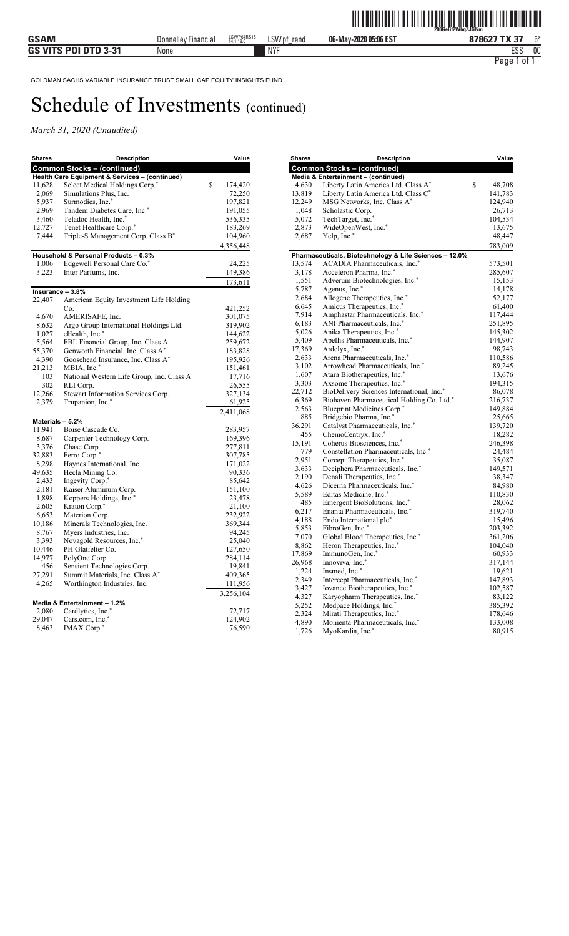| <b>Shares</b>    | <b>Description</b>                             | Value         |
|------------------|------------------------------------------------|---------------|
|                  | <b>Common Stocks - (continued)</b>             |               |
|                  | Health Care Equipment & Services - (continued) |               |
| 11,628           | Select Medical Holdings Corp.*                 | \$<br>174,420 |
| 2,069            | Simulations Plus, Inc.                         | 72,250        |
| 5,937            | Surmodics, Inc.*                               | 197,821       |
| 2,969            | Tandem Diabetes Care, Inc.*                    | 191,055       |
| 3,460            | Teladoc Health, Inc.*                          | 536,335       |
| 12,727           | Tenet Healthcare Corp.*                        | 183,269       |
| 7,444            | Triple-S Management Corp. Class B*             | 104,960       |
|                  | Household & Personal Products - 0.3%           | 4,356,448     |
| 1,006            | Edgewell Personal Care Co.*                    | 24,225        |
| 3,223            | Inter Parfums, Inc.                            | 149,386       |
|                  |                                                | 173,611       |
| Insurance - 3.8% |                                                |               |
| 22,407           | American Equity Investment Life Holding        |               |
|                  | Co.                                            | 421,252       |
| 4,670            | AMERISAFE, Inc.                                | 301,075       |
| 8,632            | Argo Group International Holdings Ltd.         | 319,902       |
| 1,027            | eHealth, Inc.*                                 | 144,622       |
| 5,564            | FBL Financial Group, Inc. Class A              | 259,672       |
| 55,370           | Genworth Financial, Inc. Class A*              | 183,828       |
| 4,390            | Goosehead Insurance, Inc. Class A*             | 195,926       |
| 21,213           | MBIA, Inc.*                                    | 151,461       |
| 103              | National Western Life Group, Inc. Class A      | 17,716        |
| 302              | RLI Corp.                                      | 26,555        |
| 12,266           | Stewart Information Services Corp.             | 327,134       |
| 2,379            | Trupanion, Inc.*                               | 61,925        |
|                  |                                                | 2,411,068     |
| Materials - 5.2% |                                                |               |
| 11,941           | Boise Cascade Co.                              | 283,957       |
| 8,687            | Carpenter Technology Corp.                     | 169,396       |
| 3,376            | Chase Corp.                                    | 277,811       |
| 32,883           | Ferro Corp.*                                   | 307,785       |
| 8,298            | Haynes International, Inc.                     | 171,022       |
| 49,635           | Hecla Mining Co.                               | 90,336        |
| 2,433            | Ingevity Corp.*                                | 85,642        |
| 2,181            | Kaiser Aluminum Corp.                          | 151,100       |
| 1,898            | Koppers Holdings, Inc. <sup>*</sup>            | 23,478        |
| 2,605            | Kraton Corp.*                                  | 21,100        |
| 6,653            | Materion Corp.                                 | 232,922       |
| 10,186           | Minerals Technologies, Inc.                    | 369,344       |
| 8,767            | Myers Industries, Inc.                         | 94,245        |
| 3,393            | Novagold Resources, Inc.*                      | 25,040        |
| 10,446           | PH Glatfelter Co.                              | 127,650       |
| 14,977           | PolyOne Corp.                                  | 284,114       |
| 456              | Sensient Technologies Corp.                    | 19,841        |
| 27,291           | Summit Materials, Inc. Class A*                | 409,365       |
| 4,265            | Worthington Industries, Inc.                   | 111,956       |
|                  | Media & Entertainment - 1.2%                   | 3,256,104     |
| 2,080            | Cardlytics, Inc.*                              | 72,717        |
| 29,047           | Cars.com, Inc.*                                | 124,902       |
| 8,463            | IMAX Corp.*                                    | 76,590        |

| Shares | <b>Description</b>                                     | Value        |
|--------|--------------------------------------------------------|--------------|
|        | <b>Common Stocks - (continued)</b>                     |              |
|        | Media & Entertainment - (continued)                    |              |
| 4,630  | Liberty Latin America Ltd. Class A*                    | \$<br>48,708 |
| 13,819 | Liberty Latin America Ltd. Class C*                    | 141,783      |
| 12,249 | MSG Networks, Inc. Class A*                            | 124,940      |
| 1,048  | Scholastic Corp.                                       | 26,713       |
| 5,072  | TechTarget, Inc.*                                      | 104,534      |
| 2,873  | WideOpenWest, Inc.*                                    | 13,675       |
| 2,687  | Yelp, Inc.*                                            | 48,447       |
|        |                                                        | 783,009      |
|        | Pharmaceuticals, Biotechnology & Life Sciences - 12.0% |              |
| 13,574 | ACADIA Pharmaceuticals, Inc.*                          | 573,501      |
| 3,178  | Acceleron Pharma, Inc.*                                | 285,607      |
| 1,551  | Adverum Biotechnologies, Inc.*                         | 15,153       |
| 5,787  | Agenus, Inc. <sup>*</sup>                              | 14,178       |
| 2,684  | Allogene Therapeutics, Inc.*                           | 52,177       |
| 6,645  | Amicus Therapeutics, Inc.*                             | 61,400       |
| 7,914  | Amphastar Pharmaceuticals, Inc.*                       | 117,444      |
| 6,183  | ANI Pharmaceuticals, Inc.*                             | 251,895      |
| 5,026  | Anika Therapeutics, Inc.*                              | 145,302      |
| 5,409  | Apellis Pharmaceuticals, Inc.*                         | 144,907      |
| 17,369 | Ardelyx, Inc.*                                         | 98,743       |
| 2,633  | Arena Pharmaceuticals, Inc.*                           | 110,586      |
| 3,102  | Arrowhead Pharmaceuticals, Inc.*                       | 89,245       |
| 1,607  | Atara Biotherapeutics, Inc.*                           | 13,676       |
| 3,303  | Axsome Therapeutics, Inc.*                             | 194,315      |
| 22,712 | BioDelivery Sciences International, Inc.*              | 86,078       |
| 6,369  | Biohaven Pharmaceutical Holding Co. Ltd.*              | 216,737      |
| 2,563  | Blueprint Medicines Corp.*                             | 149,884      |
| 885    | Bridgebio Pharma, Inc.*                                | 25,665       |
| 36,291 | Catalyst Pharmaceuticals, Inc.*                        | 139,720      |
| 455    | ChemoCentryx, Inc.*                                    | 18,282       |
| 15,191 | Coherus Biosciences, Inc.*                             | 246,398      |
| 779    | Constellation Pharmaceuticals, Inc.*                   | 24,484       |
| 2,951  | Corcept Therapeutics, Inc.*                            | 35,087       |
| 3,633  | Deciphera Pharmaceuticals, Inc.*                       | 149,571      |
| 2,190  | Denali Therapeutics, Inc.*                             | 38,347       |
| 4,626  | Dicerna Pharmaceuticals, Inc.*                         | 84,980       |
| 5,589  | Editas Medicine, Inc.*                                 | 110,830      |
| 485    | Emergent BioSolutions, Inc.*                           | 28,062       |
| 6,217  | Enanta Pharmaceuticals, Inc.*                          | 319,740      |
| 4,188  | Endo International plc*                                | 15,496       |
| 5,853  | FibroGen, Inc.*                                        | 203,392      |
| 7,070  | Global Blood Therapeutics, Inc.*                       | 361,206      |
| 8,862  | Heron Therapeutics, Inc.*                              | 104,040      |
| 17,869 | ImmunoGen, Inc.*                                       | 60,933       |
| 26,968 | Innoviva, Inc.*                                        | 317,144      |
| 1,224  | Insmed, Inc.*                                          | 19,621       |
| 2,349  | Intercept Pharmaceuticals, Inc.*                       | 147,893      |
| 3,427  | Iovance Biotherapeutics, Inc.*                         | 102,587      |
| 4,327  | Karyopharm Therapeutics, Inc.*                         | 83,122       |
| 5,252  | Medpace Holdings, Inc.*                                | 385,392      |
| 2,324  | Mirati Therapeutics, Inc.*                             | 178,646      |
| 4,890  | Momenta Pharmaceuticals, Inc.*                         | 133,008      |
| 1,726  | MyoKardia, Inc.*                                       | 80,915       |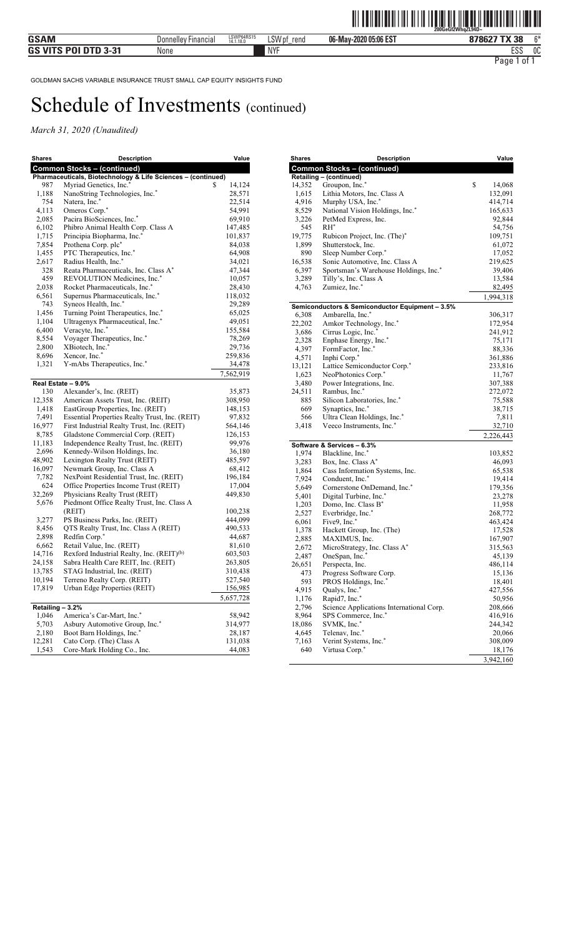| <b>Shares</b>    | <b>Description</b>                                           | Value       |
|------------------|--------------------------------------------------------------|-------------|
|                  | <b>Common Stocks - (continued)</b>                           |             |
|                  | Pharmaceuticals, Biotechnology & Life Sciences - (continued) |             |
| 987              | Myriad Genetics, Inc.*                                       | S<br>14,124 |
| 1,188            | NanoString Technologies, Inc.*                               | 28,571      |
| 754              | Natera, Inc.*                                                | 22,514      |
| 4,113            | Omeros Corp. <sup>*</sup>                                    | 54,991      |
| 2,085            | Pacira BioSciences, Inc.*                                    | 69,910      |
| 6,102            | Phibro Animal Health Corp. Class A                           | 147,485     |
| 1,715            | Principia Biopharma, Inc.*                                   | 101,837     |
| 7,854            | Prothena Corp. plc*                                          | 84,038      |
| 1,455            | PTC Therapeutics, Inc.*                                      | 64,908      |
| 2,617            | Radius Health, Inc.*                                         | 34,021      |
| 328              | Reata Pharmaceuticals, Inc. Class A*                         | 47,344      |
| 459              | REVOLUTION Medicines, Inc.*                                  | 10,057      |
| 2,038            | Rocket Pharmaceuticals, Inc.*                                | 28,430      |
| 6,561            | Supernus Pharmaceuticals, Inc.*                              | 118,032     |
| 743              | Syneos Health, Inc.*                                         | 29,289      |
| 1,456            | Turning Point Therapeutics, Inc.*                            | 65,025      |
| 1,104            | Ultragenyx Pharmaceutical, Inc.*                             | 49,051      |
| 6,400            | Veracyte, Inc.*                                              | 155,584     |
| 8,554            | Voyager Therapeutics, Inc.*                                  | 78,269      |
| 2,800            | XBiotech, Inc.*                                              | 29,736      |
| 8,696            | Xencor, Inc.*                                                | 259,836     |
| 1,321            | Y-mAbs Therapeutics, Inc.*                                   | 34,478      |
|                  |                                                              | 7,562,919   |
|                  | Real Estate - 9.0%                                           |             |
| 130              | Alexander's, Inc. (REIT)                                     | 35,873      |
| 12,358           | American Assets Trust, Inc. (REIT)                           | 308,950     |
| 1,418            | EastGroup Properties, Inc. (REIT)                            | 148,153     |
| 7,491            | Essential Properties Realty Trust, Inc. (REIT)               | 97,832      |
| 16,977           | First Industrial Realty Trust, Inc. (REIT)                   | 564,146     |
| 8,785            | Gladstone Commercial Corp. (REIT)                            | 126,153     |
| 11,183           | Independence Realty Trust, Inc. (REIT)                       | 99,976      |
| 2,696            | Kennedy-Wilson Holdings, Inc.                                | 36,180      |
| 48,902           | Lexington Realty Trust (REIT)                                | 485,597     |
| 16,097           | Newmark Group, Inc. Class A                                  | 68,412      |
| 7,782            | NexPoint Residential Trust, Inc. (REIT)                      | 196,184     |
| 624              | Office Properties Income Trust (REIT)                        | 17,004      |
| 32,269           | Physicians Realty Trust (REIT)                               | 449,830     |
| 5,676            | Piedmont Office Realty Trust, Inc. Class A                   |             |
|                  | (REIT)                                                       | 100,238     |
| 3,277            | PS Business Parks, Inc. (REIT)                               | 444,099     |
| 8,456            | QTS Realty Trust, Inc. Class A (REIT)                        | 490,533     |
| 2,898            | Redfin Corp.*                                                | 44,687      |
| 6,662            | Retail Value, Inc. (REIT)                                    | 81,610      |
| 14,716           | Rexford Industrial Realty, Inc. (REIT) <sup>(b)</sup>        | 603,503     |
| 24,158           | Sabra Health Care REIT, Inc. (REIT)                          | 263,805     |
| 13,785           | STAG Industrial, Inc. (REIT)                                 | 310,438     |
| 10,194           | Terreno Realty Corp. (REIT)                                  | 527,540     |
| 17,819           | Urban Edge Properties (REIT)                                 | 156,985     |
|                  |                                                              | 5,657,728   |
| Retailing - 3.2% |                                                              |             |
| 1,046            | America's Car-Mart, Inc.*                                    | 58,942      |
| 5,703            | Asbury Automotive Group, Inc.*                               | 314,977     |
| 2,180            | Boot Barn Holdings, Inc.*                                    | 28,187      |
| 12,281           | Cato Corp. (The) Class A                                     | 131,038     |
| 1,543            | Core-Mark Holding Co., Inc.                                  | 44,083      |

| Shares          | Description                                        | Value              |
|-----------------|----------------------------------------------------|--------------------|
|                 | <b>Common Stocks - (continued)</b>                 |                    |
|                 | Retailing - (continued)                            |                    |
| 14,352          | Groupon, Inc.*                                     | \$<br>14,068       |
| 1,615           | Lithia Motors, Inc. Class A                        | 132,091            |
| 4,916           | Murphy USA, Inc.*                                  | 414,714            |
| 8,529           | National Vision Holdings, Inc.*                    | 165,633            |
| 3,226           | PetMed Express, Inc.                               | 92,844             |
| 545             | $RH^*$                                             | 54,756             |
| 19,775          | Rubicon Project, Inc. (The)*<br>Shutterstock, Inc. | 109,751            |
| 1,899<br>890    | Sleep Number Corp.*                                | 61,072             |
| 16,538          | Sonic Automotive, Inc. Class A                     | 17,052<br>219,625  |
| 6,397           | Sportsman's Warehouse Holdings, Inc.*              | 39,406             |
| 3,289           | Tilly's, Inc. Class A                              | 13,584             |
| 4,763           | Zumiez, Inc.*                                      | 82,495             |
|                 |                                                    |                    |
|                 |                                                    | 1,994,318          |
|                 | Semiconductors & Semiconductor Equipment - 3.5%    |                    |
| 6,308<br>22,202 | Ambarella, Inc.*<br>Amkor Technology, Inc.*        | 306,317<br>172,954 |
| 3,686           | Cirrus Logic, Inc.*                                | 241,912            |
| 2,328           | Enphase Energy, Inc.*                              | 75,171             |
| 4,397           | FormFactor, Inc.*                                  | 88,336             |
| 4,571           | Inphi Corp.*                                       | 361,886            |
| 13,121          | Lattice Semiconductor Corp.*                       | 233,816            |
| 1,623           | NeoPhotonics Corp.*                                | 11,767             |
| 3,480           | Power Integrations, Inc.                           | 307,388            |
| 24,511          | Rambus, Inc.*                                      | 272,072            |
| 885             | Silicon Laboratories, Inc.*                        | 75,588             |
| 669             | Synaptics, Inc.*                                   | 38,715             |
| 566             | Ultra Clean Holdings, Inc.*                        | 7,811              |
| 3,418           | Veeco Instruments, Inc.*                           | 32,710             |
|                 |                                                    | 2,226,443          |
|                 | Software & Services - 6.3%                         |                    |
| 1,974           | Blackline, Inc.*                                   | 103,852            |
| 3,283           | Box, Inc. Class A*                                 | 46,093             |
| 1,864           | Cass Information Systems, Inc.                     | 65,538             |
| 7,924           | Conduent, Inc.*                                    | 19,414             |
| 5,649           | Cornerstone OnDemand, Inc.*                        | 179,356            |
| 5,401           | Digital Turbine, Inc.*                             | 23,278             |
| 1,203           | Domo, Inc. Class B*                                | 11,958             |
| 2,527           | Everbridge, Inc.*                                  | 268,772            |
| 6,061           | Five9, Inc.*                                       | 463,424            |
| 1,378           | Hackett Group, Inc. (The)                          | 17,528             |
| 2,885           | MAXIMUS, Inc.                                      | 167,907            |
| 2,672           | MicroStrategy, Inc. Class A*                       | 315,563            |
| 2,487           | OneSpan, Inc.*                                     | 45,139             |
| 26,651          | Perspecta, Inc.                                    | 486,114            |
| 473             | Progress Software Corp.                            | 15,136             |
| 593             | PROS Holdings, Inc.*                               | 18,401             |
| 4,915           | Qualys, Inc.*                                      | 427,556            |
| 1,176           | Rapid7, Inc.*                                      | 50,956             |
| 2,796           | Science Applications International Corp.           | 208,666            |
| 8,964           | SPS Commerce, Inc.*                                | 416,916            |
| 18,086          | SVMK, Inc.*                                        | 244,342            |
| 4,645           | Telenav, Inc.*                                     | 20,066             |
| 7,163           | Verint Systems, Inc.*                              | 308,009            |
| 640             | Virtusa Corp.*                                     | 18,176             |
|                 |                                                    | 3,942,160          |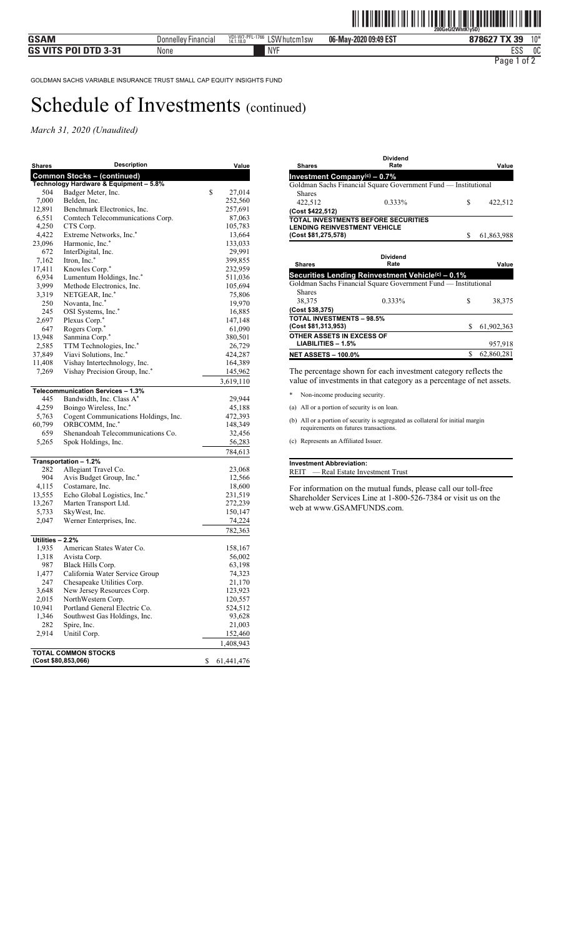*March 31, 2020 (Unaudited)* 

| <b>Shares</b>    | Description                                       | Value            |
|------------------|---------------------------------------------------|------------------|
|                  | <b>Common Stocks - (continued)</b>                |                  |
|                  | Technology Hardware & Equipment - 5.8%            |                  |
| 504              | Badger Meter, Inc.                                | \$<br>27,014     |
| 7,000            | Belden, Inc.                                      | 252,560          |
| 12,891           | Benchmark Electronics, Inc.                       | 257,691          |
| 6,551            | Comtech Telecommunications Corp.                  | 87,063           |
| 4,250            | CTS Corp.                                         | 105,783          |
| 4,422            | Extreme Networks, Inc.*                           | 13,664           |
| 23,096           | Harmonic, Inc.*                                   | 133,033          |
| 672              | InterDigital, Inc.                                | 29,991           |
| 7,162            | Itron, Inc.*                                      | 399,855          |
| 17,411           | Knowles Corp.*                                    | 232,959          |
| 6,934            | Lumentum Holdings, Inc.*                          | 511,036          |
| 3,999            | Methode Electronics, Inc.                         | 105,694          |
| 3,319            | NETGEAR, Inc.*                                    | 75,806           |
| 250              | Novanta, Inc.*                                    | 19,970           |
| 245              | OSI Systems, Inc.*                                | 16,885           |
| 2,697            | Plexus Corp.*                                     | 147,148          |
| 647              | Rogers Corp.*                                     | 61,090           |
| 13,948           | Sanmina Corp.*                                    | 380,501          |
| 2,585            | TTM Technologies, Inc.*                           | 26,729           |
| 37,849           | Viavi Solutions, Inc.*                            | 424,287          |
| 11,408           | Vishay Intertechnology, Inc.                      | 164,389          |
| 7,269            | Vishay Precision Group, Inc.*                     | 145,962          |
|                  |                                                   | 3,619,110        |
|                  | Telecommunication Services - 1.3%                 |                  |
| 445              | Bandwidth, Inc. Class A*                          | 29,944           |
| 4,259            | Boingo Wireless, Inc.*                            | 45,188           |
| 5,763            | Cogent Communications Holdings, Inc.              | 472,393          |
| 60,799           | ORBCOMM, Inc.*                                    | 148,349          |
| 659              | Shenandoah Telecommunications Co.                 | 32,456           |
| 5,265            | Spok Holdings, Inc.                               | 56,283           |
|                  |                                                   | 784,613          |
|                  | Transportation - 1.2%                             |                  |
| 282              | Allegiant Travel Co.                              | 23,068           |
| 904              | Avis Budget Group, Inc.*                          | 12,566           |
| 4,115            | Costamare, Inc.                                   | 18,600           |
| 13,555           | Echo Global Logistics, Inc.*                      | 231,519          |
| 13,267           | Marten Transport Ltd.                             | 272,239          |
| 5,733            | SkyWest, Inc.                                     | 150,147          |
| 2,047            | Werner Enterprises, Inc.                          | 74,224           |
|                  |                                                   |                  |
|                  |                                                   | 782,363          |
| Utilities - 2.2% |                                                   |                  |
| 1,935            | American States Water Co.                         | 158,167          |
| 1,318            | Avista Corp.                                      | 56,002           |
| 987              | Black Hills Corp.                                 | 63,198           |
| 1,477            | California Water Service Group                    | 74,323           |
| 247              | Chesapeake Utilities Corp.                        | 21,170           |
| 3,648            | New Jersey Resources Corp.<br>NorthWestern Corp.  | 123,923          |
| 2,015            |                                                   | 120,557          |
| 10,941           | Portland General Electric Co.                     | 524,512          |
| 1,346            | Southwest Gas Holdings, Inc.                      | 93,628           |
| 282              | Spire, Inc.                                       | 21,003           |
| 2,914            | Unitil Corp.                                      | 152,460          |
|                  |                                                   | 1,408,943        |
|                  | <b>TOTAL COMMON STOCKS</b><br>(Cost \$80,853,066) | \$<br>61,441,476 |

|                                          | siviuciiu                                                      |    |            |
|------------------------------------------|----------------------------------------------------------------|----|------------|
| <b>Shares</b>                            | Rate                                                           |    | Value      |
| Investment Company <sup>(c)</sup> - 0.7% |                                                                |    |            |
|                                          | Goldman Sachs Financial Square Government Fund — Institutional |    |            |
| <b>Shares</b>                            |                                                                |    |            |
| 422,512                                  | 0.333%                                                         | S  | 422,512    |
| (Cost \$422,512)                         |                                                                |    |            |
| <b>LENDING REINVESTMENT VEHICLE</b>      | TOTAL INVESTMENTS BEFORE SECURITIES                            |    |            |
| (Cost \$81,275,578)                      |                                                                | \$ | 61,863,988 |
|                                          |                                                                |    |            |
|                                          | <b>Dividend</b>                                                |    |            |
| <b>Shares</b>                            | Rate                                                           |    | Value      |
|                                          | Securities Lending Reinvestment Vehicle <sup>(c)</sup> - 0.1%  |    |            |

**Dividend**

|                                  | Goldman Sachs Financial Square Government Fund — Institutional |   |            |
|----------------------------------|----------------------------------------------------------------|---|------------|
| <b>Shares</b><br>38,375          | 0.333%                                                         | S | 38.375     |
| (Cost \$38,375)                  |                                                                |   |            |
| <b>TOTAL INVESTMENTS - 98.5%</b> |                                                                |   |            |
| (Cost \$81,313,953)              |                                                                | S | 61,902,363 |
| OTHER ASSETS IN EXCESS OF        |                                                                |   |            |
| $LIABILITIES - 1.5%$             |                                                                |   | 957,918    |
| <b>NET ASSETS - 100.0%</b>       |                                                                |   | 62,860,281 |

The percentage shown for each investment category reflects the value of investments in that category as a percentage of net assets.

\* Non-income producing security.

(a) All or a portion of security is on loan.

(b) All or a portion of security is segregated as collateral for initial margin requirements on futures transactions.

(c) Represents an Affiliated Issuer.

#### **Investment Abbreviation:** REIT — Real Estate Investment Trust

For information on the mutual funds, please call our toll-free Shareholder Services Line at 1-800-526-7384 or visit us on the web at www.GSAMFUNDS.com.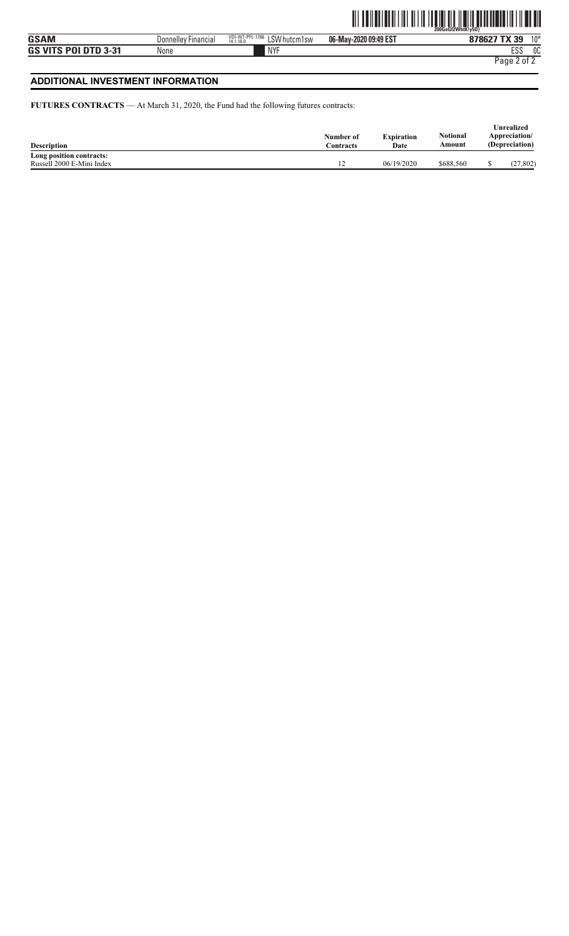### **ADDITIONAL INVESTMENT INFORMATION**

**FUTURES CONTRACTS** — At March 31, 2020, the Fund had the following futures contracts:

| <b>Description</b>        | Number of<br>Contracts | <b>Expiration</b><br>Date | Notional<br>Amount | Unrealized<br>Appreciation/<br>(Depreciation) |
|---------------------------|------------------------|---------------------------|--------------------|-----------------------------------------------|
| Long position contracts:  |                        |                           |                    |                                               |
| Russell 2000 E-Mini Index | $\overline{a}$         | 06/19/2020                | \$688.560          | (27, 802)                                     |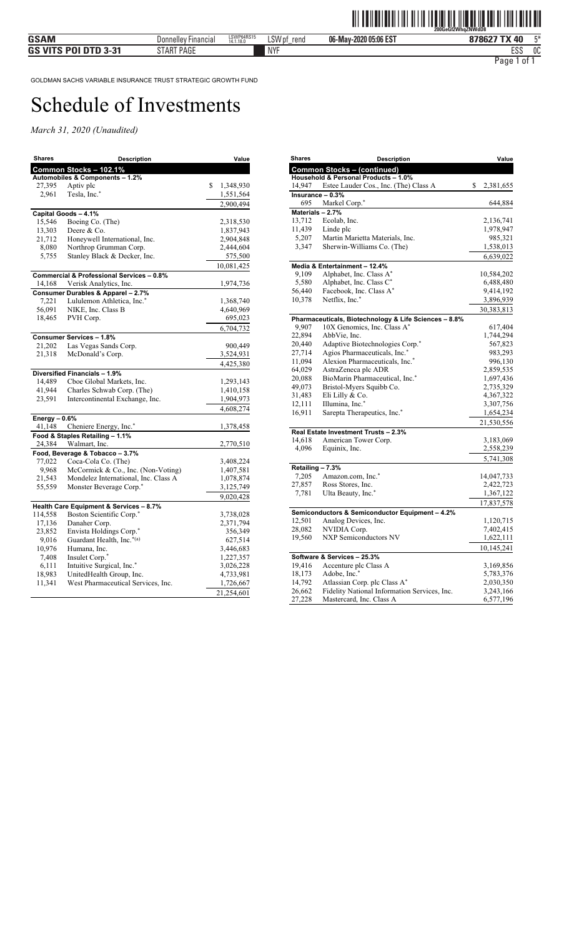| <b>Shares</b>  | <b>Description</b>                                   | Value           |
|----------------|------------------------------------------------------|-----------------|
|                | Common Stocks - 102.1%                               |                 |
|                | Automobiles & Components - 1.2%                      |                 |
| 27,395         | Aptiv plc                                            | \$<br>1,348,930 |
| 2,961          | Tesla, Inc.*                                         | 1,551,564       |
|                |                                                      | 2,900,494       |
|                | Capital Goods - 4.1%                                 |                 |
| 15,546         | Boeing Co. (The)                                     | 2,318,530       |
| 13,303         | Deere & Co.                                          | 1,837,943       |
| 21,712         | Honeywell International, Inc.                        | 2,904,848       |
| 8,080          | Northrop Grumman Corp.                               | 2,444,604       |
| 5,755          | Stanley Black & Decker, Inc.                         | 575,500         |
|                |                                                      | 10,081,425      |
|                | <b>Commercial &amp; Professional Services - 0.8%</b> |                 |
| 14,168         | Verisk Analytics, Inc.                               | 1,974,736       |
|                | Consumer Durables & Apparel - 2.7%                   |                 |
| 7,221          | Lululemon Athletica, Inc.*                           | 1,368,740       |
| 56,091         | NIKE, Inc. Class B                                   | 4,640,969       |
| 18,465         | PVH Corp.                                            | 695,023         |
|                |                                                      | 6,704,732       |
|                | <b>Consumer Services - 1.8%</b>                      |                 |
| 21,202         | Las Vegas Sands Corp.                                | 900,449         |
| 21,318         | McDonald's Corp.                                     | 3,524,931       |
|                |                                                      | 4,425,380       |
|                | Diversified Financials - 1.9%                        |                 |
| 14,489         | Cboe Global Markets, Inc.                            | 1,293,143       |
| 41,944         | Charles Schwab Corp. (The)                           | 1,410,158       |
| 23,591         | Intercontinental Exchange, Inc.                      | 1,904,973       |
|                |                                                      | 4,608,274       |
| Energy $-0.6%$ |                                                      |                 |
| 41,148         | Cheniere Energy, Inc.*                               | 1,378,458       |
|                | Food & Staples Retailing - 1.1%                      |                 |
| 24,384         | Walmart, Inc.                                        | 2,770,510       |
|                | Food, Beverage & Tobacco - 3.7%                      |                 |
| 77,022         | Coca-Cola Co. (The)                                  | 3,408,224       |
| 9,968          | McCormick & Co., Inc. (Non-Voting)                   | 1,407,581       |
| 21,543         | Mondelez International, Inc. Class A                 | 1,078,874       |
| 55,559         | Monster Beverage Corp.*                              | 3,125,749       |
|                |                                                      | 9,020,428       |
|                | Health Care Equipment & Services - 8.7%              |                 |
| 114,558        | Boston Scientific Corp.*                             | 3,738,028       |
| 17,136         | Danaher Corp.                                        | 2,371,794       |
| 23,852         | Envista Holdings Corp.*                              | 356,349         |
| 9,016          | Guardant Health, Inc.*(a)                            | 627,514         |
| 10,976         | Humana, Inc.                                         | 3,446,683       |
| 7,408          | Insulet Corp.*                                       | 1,227,357       |
| 6,111          | Intuitive Surgical, Inc.*                            | 3,026,228       |
| 18,983         | UnitedHealth Group, Inc.                             | 4,733,981       |
| 11,341         | West Pharmaceutical Services, Inc.                   | 1,726,667       |
|                |                                                      | 21,254,601      |

| <b>Shares</b>    | Description                                                             | Value           |
|------------------|-------------------------------------------------------------------------|-----------------|
|                  | <b>Common Stocks - (continued)</b>                                      |                 |
|                  | Household & Personal Products - 1.0%                                    |                 |
| 14,947           | Estee Lauder Cos., Inc. (The) Class A                                   | \$<br>2,381,655 |
|                  | Insurance - 0.3%                                                        |                 |
| 695              | Markel Corp.*                                                           | 644,884         |
| Materials - 2.7% |                                                                         |                 |
| 13,712           | Ecolab, Inc.                                                            | 2,136,741       |
| 11,439           | Linde plc                                                               | 1,978,947       |
| 5,207            | Martin Marietta Materials, Inc.                                         | 985,321         |
| 3,347            | Sherwin-Williams Co. (The)                                              | 1,538,013       |
|                  |                                                                         | 6,639,022       |
|                  | Media & Entertainment - 12.4%                                           |                 |
| 9,109            | Alphabet, Inc. Class A*                                                 | 10,584,202      |
| 5,580            | Alphabet, Inc. Class C*                                                 | 6,488,480       |
| 56,440           | Facebook, Inc. Class A*                                                 | 9,414,192       |
| 10,378           | Netflix, Inc.*                                                          | 3,896,939       |
|                  |                                                                         | 30,383,813      |
|                  | Pharmaceuticals, Biotechnology & Life Sciences - 8.8%                   |                 |
| 9,907            | 10X Genomics, Inc. Class A*                                             | 617,404         |
| 22,894           | AbbVie, Inc.                                                            | 1,744,294       |
| 20,440           | Adaptive Biotechnologies Corp.*                                         | 567,823         |
| 27,714           | Agios Pharmaceuticals, Inc.*                                            | 983,293         |
| 11,094           | Alexion Pharmaceuticals, Inc.*                                          | 996,130         |
| 64,029           | AstraZeneca plc ADR                                                     | 2,859,535       |
| 20,088           | BioMarin Pharmaceutical, Inc.*                                          | 1,697,436       |
| 49,073           | Bristol-Myers Squibb Co.                                                | 2,735,329       |
| 31,483           | Eli Lilly & Co.                                                         | 4,367,322       |
| 12,111           | Illumina, Inc.*                                                         | 3,307,756       |
| 16,911           | Sarepta Therapeutics, Inc.*                                             | 1,654,234       |
|                  |                                                                         | 21,530,556      |
|                  | Real Estate Investment Trusts - 2.3%                                    |                 |
| 14,618           | American Tower Corp.                                                    | 3,183,069       |
| 4,096            | Equinix, Inc.                                                           | 2,558,239       |
|                  |                                                                         | 5,741,308       |
| Retailing - 7.3% |                                                                         |                 |
| 7,205            | Amazon.com, Inc.*                                                       | 14,047,733      |
| 27,857           | Ross Stores, Inc.                                                       | 2,422,723       |
| 7,781            | Ulta Beauty, Inc.*                                                      | 1,367,122       |
|                  |                                                                         | 17,837,578      |
|                  |                                                                         |                 |
| 12,501           | Semiconductors & Semiconductor Equipment - 4.2%<br>Analog Devices, Inc. | 1,120,715       |
| 28,082           | NVIDIA Corp.                                                            | 7,402,415       |
| 19,560           | <b>NXP Semiconductors NV</b>                                            |                 |
|                  |                                                                         | 1,622,111       |
|                  |                                                                         | 10,145,241      |
|                  | Software & Services - 25.3%                                             |                 |
| 19,416           | Accenture plc Class A                                                   | 3,169,856       |
| 18,173           | Adobe, Inc.*                                                            | 5,783,376       |
| 14,792           | Atlassian Corp. plc Class A*                                            | 2,030,350       |
| 26,662           | Fidelity National Information Services, Inc.                            | 3,243,166       |
| 27,228           | Mastercard, Inc. Class A                                                | 6,577,196       |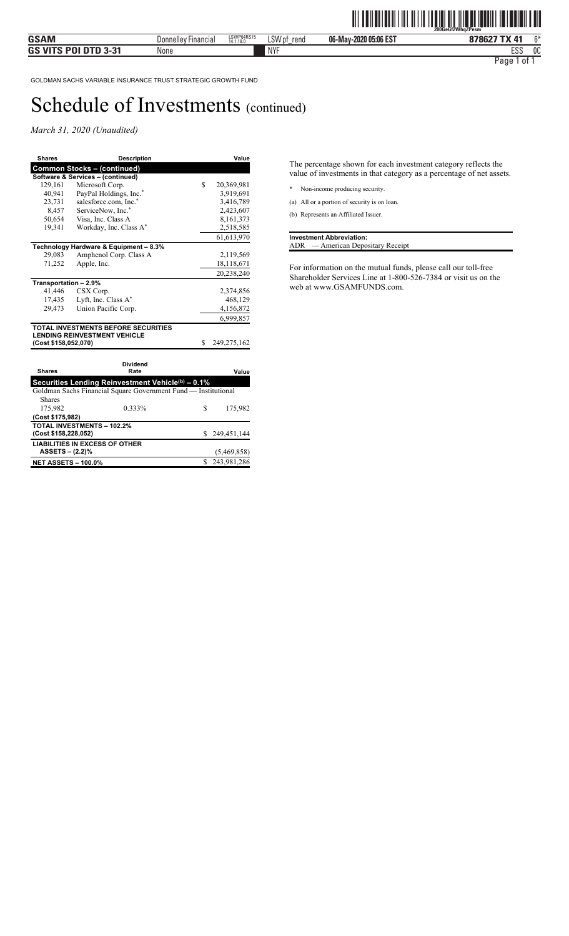*March 31, 2020 (Unaudited)* 

| Shares                | <b>Description</b>                                             |    | Value       |
|-----------------------|----------------------------------------------------------------|----|-------------|
|                       | <b>Common Stocks - (continued)</b>                             |    |             |
|                       | Software & Services - (continued)                              |    |             |
| 129,161               | Microsoft Corp.                                                | \$ | 20,369,981  |
| 40,941                | PayPal Holdings, Inc.*                                         |    | 3,919,691   |
| 23,731                | salesforce.com, Inc.*                                          |    | 3,416,789   |
| 8,457                 | ServiceNow, Inc.*                                              |    | 2,423,607   |
| 50,654                | Visa, Inc. Class A                                             |    | 8,161,373   |
| 19,341                | Workday, Inc. Class A*                                         |    | 2,518,585   |
|                       |                                                                |    | 61,613,970  |
|                       | Technology Hardware & Equipment - 8.3%                         |    |             |
| 29,083                | Amphenol Corp. Class A                                         |    | 2,119,569   |
| 71,252                | Apple, Inc.                                                    |    | 18,118,671  |
|                       |                                                                |    | 20,238,240  |
| Transportation - 2.9% |                                                                |    |             |
| 41,446                | CSX Corp.                                                      |    | 2,374,856   |
| 17,435                | Lyft, Inc. Class A*                                            |    | 468,129     |
| 29,473                | Union Pacific Corp.                                            |    | 4,156,872   |
|                       |                                                                |    | 6,999,857   |
|                       | <b>TOTAL INVESTMENTS BEFORE SECURITIES</b>                     |    |             |
|                       | <b>LENDING REINVESTMENT VEHICLE</b>                            |    |             |
| (Cost \$158,052,070)  |                                                                | \$ | 249,275,162 |
|                       |                                                                |    |             |
|                       | Dividend                                                       |    |             |
| <b>Shares</b>         | Rate                                                           |    | Value       |
|                       | Securities Lending Reinvestment Vehicle(b) - 0.1%              |    |             |
|                       | Goldman Sachs Financial Square Government Fund - Institutional |    |             |
| <b>Shares</b>         |                                                                |    |             |
| 175,982               | 0.333%                                                         | \$ | 175,982     |
| (Cost \$175,982)      |                                                                |    |             |
|                       | <b>TOTAL INVESTMENTS - 102.2%</b>                              |    |             |
| (Cost \$158,228,052)  |                                                                | S. | 249,451,144 |
|                       | <b>LIABILITIES IN EXCESS OF OTHER</b>                          |    |             |

 **ASSETS – (2.2)%** (5,469,858) **NET ASSETS – 100.0%** \$ 243,981,286 The percentage shown for each investment category reflects the value of investments in that category as a percentage of net assets.

\* Non-income producing security.

(a) All or a portion of security is on loan.

(b) Represents an Affiliated Issuer.

**Investment Abbreviation:** ADR — American Depositary Receipt

For information on the mutual funds, please call our toll-free Shareholder Services Line at 1-800-526-7384 or visit us on the web at www.GSAMFUNDS.com.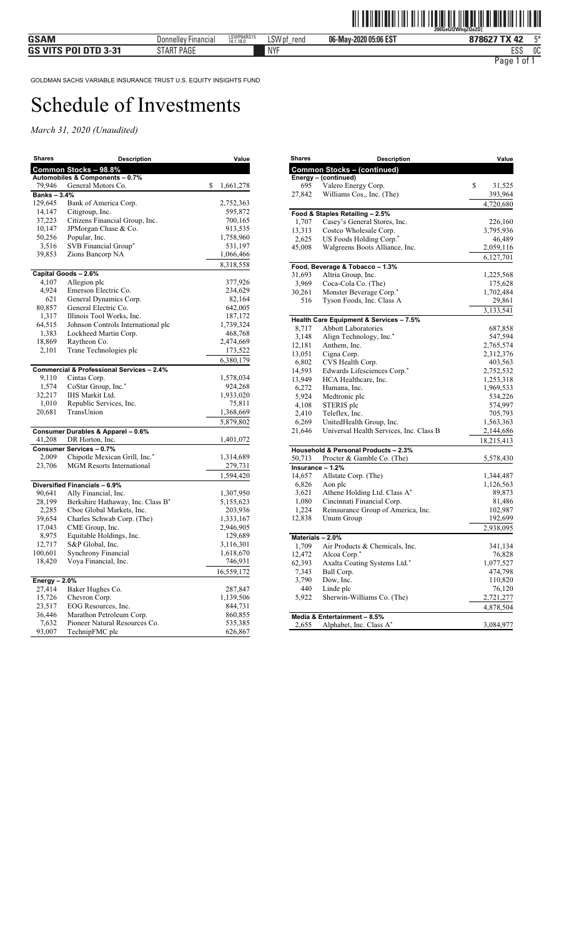| <b>Shares</b>     | Description                                          | Value                |
|-------------------|------------------------------------------------------|----------------------|
|                   | Common Stocks - 98.8%                                |                      |
|                   | Automobiles & Components - 0.7%                      |                      |
| 79,946            | General Motors Co.                                   | \$<br>1,661,278      |
| <b>Banks-3.4%</b> |                                                      |                      |
| 129,645           | Bank of America Corp.                                | 2,752,363            |
| 14,147            | Citigroup, Inc.                                      | 595,872              |
| 37,223            | Citizens Financial Group, Inc.                       | 700,165              |
| 10,147<br>50,256  | JPMorgan Chase & Co.<br>Popular, Inc.                | 913,535<br>1,758,960 |
| 3,516             | SVB Financial Group*                                 |                      |
| 39,853            | Zions Bancorp NA                                     | 531,197<br>1,066,466 |
|                   |                                                      | 8,318,558            |
|                   | Capital Goods - 2.6%                                 |                      |
| 4,107             | Allegion plc                                         | 377,926              |
| 4,924             | Emerson Electric Co.                                 | 234,629              |
| 621               | General Dynamics Corp.                               | 82,164               |
| 80,857            | General Electric Co.                                 | 642,005              |
| 1,317             | Illinois Tool Works, Inc.                            | 187,172              |
| 64,515            | Johnson Controls International plc                   | 1,739,324            |
| 1,383             | Lockheed Martin Corp.                                | 468,768              |
| 18,869            | Raytheon Co.                                         | 2,474,669            |
| 2,101             | Trane Technologies plc                               | 173,522              |
|                   |                                                      | 6,380,179            |
|                   | <b>Commercial &amp; Professional Services - 2.4%</b> |                      |
| 9,110             | Cintas Corp.                                         | 1,578,034            |
| 1,574             | CoStar Group, Inc.*                                  | 924,268              |
| 32,217            | IHS Markit Ltd.                                      | 1,933,020            |
| 1,010             | Republic Services, Inc.                              | 75,811               |
| 20,681            | TransUnion                                           | 1,368,669            |
|                   |                                                      | 5,879,802            |
|                   | Consumer Durables & Apparel - 0.6%                   |                      |
| 41,208            | DR Horton, Inc.                                      | 1,401,072            |
|                   | Consumer Services - 0.7%                             |                      |
| 2,009             | Chipotle Mexican Grill, Inc.*                        | 1,314,689            |
| 23,706            | <b>MGM Resorts International</b>                     | 279,731              |
|                   |                                                      | 1,594,420            |
|                   | Diversified Financials - 6.9%                        |                      |
| 90,641            | Ally Financial, Inc.                                 | 1,307,950            |
| 28,199            | Berkshire Hathaway, Inc. Class B <sup>*</sup>        | 5,155,623            |
| 2,285             | Cboe Global Markets, Inc.                            | 203,936              |
| 39,654            | Charles Schwab Corp. (The)                           | 1,333,167            |
| 17,043            | CME Group, Inc.                                      | 2,946,905            |
| 8,975             | Equitable Holdings, Inc.                             | 129,689              |
| 12,717            | S&P Global, Inc.                                     | 3,116,301            |
| 100,601           | Synchrony Financial                                  | 1,618,670            |
| 18,420            | Voya Financial, Inc.                                 | 746,931              |
|                   |                                                      | 16,559,172           |
| Energy $-2.0%$    |                                                      |                      |
| 27,414            | Baker Hughes Co.                                     | 287,847              |
| 15,726            | Chevron Corp.                                        | 1,139,506            |
| 23,517            | EOG Resources, Inc.                                  | 844,731              |
| 36,446            | Marathon Petroleum Corp.                             | 860,855              |
| 7,632             | Pioneer Natural Resources Co.                        | 535,385              |
| 93,007            | TechnipFMC plc                                       | 626,867              |

| <b>Shares</b> | <b>Description</b>                      | Value        |
|---------------|-----------------------------------------|--------------|
|               | <b>Common Stocks - (continued)</b>      |              |
|               | Energy - (continued)                    |              |
| 695           | Valero Energy Corp.                     | \$<br>31,525 |
| 27,842        | Williams Cos., Inc. (The)               | 393,964      |
|               |                                         | 4,720,680    |
|               | Food & Staples Retailing - 2.5%         |              |
| 1,707         | Casey's General Stores, Inc.            | 226,160      |
| 13,313        | Costco Wholesale Corp.                  | 3,795,936    |
| 2,625         | US Foods Holding Corp.*                 | 46,489       |
| 45,008        | Walgreens Boots Alliance, Inc.          | 2,059,116    |
|               |                                         | 6,127,701    |
|               | Food, Beverage & Tobacco - 1.3%         |              |
| 31,693        | Altria Group, Inc.                      | 1,225,568    |
| 3,969         | Coca-Cola Co. (The)                     | 175,628      |
| 30,261        | Monster Beverage Corp.*                 | 1,702,484    |
| 516           | Tyson Foods, Inc. Class A               | 29,861       |
|               |                                         | 3,133,541    |
|               | Health Care Equipment & Services - 7.5% |              |
| 8,717         | <b>Abbott Laboratories</b>              | 687,858      |
| 3,148         | Align Technology, Inc.*                 | 547,594      |
| 12,181        | Anthem, Inc.                            | 2,765,574    |
| 13,051        | Cigna Corp.                             | 2,312,376    |
| 6,802         | CVS Health Corp.                        | 403,563      |
| 14,593        | Edwards Lifesciences Corp.*             | 2,752,532    |
| 13,949        | HCA Healthcare, Inc.                    | 1,253,318    |
| 6,272         | Humana, Inc.                            | 1,969,533    |
| 5,924         | Medtronic plc                           | 534,226      |
| 4,108         | STERIS plc                              | 574,997      |
| 2,410         | Teleflex, Inc.                          | 705,793      |
| 6,269         | UnitedHealth Group, Inc.                | 1,563,363    |
| 21,646        | Universal Health Services, Inc. Class B | 2,144,686    |
|               |                                         | 18,215,413   |
|               | Household & Personal Products - 2.3%    |              |
| 50,713        | Procter & Gamble Co. (The)              | 5,578,430    |
|               | Insurance - 1.2%                        |              |
| 14,657        | Allstate Corp. (The)                    | 1,344,487    |
| 6,826         | Aon plc                                 | 1,126,563    |
| 3,621         | Athene Holding Ltd. Class A*            | 89,873       |
| 1,080         | Cincinnati Financial Corp.              | 81,486       |
| 1,224         | Reinsurance Group of America, Inc.      | 102,987      |
| 12,838        | Unum Group                              | 192,699      |
|               |                                         | 2,938,095    |
|               | Materials - 2.0%                        |              |
| 1,709         | Air Products & Chemicals, Inc.          | 341,134      |
| 12,472        | Alcoa Corp.*                            | 76,828       |
| 62,393        | Axalta Coating Systems Ltd.*            | 1,077,527    |
| 7,343         | Ball Corp.                              | 474,798      |
| 3,790         | Dow, Inc.                               | 110,820      |
| 440           | Linde plc                               | 76,120       |
| 5,922         | Sherwin-Williams Co. (The)              | 2,721,277    |
|               |                                         | 4,878,504    |
|               | Media & Entertainment - 8.5%            |              |
| 2,655         | Alphabet, Inc. Class A*                 | 3,084,977    |